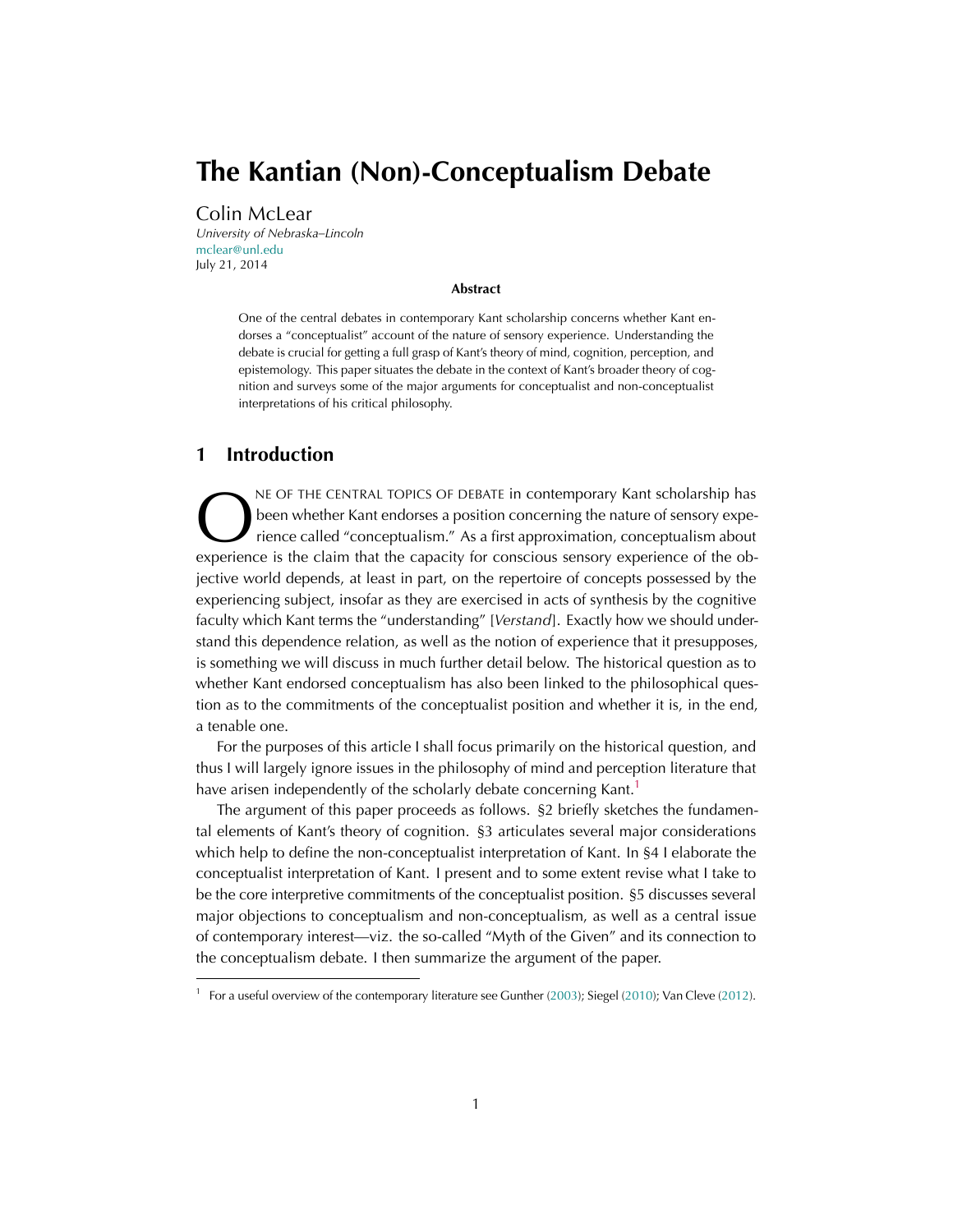# <span id="page-0-1"></span>**The Kantian (Non)-Conceptualism Debate**

Colin McLear

*University of Nebraska–Lincoln* [mclear@unl.edu](mailto:mclear@unl.edu) July 21, 2014

#### **Abstract**

One of the central debates in contemporary Kant scholarship concerns whether Kant endorses a "conceptualist" account of the nature of sensory experience. Understanding the debate is crucial for getting a full grasp of Kant's theory of mind, cognition, perception, and epistemology. This paper situates the debate in the context of Kant's broader theory of cognition and surveys some of the major arguments for conceptualist and non-conceptualist interpretations of his critical philosophy.

## **1 Introduction**

**ONE OF THE CENTRAL TOPICS OF DEBATE in contemporary Kant scholarship has**<br>been whether Kant endorses a position concerning the nature of sensory experience called "conceptualism." As a first approximation, conceptualism a NE OF THE CENTRAL TOPICS OF DEBATE in contemporary Kant scholarship has been whether Kant endorses a position concerning the nature of sensory experience called "conceptualism." As a first approximation, conceptualism about jective world depends, at least in part, on the repertoire of concepts possessed by the experiencing subject, insofar as they are exercised in acts of synthesis by the cognitive faculty which Kant terms the "understanding" [Verstand]. Exactly how we should understand this dependence relation, as well as the notion of experience that it presupposes, is something we will discuss in much further detail below. The historical question as to whether Kant endorsed conceptualism has also been linked to the philosophical question as to the commitments of the conceptualist position and whether it is, in the end, a tenable one.

For the purposes of this article I shall focus primarily on the historical question, and thus I will largely ignore issues in the philosophy of mind and perception literature that have arisen independently of the scholarly debate concerning Kant.<sup>[1](#page-0-0)</sup>

The argument of this paper proceeds as follows.  $\S2$  briefly sketches the fundamental elements of Kant's theory of cognition. §3 articulates several major considerations which help to define the non-conceptualist interpretation of Kant. In  $§4$  I elaborate the conceptualist interpretation of Kant. I present and to some extent revise what I take to be the core interpretive commitments of the conceptualist position. §5 discusses several major objections to conceptualism and non-conceptualism, as well as a central issue of contemporary interest—viz. the so-called "Myth of the Given" and its connection to the conceptualism debate. I then summarize the argument of the paper.

<span id="page-0-0"></span><sup>1</sup> For a useful overview of the contemporary literature see Gunther ([2003](#page-28-0)); Siegel ([2010\)](#page-31-0); Van Cleve ([2012\)](#page-32-0).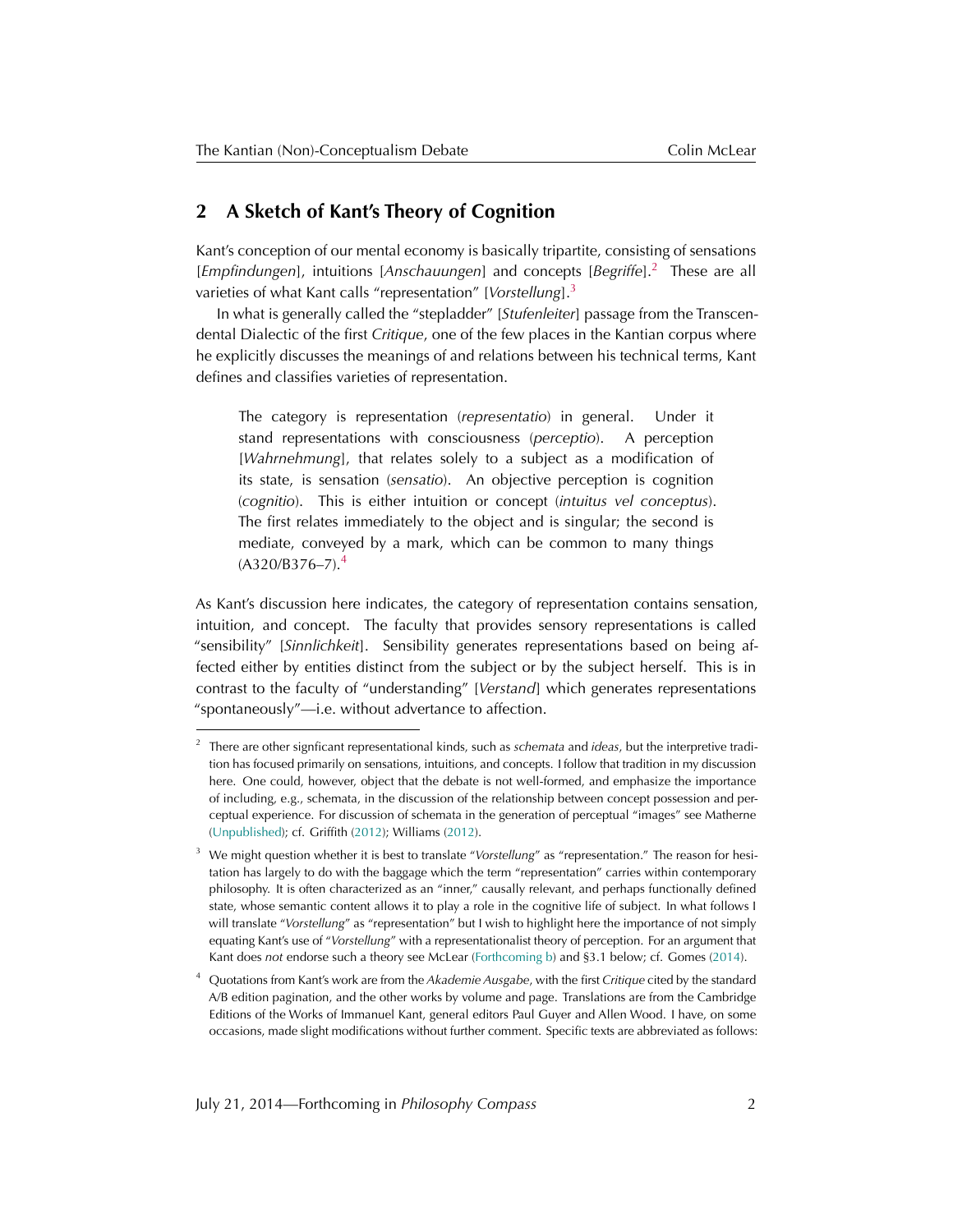## <span id="page-1-3"></span>**2 A Sketch of Kant's Theory of Cognition**

Kant's conception of our mental economy is basically tripartite, consisting of sensations [*Empfindungen*], intuitions [*Anschauungen*] and concepts [*Begriffe*].[2](#page-1-0) These are all varieties of what Kant calls "representation" [Vorstellung].<sup>[3](#page-1-1)</sup>

In what is generally called the "stepladder" [*Stufenleiter*] passage from the Transcendental Dialectic of the first *Critique*, one of the few places in the Kantian corpus where he explicitly discusses the meanings of and relations between his technical terms, Kant defines and classifies varieties of representation.

The category is representation (*representatio*) in general. Under it stand representations with consciousness (*perceptio*). A perception [*Wahrnehmung*], that relates solely to a subject as a modification of its state, is sensation (*sensatio*). An objective perception is cognition (*cognitio*). This is either intuition or concept (*intuitus vel conceptus*). The first relates immediately to the object and is singular; the second is mediate, conveyed by a mark, which can be common to many things  $(A320/B376-7).<sup>4</sup>$  $(A320/B376-7).<sup>4</sup>$  $(A320/B376-7).<sup>4</sup>$ 

As Kant's discussion here indicates, the category of representation contains sensation, intuition, and concept. The faculty that provides sensory representations is called "sensibility" [*Sinnlichkeit*]. Sensibility generates representations based on being affected either by entities distinct from the subject or by the subject herself. This is in contrast to the faculty of "understanding" [*Verstand*] which generates representations "spontaneously"—i.e. without advertance to affection.

<span id="page-1-0"></span><sup>2</sup> There are other signficant representational kinds, such as *schemata* and *ideas*, but the interpretive tradition has focused primarily on sensations, intuitions, and concepts. I follow that tradition in my discussion here. One could, however, object that the debate is not well-formed, and emphasize the importance of including, e.g., schemata, in the discussion of the relationship between concept possession and perceptual experience. For discussion of schemata in the generation of perceptual "images" see Matherne ([Unpublished\)](#page-30-0); cf. Griffith ([2012\)](#page-28-1); Williams [\(2012](#page-33-0)).

<span id="page-1-1"></span>We might question whether it is best to translate "Vorstellung" as "representation." The reason for hesitation has largely to do with the baggage which the term "representation" carries within contemporary philosophy. It is often characterized as an "inner," causally relevant, and perhaps functionally defined state, whose semantic content allows it to play a role in the cognitive life of subject. In what follows I will translate "Vorstellung" as "representation" but I wish to highlight here the importance of not simply equating Kant's use of "*Vorstellung*" with a representationalist theory of perception. For an argument that Kant does *not* endorse such a theory see McLear (Forthcoming b) and §3.1 below; cf. Gomes [\(2014\)](#page-28-2).

<span id="page-1-2"></span>Quotations from Kant's work are from the *Akademie Ausgabe*, with the first *Critique* cited by the standard A/B edition pagination, and the other works by volume and page. Translations are from the Cambridge Editions of the Works of Immanuel Kant, general editors Paul Guyer and Allen Wood. I have, on some occasions, made slight modifications without further comment. Specific texts are abbreviated as follows: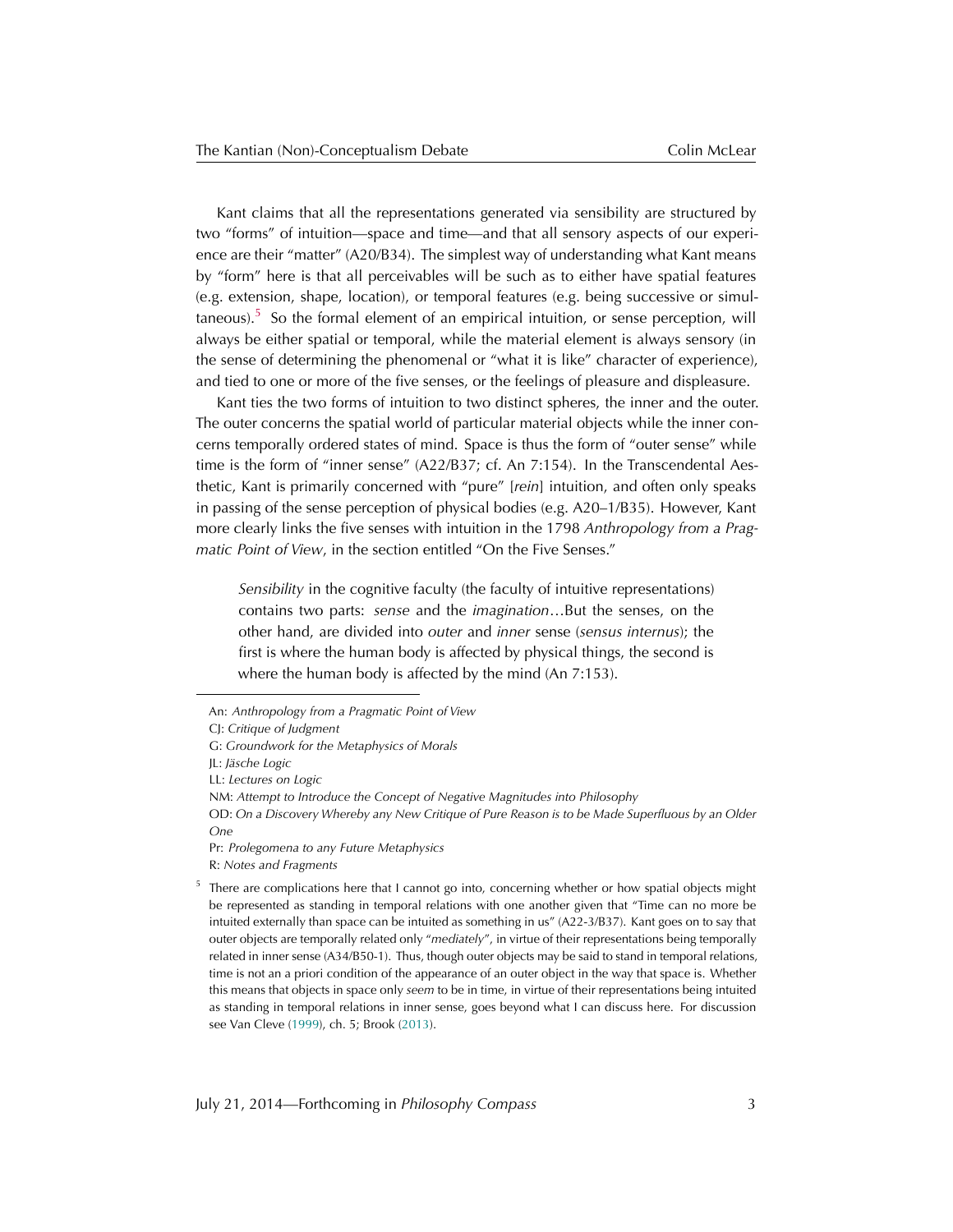<span id="page-2-1"></span>Kant claims that all the representations generated via sensibility are structured by two "forms" of intuition—space and time—and that all sensory aspects of our experience are their "matter" (A20/B34). The simplest way of understanding what Kant means by "form" here is that all perceivables will be such as to either have spatial features  $(e.g. extension, shape, location)$ , or temporal features  $(e.g. being successive or simul$  $taneous$ ).<sup>[5](#page-2-0)</sup> So the formal element of an empirical intuition, or sense perception, will always be either spatial or temporal, while the material element is always sensory (in the sense of determining the phenomenal or "what it is like" character of experience), and tied to one or more of the five senses, or the feelings of pleasure and displeasure.

Kant ties the two forms of intuition to two distinct spheres, the inner and the outer. The outer concerns the spatial world of particular material objects while the inner concerns temporally ordered states of mind. Space is thus the form of "outer sense" while time is the form of "inner sense"  $(A22/B37;$  cf. An 7:154). In the Transcendental Aesthetic, Kant is primarily concerned with "pure" [rein] intuition, and often only speaks in passing of the sense perception of physical bodies (e.g.  $A20-1/B35$ ). However, Kant more clearly links the five senses with intuition in the 1798 *Anthropology from a Pragmatic Point of View*, in the section entitled "On the Five Senses."

*Sensibility* in the cognitive faculty (the faculty of intuitive representations) contains two parts: *sense* and the *imagination*…But the senses, on the other hand, are divided into *outer* and *inner* sense (sensus *internus*); the first is where the human body is affected by physical things, the second is where the human body is affected by the mind  $(An 7:153)$ .

OD: On a Discovery Whereby any New Critique of Pure Reason is to be Made Superfluous by an Older *One*

Pr: Prolegomena to any Future Metaphysics R: *Notes and Fragments*

<span id="page-2-0"></span>5 There are complications here that I cannot go into, concerning whether or how spatial objects might be represented as standing in temporal relations with one another given that "Time can no more be intuited externally than space can be intuited as something in us" (A22-3/B37). Kant goes on to say that outer objects are temporally related only "mediately", in virtue of their representations being temporally related in inner sense (A34/B50-1). Thus, though outer objects may be said to stand in temporal relations, time is not an a priori condition of the appearance of an outer object in the way that space is. Whether this means that objects in space only *seem* to be in time, in virtue of their representations being intuited as standing in temporal relations in inner sense, goes beyond what I can discuss here. For discussion see Van Cleve [\(1999](#page-32-1)), ch. 5; Brook [\(2013](#page-27-0)).

An: *Anthropology from a Pragmatic Point of View* 

CJ: *Critique of Judgment*

G: Groundwork for the Metaphysics of Morals

JL: *Jäsche Logic*

LL: *Lectures* on *Logic* 

NM: Attempt to Introduce the Concept of Negative Magnitudes into Philosophy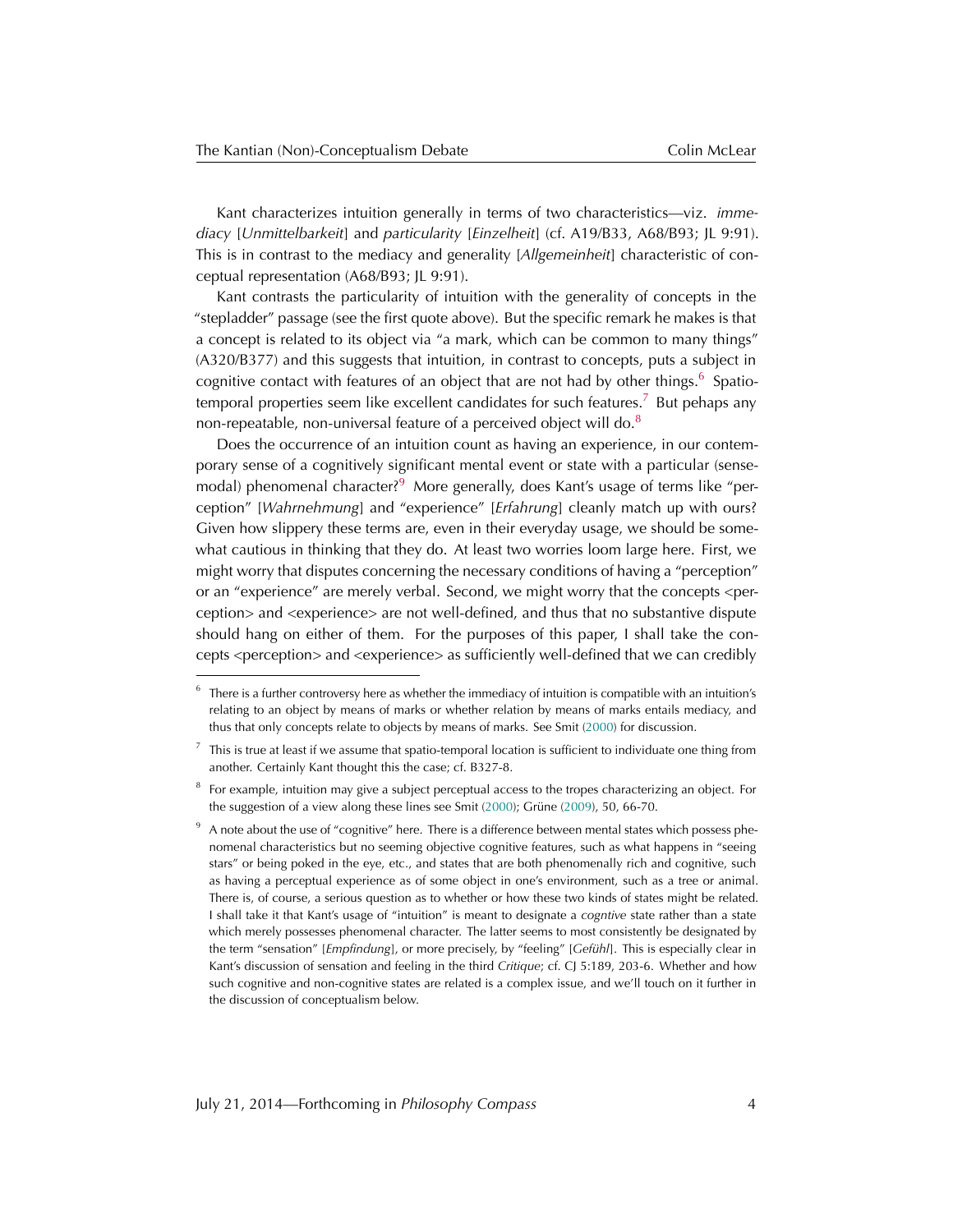<span id="page-3-4"></span>Kant characterizes intuition generally in terms of two characteristics—viz. *immediacy* [*Unmittelbarkeit*] and *particularity* [*Einzelheit*] (cf. A19/B33, A68/B93; JL 9:91). This is in contrast to the mediacy and generality [Allgemeinheit] characteristic of conceptual representation (A68/B93; JL 9:91).

Kant contrasts the particularity of intuition with the generality of concepts in the "stepladder" passage (see the first quote above). But the specific remark he makes is that a concept is related to its object via "a mark, which can be common to many things" (A320/B377) and this suggests that intuition, in contrast to concepts, puts a subject in cognitive contact with features of an object that are not had by other things.<sup>[6](#page-3-0)</sup> Spatio-temporal properties seem like excellent candidates for such features.<sup>[7](#page-3-1)</sup> But pehaps any non-repeatable, non-universal feature of a perceived object will do.<sup>[8](#page-3-2)</sup>

Does the occurrence of an intuition count as having an experience, in our contemporary sense of a cognitively significant mental event or state with a particular (sense-modal) phenomenal character?<sup>[9](#page-3-3)</sup> More generally, does Kant's usage of terms like "perception" [*Wahrnehmung*] and "experience" [*Erfahrung*] cleanly match up with ours? Given how slippery these terms are, even in their everyday usage, we should be somewhat cautious in thinking that they do. At least two worries loom large here. First, we might worry that disputes concerning the necessary conditions of having a "perception" or an "experience" are merely verbal. Second, we might worry that the concepts <perception> and <experience> are not well-defined, and thus that no substantive dispute should hang on either of them. For the purposes of this paper, I shall take the concepts <perception> and <experience> as sufficiently well-defined that we can credibly

<span id="page-3-0"></span><sup>6</sup> There is a further controversy here as whether the immediacy of intuition is compatible with an intuition's relating to an object by means of marks or whether relation by means of marks entails mediacy, and thus that only concepts relate to objects by means of marks. See Smit [\(2000](#page-31-1)) for discussion.

<span id="page-3-1"></span><sup>7</sup> This is true at least if we assume that spatio-temporal location is sufficient to individuate one thing from another. Certainly Kant thought this the case; cf. B327-8.

<span id="page-3-2"></span><sup>8</sup> For example, intuition may give a subject perceptual access to the tropes characterizing an object. For the suggestion of a view along these lines see Smit  $(2000)$  $(2000)$ ; Grüne  $(2009)$  $(2009)$  $(2009)$ , 50, 66-70.

<span id="page-3-3"></span>A note about the use of "cognitive" here. There is a difference between mental states which possess phenomenal characteristics but no seeming objective cognitive features, such as what happens in "seeing stars" or being poked in the eye, etc., and states that are both phenomenally rich and cognitive, such as having a perceptual experience as of some object in one's environment, such as a tree or animal. There is, of course, a serious question as to whether or how these two kinds of states might be related. I shall take it that Kant's usage of "intuition" is meant to designate a *cogntive* state rather than a state which merely possesses phenomenal character. The latter seems to most consistently be designated by the term "sensation" [*Empfindung*], or more precisely, by "feeling" [*Gefühl*]. This is especially clear in Kant's discussion of sensation and feeling in the third *Critique*; cf. CJ 5:189, 203-6. Whether and how such cognitive and non-cognitive states are related is a complex issue, and we'll touch on it further in the discussion of conceptualism below.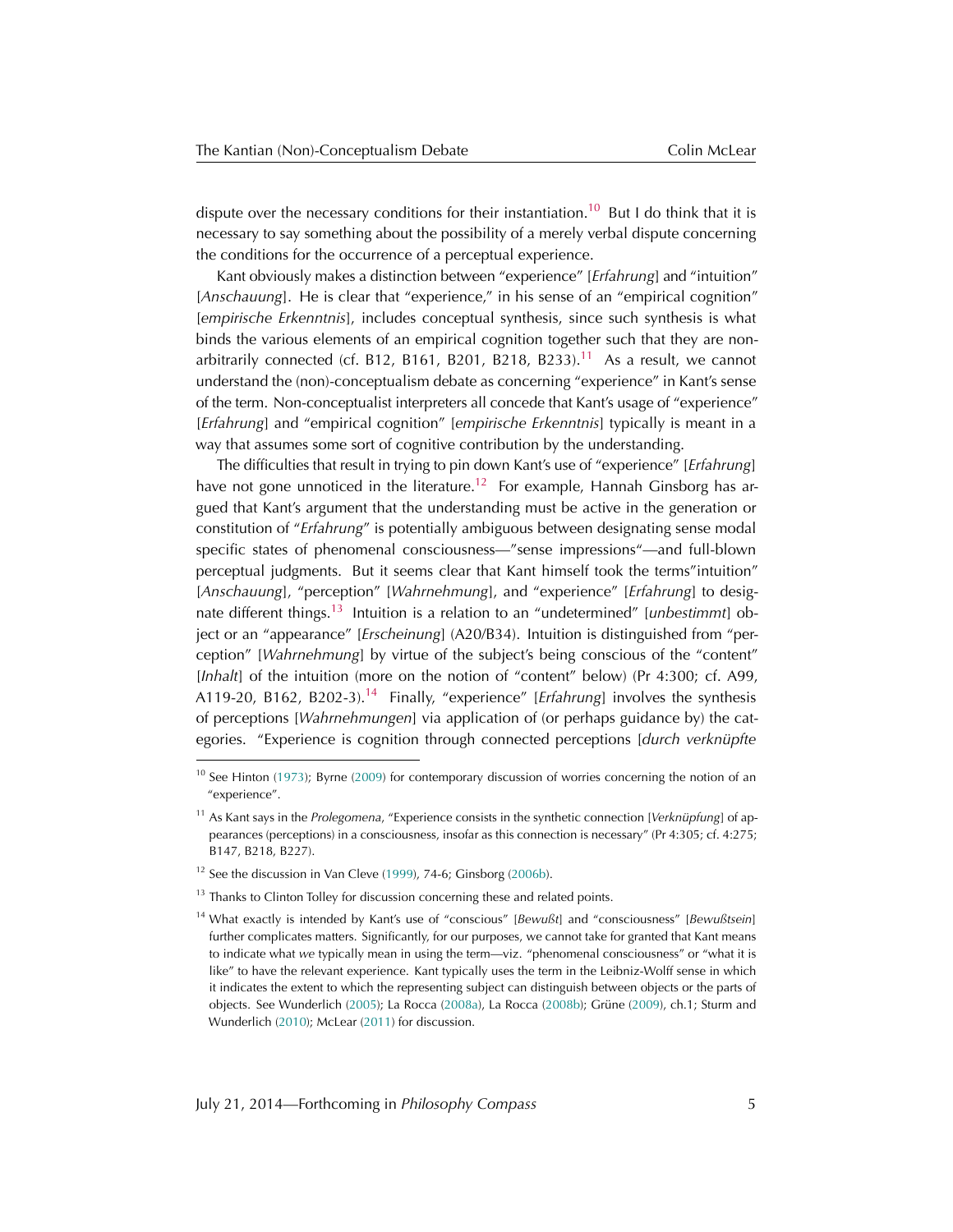<span id="page-4-5"></span>dispute over the necessary conditions for their instantiation.<sup>[10](#page-4-0)</sup> But I do think that it is necessary to say something about the possibility of a merely verbal dispute concerning the conditions for the occurrence of a perceptual experience.

Kant obviously makes a distinction between "experience" [*Erfahrung*] and "intuition" [Anschauung]. He is clear that "experience," in his sense of an "empirical cognition" [*empirische Erkenntnis*], includes conceptual synthesis, since such synthesis is what binds the various elements of an empirical cognition together such that they are non-arbitrarily connected (cf. B12, B161, B201, B218, B233).<sup>[11](#page-4-1)</sup> As a result, we cannot understand the (non)-conceptualism debate as concerning "experience" in Kant's sense of the term. Non-conceptualist interpreters all concede that Kant's usage of "experience" [*Erfahrung*] and "empirical cognition" [*empirische Erkenntnis*] typically is meant in a way that assumes some sort of cognitive contribution by the understanding.

The difficulties that result in trying to pin down Kant's use of "experience" [*Erfahrung*] have not gone unnoticed in the literature.<sup>[12](#page-4-2)</sup> For example, Hannah Ginsborg has argued that Kant's argument that the understanding must be active in the generation or constitution of "*Erfahrung*" is potentially ambiguous between designating sense modal specific states of phenomenal consciousness—"sense impressions"—and full-blown perceptual judgments. But it seems clear that Kant himself took the terms"intuition" [Anschauung], "perception" [Wahrnehmung], and "experience" [*Erfahrung*] to desig-nate different things.<sup>[13](#page-4-3)</sup> Intuition is a relation to an "undetermined" [*unbestimmt*] object or an "appearance" [*Erscheinung*] (A20/B34). Intuition is distinguished from "perception" [*Wahrnehmung*] by virtue of the subject's being conscious of the "content" [Inhalt] of the intuition (more on the notion of "content" below) (Pr 4:300; cf. A99, A119-20, B162, B202-3).<sup>[14](#page-4-4)</sup> Finally, "experience" [*Erfahrung*] involves the synthesis of perceptions [Wahrnehmungen] via application of (or perhaps guidance by) the categories. "Experience is cognition through connected perceptions [*durch verknüpfte*]

<span id="page-4-0"></span><sup>&</sup>lt;sup>10</sup> See Hinton [\(1973\)](#page-29-0); Byrne [\(2009\)](#page-27-1) for contemporary discussion of worries concerning the notion of an "experience".

<span id="page-4-1"></span><sup>&</sup>lt;sup>11</sup> As Kant says in the *Prolegomena*, "Experience consists in the synthetic connection [Verknüpfung] of appearances (perceptions) in a consciousness, insofar as this connection is necessary" (Pr 4:305; cf. 4:275; B147, B218, B227).

<span id="page-4-2"></span> $12$  See the discussion in Van Cleve ([1999\)](#page-32-1), 74-6; Ginsborg ([2006b\)](#page-28-4).

<span id="page-4-3"></span> $13$  Thanks to Clinton Tolley for discussion concerning these and related points.

<span id="page-4-4"></span><sup>&</sup>lt;sup>14</sup> What exactly is intended by Kant's use of "conscious" [*Bewußt*] and "consciousness" [*Bewußtsein*] further complicates matters. Significantly, for our purposes, we cannot take for granted that Kant means to indicate what *we* typically mean in using the term—viz. "phenomenal consciousness" or "what it is like" to have the relevant experience. Kant typically uses the term in the Leibniz-Wolff sense in which it indicates the extent to which the representing subject can distinguish between objects or the parts of objects. See Wunderlich [\(2005](#page-33-1)); La Rocca ([2008a](#page-29-1)), La Rocca ([2008b\)](#page-29-2); Grüne [\(2009](#page-28-3)), ch.1; Sturm and Wunderlich [\(2010\)](#page-32-2); McLear ([2011\)](#page-30-2) for discussion.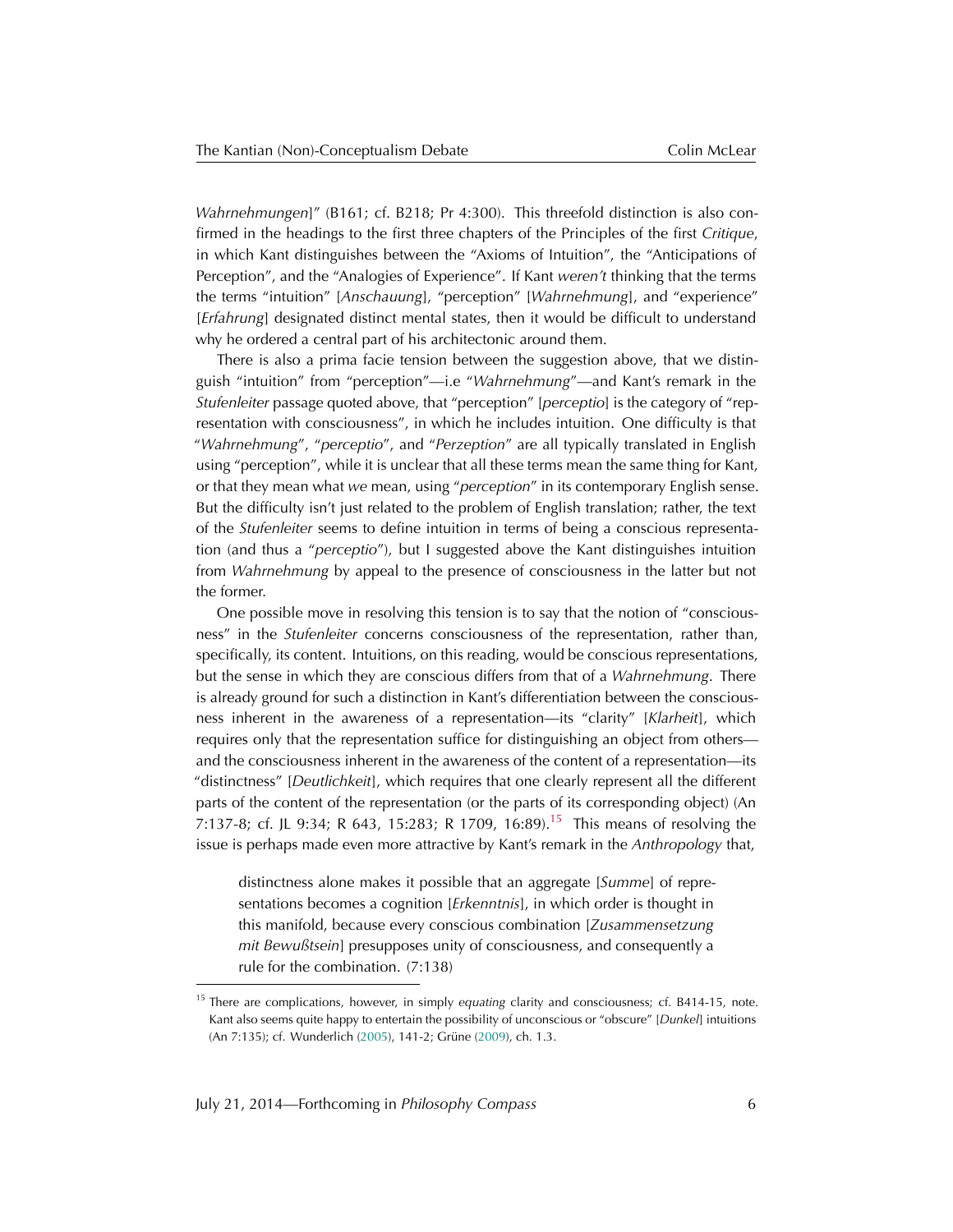<span id="page-5-1"></span>*Wahrnehmungen*]" (B161; cf. B218; Pr 4:300). This threefold distinction is also confirmed in the headings to the first three chapters of the Principles of the first *Critique*, in which Kant distinguishes between the "Axioms of Intuition", the "Anticipations of Perception", and the "Analogies of Experience". If Kant *weren't* thinking that the terms the terms "intuition" [*Anschauung*], "perception" [*Wahrnehmung*], and "experience" [*Erfahrung*] designated distinct mental states, then it would be difficult to understand why he ordered a central part of his architectonic around them.

There is also a prima facie tension between the suggestion above, that we distinguish "intuition" from "perception"—i.e "*Wahrnehmung*"—and Kant's remark in the *Stufenleiter* passage quoted above, that "perception" [*perceptio*] is the category of "representation with consciousness", in which he includes intuition. One difficulty is that "*Wahrnehmung*", "*perceptio*", and "*Perzeption*" are all typically translated in English using "perception", while it is unclear that all these terms mean the same thing for Kant, or that they mean what we mean, using "perception" in its contemporary English sense. But the difficulty isn't just related to the problem of English translation; rather, the text of the *Stufenleiter* seems to define intuition in terms of being a conscious representation (and thus a "*perceptio*"), but I suggested above the Kant distinguishes intuition from *Wahrnehmung* by appeal to the presence of consciousness in the latter but not the former.

One possible move in resolving this tension is to say that the notion of "consciousness" in the *Stufenleiter* concerns consciousness of the representation, rather than, specifically, its content. Intuitions, on this reading, would be conscious representations, but the sense in which they are conscious differs from that of a *Wahrnehmung*. There is already ground for such a distinction in Kant's differentiation between the consciousness inherent in the awareness of a representation—its "clarity" [Klarheit], which requires only that the representation suffice for distinguishing an object from others and the consciousness inherent in the awareness of the content of a representation—its "distinctness" [*Deutlichkeit*], which requires that one clearly represent all the different parts of the content of the representation (or the parts of its corresponding object) (An 7:137-8; cf. JL 9:34; R 643, [15](#page-5-0):283; R 1709, 16:89).<sup>15</sup> This means of resolving the issue is perhaps made even more attractive by Kant's remark in the *Anthropology* that,

distinctness alone makes it possible that an aggregate [*Summe*] of representations becomes a cognition [*Erkenntnis*], in which order is thought in this manifold, because every conscious combination [Zusammensetzung *mit Bewußtsein*] presupposes unity of consciousness, and consequently a rule for the combination.  $(7:138)$ 

<span id="page-5-0"></span><sup>&</sup>lt;sup>15</sup> There are complications, however, in simply equating clarity and consciousness; cf. B414-15, note. Kant also seems quite happy to entertain the possibility of unconscious or "obscure" [*Dunkel*] intuitions (An 7:135); cf. Wunderlich ([2005](#page-33-1)), 141-2; Grüne [\(2009](#page-28-3)), ch. 1.3.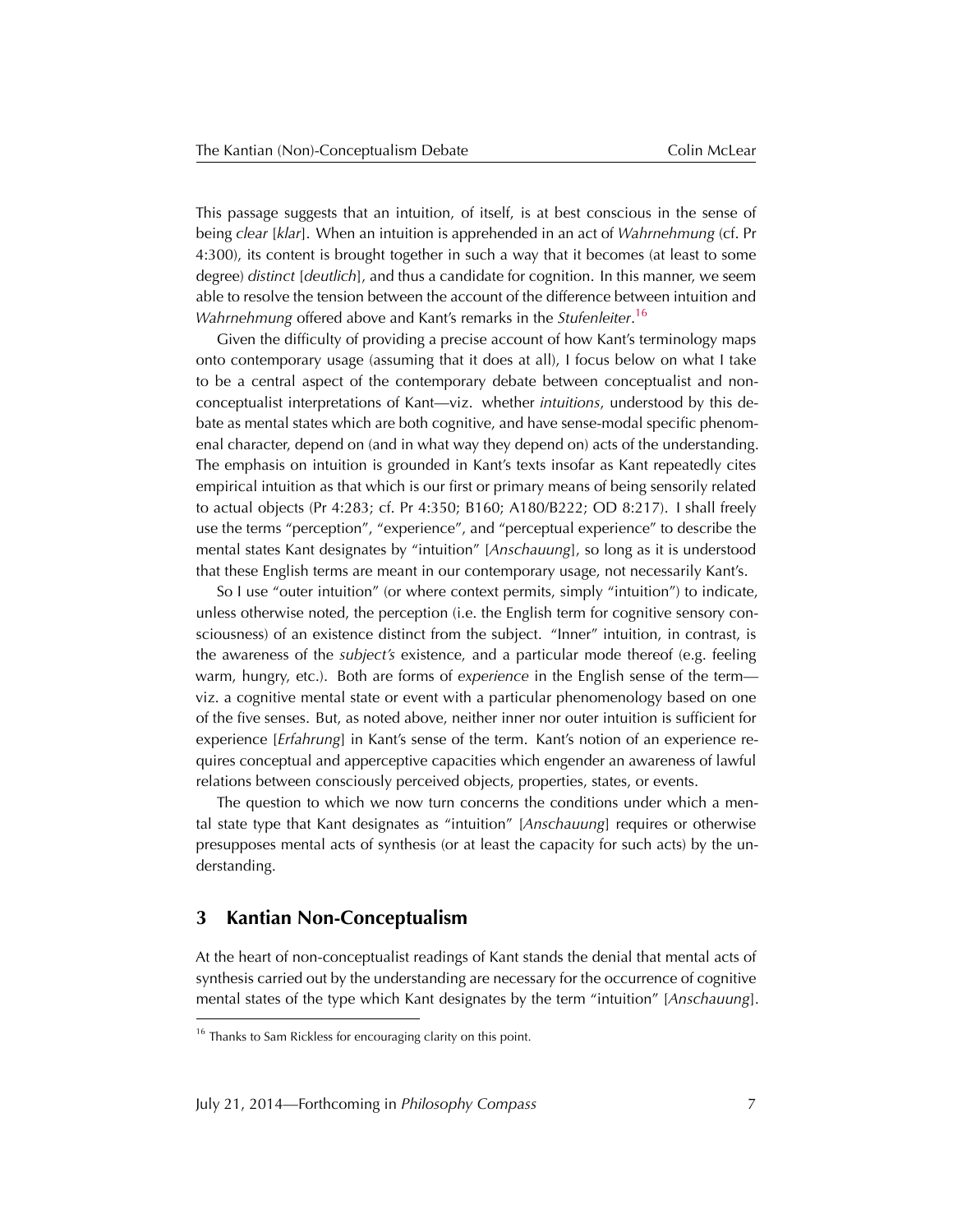This passage suggests that an intuition, of itself, is at best conscious in the sense of being *clear* [*klar*]. When an intuition is apprehended in an act of *Wahrnehmung* (cf. Pr 4:300), its content is brought together in such a way that it becomes (at least to some degree) *distinct* [*deutlich*], and thus a candidate for cognition. In this manner, we seem able to resolve the tension between the account of the difference between intuition and Wahrnehmung offered above and Kant's remarks in the *Stufenleiter*.<sup>[16](#page-6-0)</sup>

Given the difficulty of providing a precise account of how Kant's terminology maps onto contemporary usage (assuming that it does at all), I focus below on what I take to be a central aspect of the contemporary debate between conceptualist and nonconceptualist interpretations of Kant—viz. whether *intuitions*, understood by this debate as mental states which are both cognitive, and have sense-modal specific phenomenal character, depend on (and in what way they depend on) acts of the understanding. The emphasis on intuition is grounded in Kant's texts insofar as Kant repeatedly cites empirical intuition as that which is our first or primary means of being sensorily related to actual objects (Pr 4:283; cf. Pr 4:350; B160; A180/B222; OD 8:217). I shall freely use the terms "perception", "experience", and "perceptual experience" to describe the mental states Kant designates by "intuition" [*Anschauung*], so long as it is understood that these English terms are meant in our contemporary usage, not necessarily Kant's.

So I use "outer intuition" (or where context permits, simply "intuition") to indicate, unless otherwise noted, the perception (i.e. the English term for cognitive sensory consciousness) of an existence distinct from the subject. "Inner" intuition, in contrast, is the awareness of the *subject's* existence, and a particular mode thereof (e.g. feeling warm, hungry, etc.). Both are forms of *experience* in the English sense of the term viz. a cognitive mental state or event with a particular phenomenology based on one of the five senses. But, as noted above, neither inner nor outer intuition is sufficient for experience [*Erfahrung*] in Kant's sense of the term. Kant's notion of an experience requires conceptual and apperceptive capacities which engender an awareness of lawful relations between consciously perceived objects, properties, states, or events.

The question to which we now turn concerns the conditions under which a mental state type that Kant designates as "intuition" [*Anschauung*] requires or otherwise presupposes mental acts of synthesis (or at least the capacity for such acts) by the understanding.

## **3 Kantian Non-Conceptualism**

At the heart of non-conceptualist readings of Kant stands the denial that mental acts of synthesis carried out by the understanding are necessary for the occurrence of cognitive mental states of the type which Kant designates by the term "intuition" [Anschauung].

<span id="page-6-0"></span> $16$  Thanks to Sam Rickless for encouraging clarity on this point.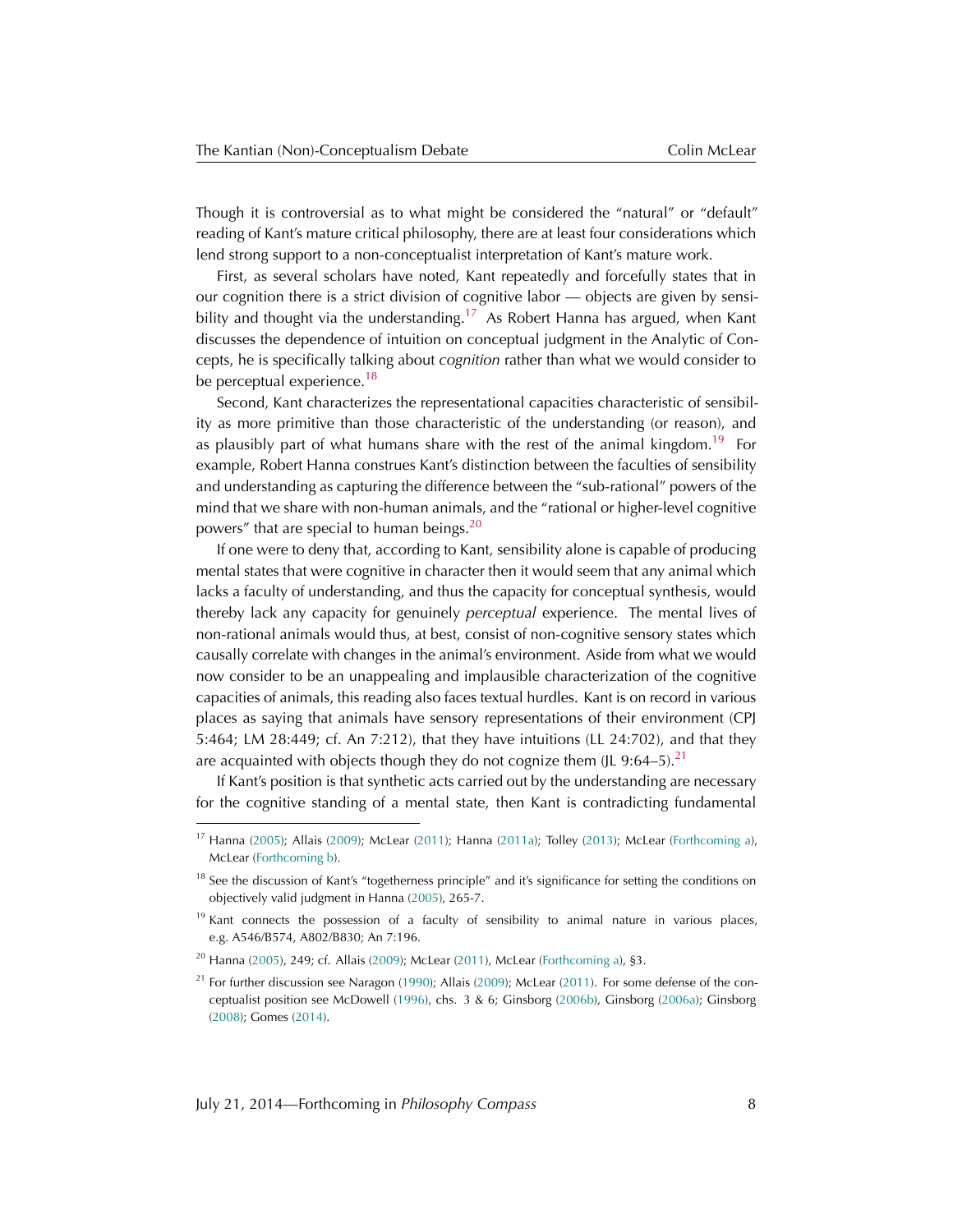<span id="page-7-5"></span>Though it is controversial as to what might be considered the "natural" or "default" reading of Kant's mature critical philosophy, there are at least four considerations which lend strong support to a non-conceptualist interpretation of Kant's mature work.

First, as several scholars have noted, Kant repeatedly and forcefully states that in our cognition there is a strict division of cognitive labor — objects are given by sensi-bility and thought via the understanding.<sup>[17](#page-7-0)</sup> As Robert Hanna has argued, when Kant discusses the dependence of intuition on conceptual judgment in the Analytic of Concepts, he is specifically talking about *cognition* rather than what we would consider to be perceptual experience.<sup>[18](#page-7-1)</sup>

Second, Kant characterizes the representational capacities characteristic of sensibility as more primitive than those characteristic of the understanding (or reason), and as plausibly part of what humans share with the rest of the animal kingdom.<sup>[19](#page-7-2)</sup> For example, Robert Hanna construes Kant's distinction between the faculties of sensibility and understanding as capturing the difference between the "sub-rational" powers of the mind that we share with non-human animals, and the "rational or higher-level cognitive powers" that are special to human beings. $20$ 

If one were to deny that, according to Kant, sensibility alone is capable of producing mental states that were cognitive in character then it would seem that any animal which lacks a faculty of understanding, and thus the capacity for conceptual synthesis, would thereby lack any capacity for genuinely *perceptual* experience. The mental lives of non-rational animals would thus, at best, consist of non-cognitive sensory states which causally correlate with changes in the animal's environment. Aside from what we would now consider to be an unappealing and implausible characterization of the cognitive capacities of animals, this reading also faces textual hurdles. Kant is on record in various places as saying that animals have sensory representations of their environment (CPJ) 5:464; LM 28:449; cf. An  $7:212$ ), that they have intuitions (LL 24:702), and that they are acquainted with objects though they do not cognize them (JL 9:64–5).<sup>[21](#page-7-4)</sup>

If Kant's position is that synthetic acts carried out by the understanding are necessary for the cognitive standing of a mental state, then Kant is contradicting fundamental

<span id="page-7-0"></span> $17$  Hanna ([2005](#page-28-5)); Allais [\(2009\)](#page-26-0); McLear [\(2011](#page-30-2)); Hanna ([2011a](#page-29-3)); Tolley ([2013](#page-32-3)); McLear (Forthcoming a), McLear (Forthcoming b).

<span id="page-7-1"></span> $18$  See the discussion of Kant's "togetherness principle" and it's significance for setting the conditions on objectively valid judgment in Hanna [\(2005](#page-28-5)), 265-7.

<span id="page-7-2"></span> $19$  Kant connects the possession of a faculty of sensibility to animal nature in various places, e.g. A546/B574, A802/B830; An 7:196.

<span id="page-7-3"></span> $20$  Hanna [\(2005\)](#page-28-5), 249; cf. Allais [\(2009](#page-26-0)); McLear ([2011\)](#page-30-2), McLear (Forthcoming a), §3.

<span id="page-7-4"></span><sup>&</sup>lt;sup>21</sup> For further discussion see Naragon [\(1990](#page-30-4)); Allais ([2009](#page-26-0)); McLear ([2011\)](#page-30-2). For some defense of the con-ceptualist position see McDowell [\(1996](#page-30-5)), chs. 3 & 6; Ginsborg ([2006b\)](#page-28-4), Ginsborg [\(2006a](#page-28-6)); Ginsborg ([2008](#page-28-7)); Gomes ([2014\)](#page-28-2).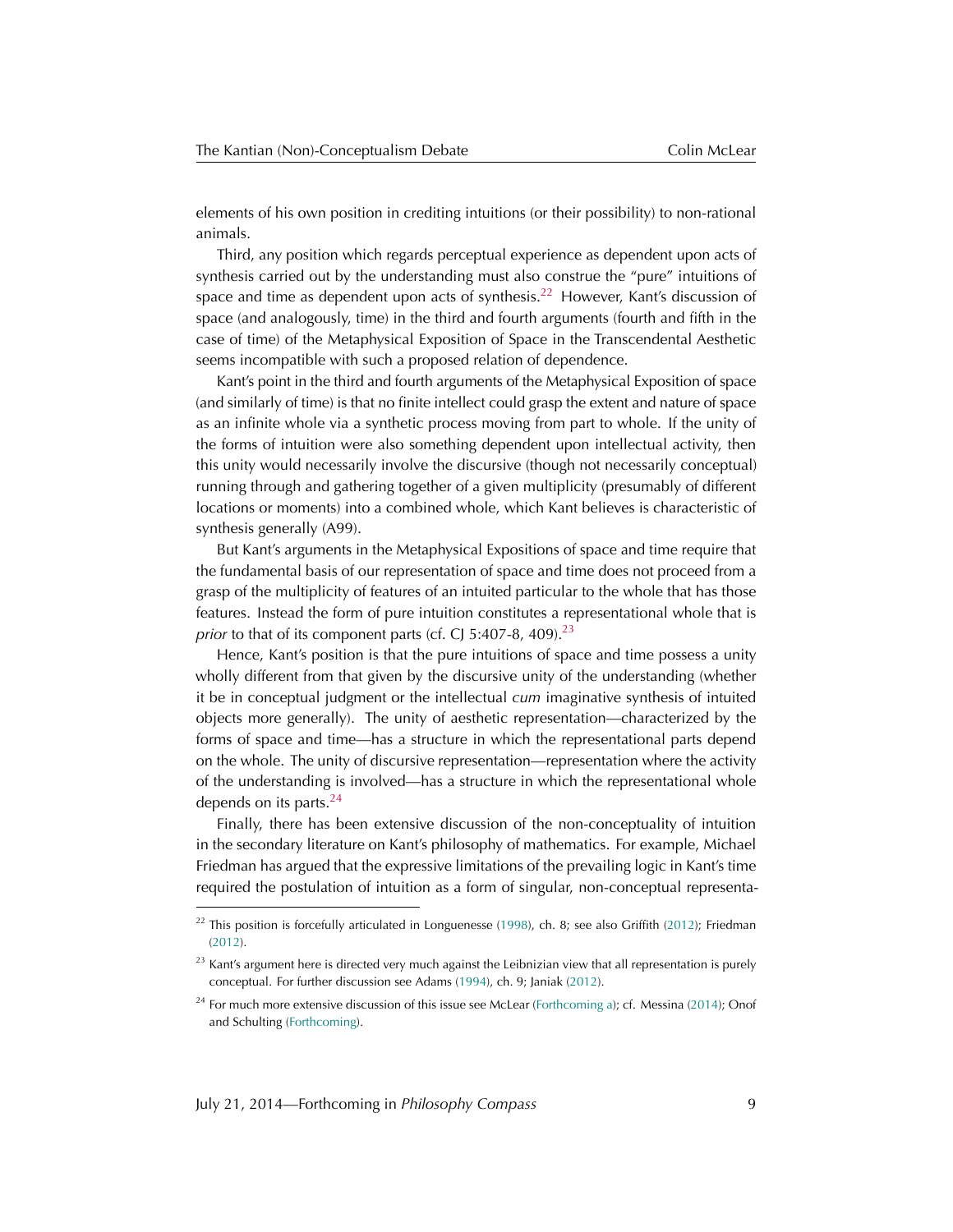<span id="page-8-3"></span>elements of his own position in crediting intuitions (or their possibility) to non-rational animals.

Third, any position which regards perceptual experience as dependent upon acts of synthesis carried out by the understanding must also construe the "pure" intuitions of space and time as dependent upon acts of synthesis.<sup>[22](#page-8-0)</sup> However, Kant's discussion of space (and analogously, time) in the third and fourth arguments (fourth and fifth in the case of time) of the Metaphysical Exposition of Space in the Transcendental Aesthetic seems incompatible with such a proposed relation of dependence.

Kant's point in the third and fourth arguments of the Metaphysical Exposition of space (and similarly of time) is that no finite intellect could grasp the extent and nature of space as an infinite whole via a synthetic process moving from part to whole. If the unity of the forms of intuition were also something dependent upon intellectual activity, then this unity would necessarily involve the discursive (though not necessarily conceptual) running through and gathering together of a given multiplicity (presumably of different locations or moments) into a combined whole, which Kant believes is characteristic of synthesis generally (A99).

But Kant's arguments in the Metaphysical Expositions of space and time require that the fundamental basis of our representation of space and time does not proceed from a grasp of the multiplicity of features of an intuited particular to the whole that has those features. Instead the form of pure intuition constitutes a representational whole that is *prior* to that of its component parts (cf. CJ 5:407-8, 409).<sup>[23](#page-8-1)</sup>

Hence, Kant's position is that the pure intuitions of space and time possess a unity wholly different from that given by the discursive unity of the understanding (whether it be in conceptual judgment or the intellectual *cum* imaginative synthesis of intuited objects more generally). The unity of aesthetic representation—characterized by the forms of space and time—has a structure in which the representational parts depend on the whole. The unity of discursive representation—representation where the activity of the understanding is involved—has a structure in which the representational whole depends on its parts. $^{24}$  $^{24}$  $^{24}$ 

Finally, there has been extensive discussion of the non-conceptuality of intuition in the secondary literature on Kant's philosophy of mathematics. For example, Michael Friedman has argued that the expressive limitations of the prevailing logic in Kant's time required the postulation of intuition as a form of singular, non-conceptual representa-

<span id="page-8-0"></span> $^{22}$  This position is forcefully articulated in Longuenesse ([1998](#page-29-4)), ch. 8; see also Griffith ([2012\)](#page-28-1); Friedman ([2012](#page-27-2)).

<span id="page-8-1"></span> $23$  Kant's argument here is directed very much against the Leibnizian view that all representation is purely conceptual. For further discussion see Adams ([1994\)](#page-26-1), ch. 9; Janiak [\(2012](#page-29-5)).

<span id="page-8-2"></span> $24$  For much more extensive discussion of this issue see McLear (Forthcoming a); cf. Messina ([2014\)](#page-30-6); Onof and Schulting ([Forthcoming](#page-30-7)).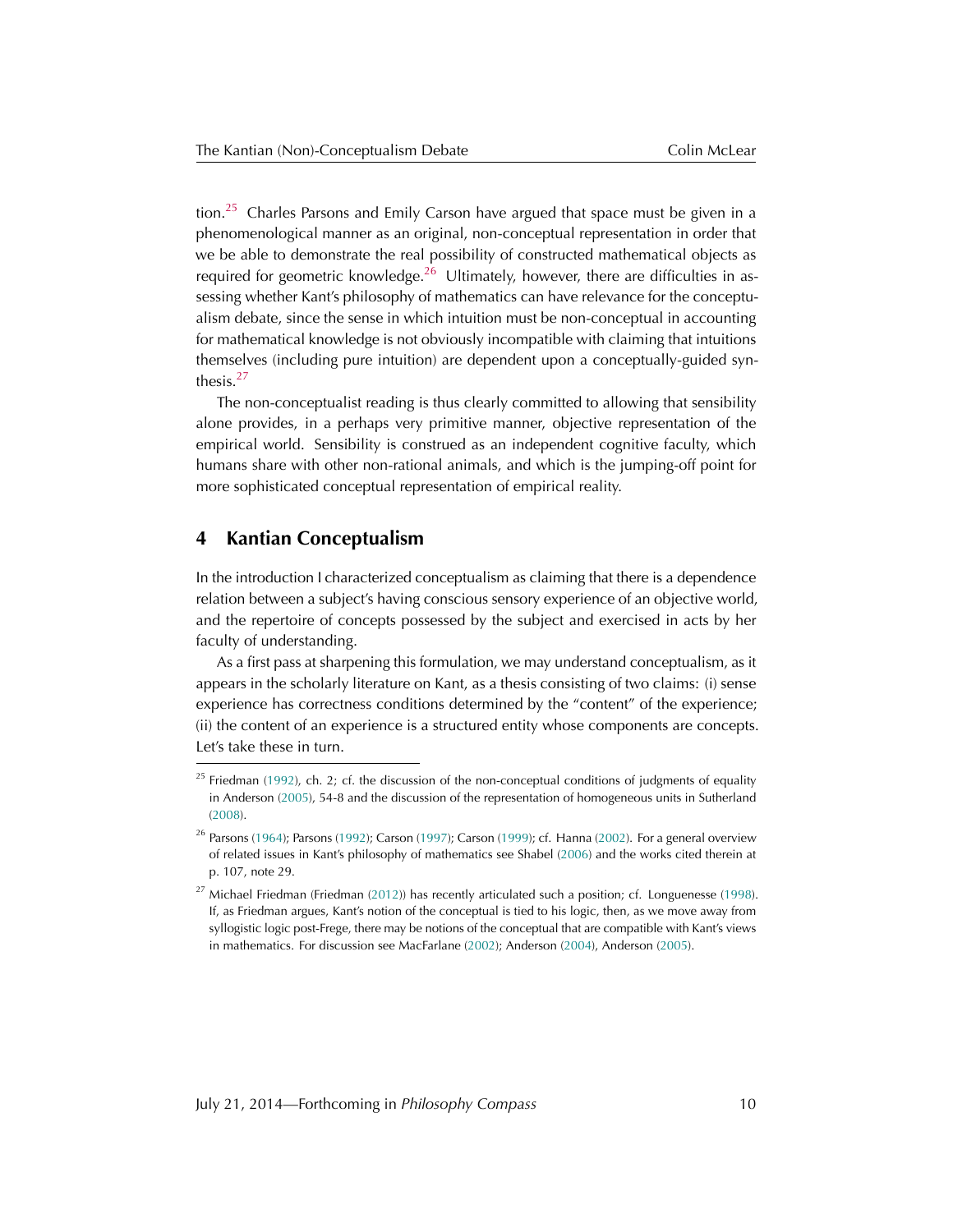<span id="page-9-3"></span>tion.<sup>[25](#page-9-0)</sup> Charles Parsons and Emily Carson have argued that space must be given in a phenomenological manner as an original, non-conceptual representation in order that we be able to demonstrate the real possibility of constructed mathematical objects as required for geometric knowledge.<sup>[26](#page-9-1)</sup> Ultimately, however, there are difficulties in assessing whether Kant's philosophy of mathematics can have relevance for the conceptualism debate, since the sense in which intuition must be non-conceptual in accounting for mathematical knowledge is not obviously incompatible with claiming that intuitions themselves (including pure intuition) are dependent upon a conceptually-guided syn-thesis.<sup>[27](#page-9-2)</sup>

The non-conceptualist reading is thus clearly committed to allowing that sensibility alone provides, in a perhaps very primitive manner, objective representation of the empirical world. Sensibility is construed as an independent cognitive faculty, which humans share with other non-rational animals, and which is the jumping-off point for more sophisticated conceptual representation of empirical reality.

## **4 Kantian Conceptualism**

In the introduction I characterized conceptualism as claiming that there is a dependence relation between a subject's having conscious sensory experience of an objective world, and the repertoire of concepts possessed by the subject and exercised in acts by her faculty of understanding.

As a first pass at sharpening this formulation, we may understand conceptualism, as it appears in the scholarly literature on Kant, as a thesis consisting of two claims: (i) sense experience has correctness conditions determined by the "content" of the experience; (ii) the content of an experience is a structured entity whose components are concepts. Let's take these in turn.

<span id="page-9-0"></span> $25$  Friedman ([1992](#page-27-3)), ch. 2; cf. the discussion of the non-conceptual conditions of judgments of equality in Anderson ([2005](#page-26-2)), 54-8 and the discussion of the representation of homogeneous units in Sutherland ([2008](#page-32-4)).

<span id="page-9-1"></span> $^{26}$  Parsons ([1964\)](#page-30-8); Parsons ([1992](#page-31-2)); Carson ([1997\)](#page-27-4); Carson [\(1999\)](#page-27-5); cf. Hanna ([2002](#page-28-8)). For a general overview of related issues in Kant's philosophy of mathematics see Shabel [\(2006](#page-31-3)) and the works cited therein at p. 107, note 29.

<span id="page-9-2"></span> $^{27}$  Michael Friedman (Friedman ([2012\)](#page-27-2)) has recently articulated such a position; cf. Longuenesse [\(1998](#page-29-4)). If, as Friedman argues, Kant's notion of the conceptual is tied to his logic, then, as we move away from syllogistic logic post-Frege, there may be notions of the conceptual that are compatible with Kant's views in mathematics. For discussion see MacFarlane ([2002](#page-29-6)); Anderson [\(2004](#page-26-3)), Anderson [\(2005](#page-26-2)).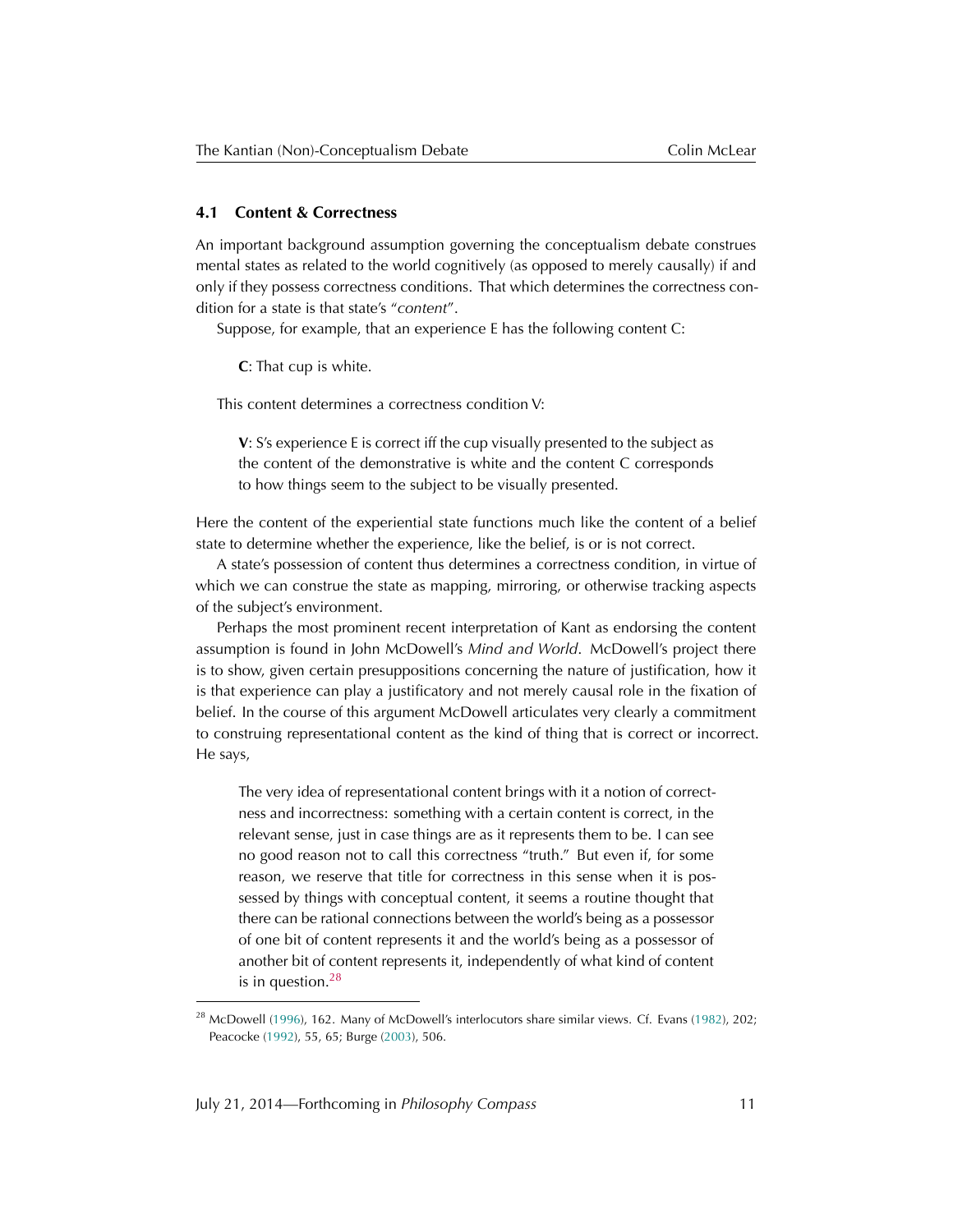#### <span id="page-10-1"></span>**4.1 Content & Correctness**

An important background assumption governing the conceptualism debate construes mental states as related to the world cognitively (as opposed to merely causally) if and only if they possess correctness conditions. That which determines the correctness condition for a state is that state's "content".

Suppose, for example, that an experience  $E$  has the following content  $C$ :

**C**: That cup is white.

This content determines a correctness condition V:

**V**: S's experience E is correct iff the cup visually presented to the subject as the content of the demonstrative is white and the content C corresponds to how things seem to the subject to be visually presented.

Here the content of the experiential state functions much like the content of a belief state to determine whether the experience, like the belief, is or is not correct.

A state's possession of content thus determines a correctness condition, in virtue of which we can construe the state as mapping, mirroring, or otherwise tracking aspects of the subject's environment.

Perhaps the most prominent recent interpretation of Kant as endorsing the content assumption is found in John McDowell's Mind and World. McDowell's project there is to show, given certain presuppositions concerning the nature of justification, how it is that experience can play a justificatory and not merely causal role in the fixation of belief. In the course of this argument McDowell articulates very clearly a commitment to construing representational content as the kind of thing that is correct or incorrect. He says,

The very idea of representational content brings with it a notion of correctness and incorrectness: something with a certain content is correct, in the relevant sense, just in case things are as it represents them to be. I can see no good reason not to call this correctness "truth." But even if, for some reason, we reserve that title for correctness in this sense when it is possessed by things with conceptual content, it seems a routine thought that there can be rational connections between the world's being as a possessor of one bit of content represents it and the world's being as a possessor of another bit of content represents it, independently of what kind of content is in question.<sup>[28](#page-10-0)</sup>

<span id="page-10-0"></span> $^{28}$  McDowell [\(1996](#page-30-5)), 162. Many of McDowell's interlocutors share similar views. Cf. Evans [\(1982](#page-27-6)), 202; Peacocke [\(1992](#page-31-4)), 55, 65; Burge ([2003\)](#page-27-7), 506.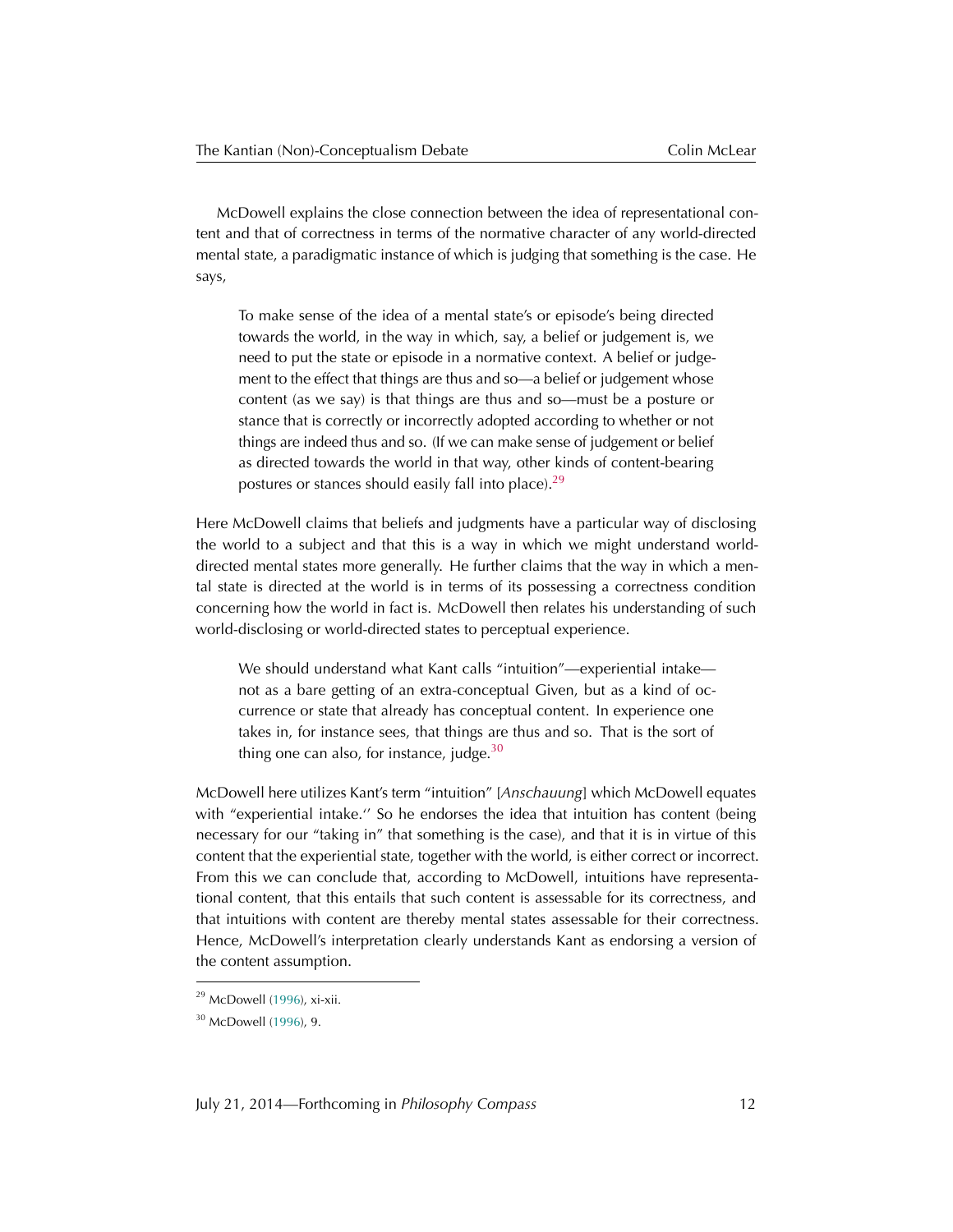<span id="page-11-2"></span>McDowell explains the close connection between the idea of representational content and that of correctness in terms of the normative character of any world-directed mental state, a paradigmatic instance of which is judging that something is the case. He says,

To make sense of the idea of a mental state's or episode's being directed towards the world, in the way in which, say, a belief or judgement is, we need to put the state or episode in a normative context. A belief or judgement to the effect that things are thus and so—a belief or judgement whose content (as we say) is that things are thus and so—must be a posture or stance that is correctly or incorrectly adopted according to whether or not things are indeed thus and so. (If we can make sense of judgement or belief as directed towards the world in that way, other kinds of content-bearing postures or stances should easily fall into place).<sup>[29](#page-11-0)</sup>

Here McDowell claims that beliefs and judgments have a particular way of disclosing the world to a subject and that this is a way in which we might understand worlddirected mental states more generally. He further claims that the way in which a mental state is directed at the world is in terms of its possessing a correctness condition concerning how the world in fact is. McDowell then relates his understanding of such world-disclosing or world-directed states to perceptual experience.

We should understand what Kant calls "intuition"—experiential intake not as a bare getting of an extra-conceptual Given, but as a kind of occurrence or state that already has conceptual content. In experience one takes in, for instance sees, that things are thus and so. That is the sort of thing one can also, for instance, judge.<sup>[30](#page-11-1)</sup>

McDowell here utilizes Kant's term "intuition" [*Anschauung*] which McDowell equates with "experiential intake." So he endorses the idea that intuition has content (being necessary for our "taking in" that something is the case), and that it is in virtue of this content that the experiential state, together with the world, is either correct or incorrect. From this we can conclude that, according to McDowell, intuitions have representational content, that this entails that such content is assessable for its correctness, and that intuitions with content are thereby mental states assessable for their correctness. Hence, McDowell's interpretation clearly understands Kant as endorsing a version of the content assumption.

<span id="page-11-0"></span> $^{29}$  McDowell [\(1996](#page-30-5)), xi-xii.

<span id="page-11-1"></span> $30$  McDowell [\(1996](#page-30-5)), 9.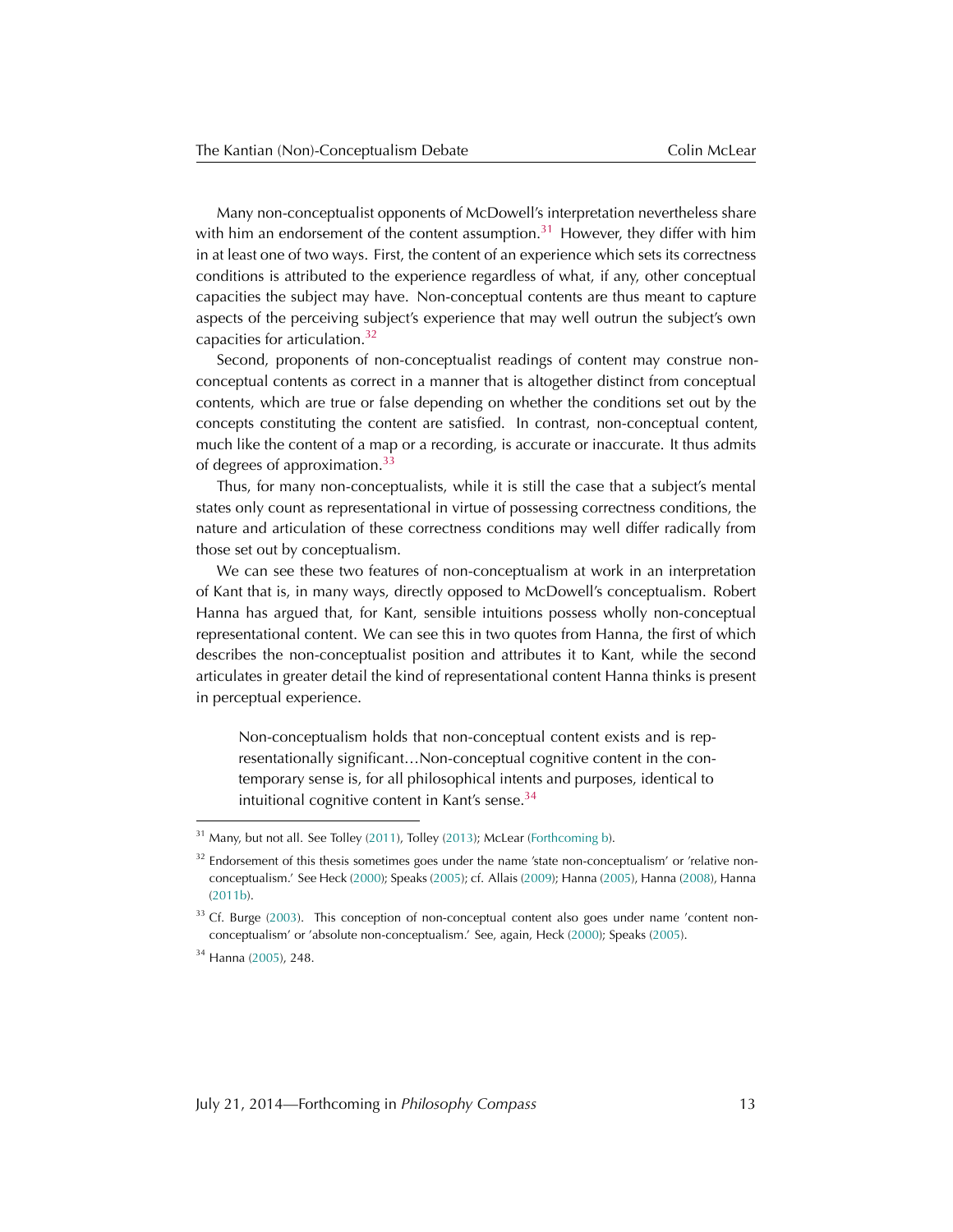<span id="page-12-4"></span>Many non-conceptualist opponents of McDowell's interpretation nevertheless share with him an endorsement of the content assumption.<sup>[31](#page-12-0)</sup> However, they differ with him in at least one of two ways. First, the content of an experience which sets its correctness conditions is attributed to the experience regardless of what, if any, other conceptual capacities the subject may have. Non-conceptual contents are thus meant to capture aspects of the perceiving subject's experience that may well outrun the subject's own capacities for articulation.<sup>[32](#page-12-1)</sup>

Second, proponents of non-conceptualist readings of content may construe nonconceptual contents as correct in a manner that is altogether distinct from conceptual contents, which are true or false depending on whether the conditions set out by the concepts constituting the content are satisfied. In contrast, non-conceptual content, much like the content of a map or a recording, is accurate or inaccurate. It thus admits of degrees of approximation. $33$ 

Thus, for many non-conceptualists, while it is still the case that a subject's mental states only count as representational in virtue of possessing correctness conditions, the nature and articulation of these correctness conditions may well differ radically from those set out by conceptualism.

We can see these two features of non-conceptualism at work in an interpretation of Kant that is, in many ways, directly opposed to McDowell's conceptualism. Robert Hanna has argued that, for Kant, sensible intuitions possess wholly non-conceptual representational content. We can see this in two quotes from Hanna, the first of which describes the non-conceptualist position and attributes it to Kant, while the second articulates in greater detail the kind of representational content Hanna thinks is present in perceptual experience.

Non-conceptualism holds that non-conceptual content exists and is representationally significant...Non-conceptual cognitive content in the contemporary sense is, for all philosophical intents and purposes, identical to intuitional cognitive content in Kant's sense.  $34$ 

<span id="page-12-0"></span> $31$  Many, but not all. See Tolley [\(2011\)](#page-32-5), Tolley ([2013](#page-32-3)); McLear (Forthcoming b).

<span id="page-12-1"></span> $32$  Endorsement of this thesis sometimes goes under the name 'state non-conceptualism' or 'relative nonconceptualism.' See Heck [\(2000\)](#page-29-7); Speaks ([2005](#page-32-6)); cf. Allais ([2009\)](#page-26-0); Hanna ([2005\)](#page-28-5), Hanna ([2008\)](#page-29-8), Hanna ([2011b\)](#page-29-9).

<span id="page-12-2"></span> $33$  Cf. Burge [\(2003](#page-27-7)). This conception of non-conceptual content also goes under name 'content non-conceptualism' or 'absolute non-conceptualism.' See, again, Heck [\(2000\)](#page-29-7); Speaks ([2005](#page-32-6)).

<span id="page-12-3"></span><sup>34</sup> Hanna [\(2005\)](#page-28-5), 248.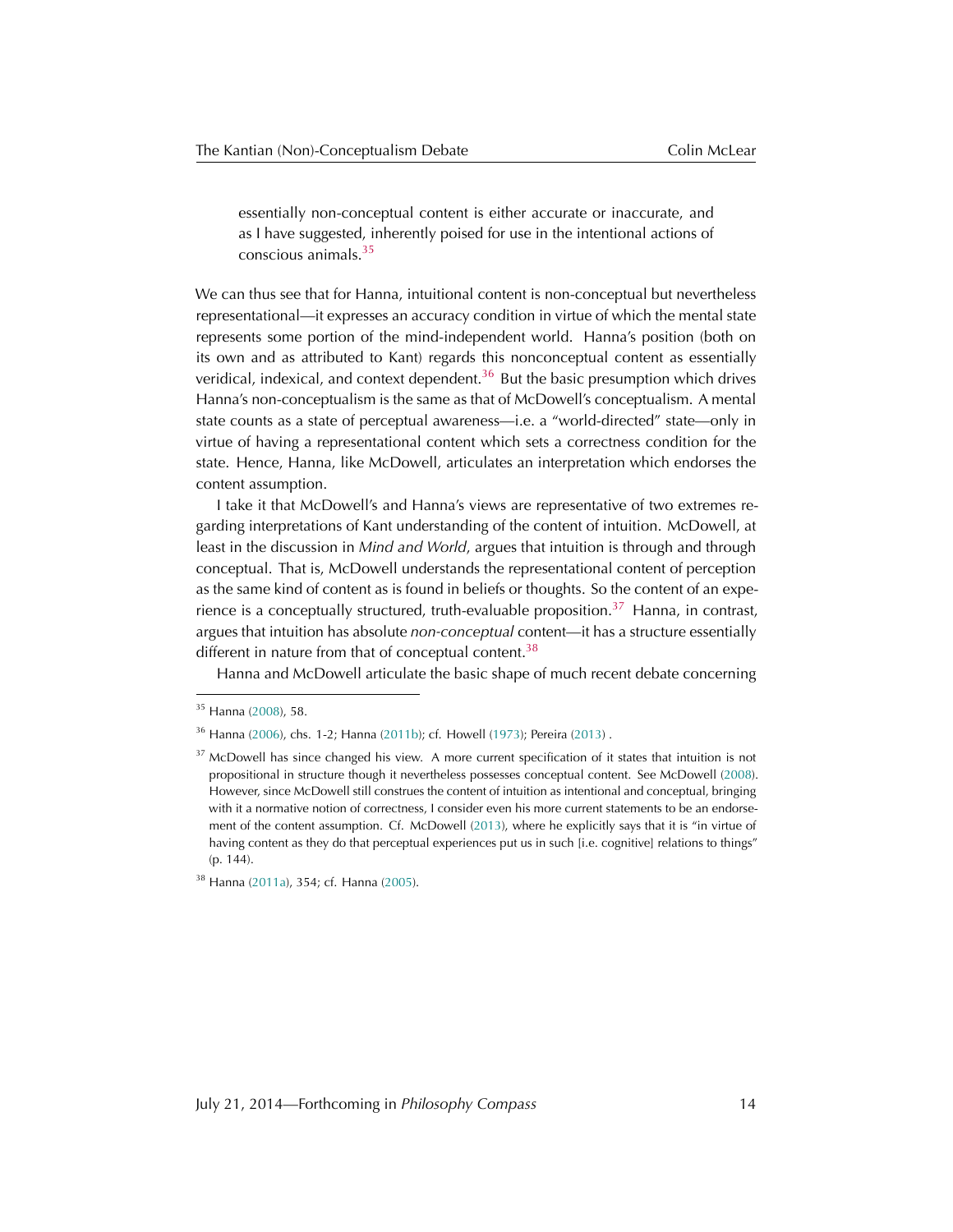<span id="page-13-4"></span>essentially non-conceptual content is either accurate or inaccurate, and as I have suggested, inherently poised for use in the intentional actions of conscious animals. $35$ 

We can thus see that for Hanna, intuitional content is non-conceptual but nevertheless representational—it expresses an accuracy condition in virtue of which the mental state represents some portion of the mind-independent world. Hanna's position (both on its own and as attributed to Kant) regards this nonconceptual content as essentially veridical, indexical, and context dependent.<sup>[36](#page-13-1)</sup> But the basic presumption which drives Hanna's non-conceptualism is the same as that of McDowell's conceptualism. A mental state counts as a state of perceptual awareness—i.e. a "world-directed" state—only in virtue of having a representational content which sets a correctness condition for the state. Hence, Hanna, like McDowell, articulates an interpretation which endorses the content assumption.

I take it that McDowell's and Hanna's views are representative of two extremes regarding interpretations of Kant understanding of the content of intuition. McDowell, at least in the discussion in *Mind and World*, argues that intuition is through and through conceptual. That is, McDowell understands the representational content of perception as the same kind of content as is found in beliefs or thoughts. So the content of an expe-rience is a conceptually structured, truth-evaluable proposition.<sup>[37](#page-13-2)</sup> Hanna, in contrast, argues that intuition has absolute *non-conceptual* content—it has a structure essentially different in nature from that of conceptual content.<sup>[38](#page-13-3)</sup>

Hanna and McDowell articulate the basic shape of much recent debate concerning

<span id="page-13-0"></span> $35$  Hanna [\(2008\)](#page-29-8), 58.

<span id="page-13-1"></span> $36$  Hanna [\(2006\)](#page-28-9), chs. 1-2; Hanna ([2011b\)](#page-29-9); cf. Howell ([1973](#page-29-10)); Pereira [\(2013\)](#page-31-5).

<span id="page-13-2"></span> $37$  McDowell has since changed his view. A more current specification of it states that intuition is not propositional in structure though it nevertheless possesses conceptual content. See McDowell [\(2008](#page-30-9)). However, since McDowell still construes the content of intuition as intentional and conceptual, bringing with it a normative notion of correctness, I consider even his more current statements to be an endorse-ment of the content assumption. Cf. McDowell ([2013](#page-30-10)), where he explicitly says that it is "in virtue of having content as they do that perceptual experiences put us in such [i.e. cognitive] relations to things" (p. 144).

<span id="page-13-3"></span><sup>38</sup> Hanna [\(2011a\)](#page-29-3), 354; cf. Hanna [\(2005](#page-28-5)).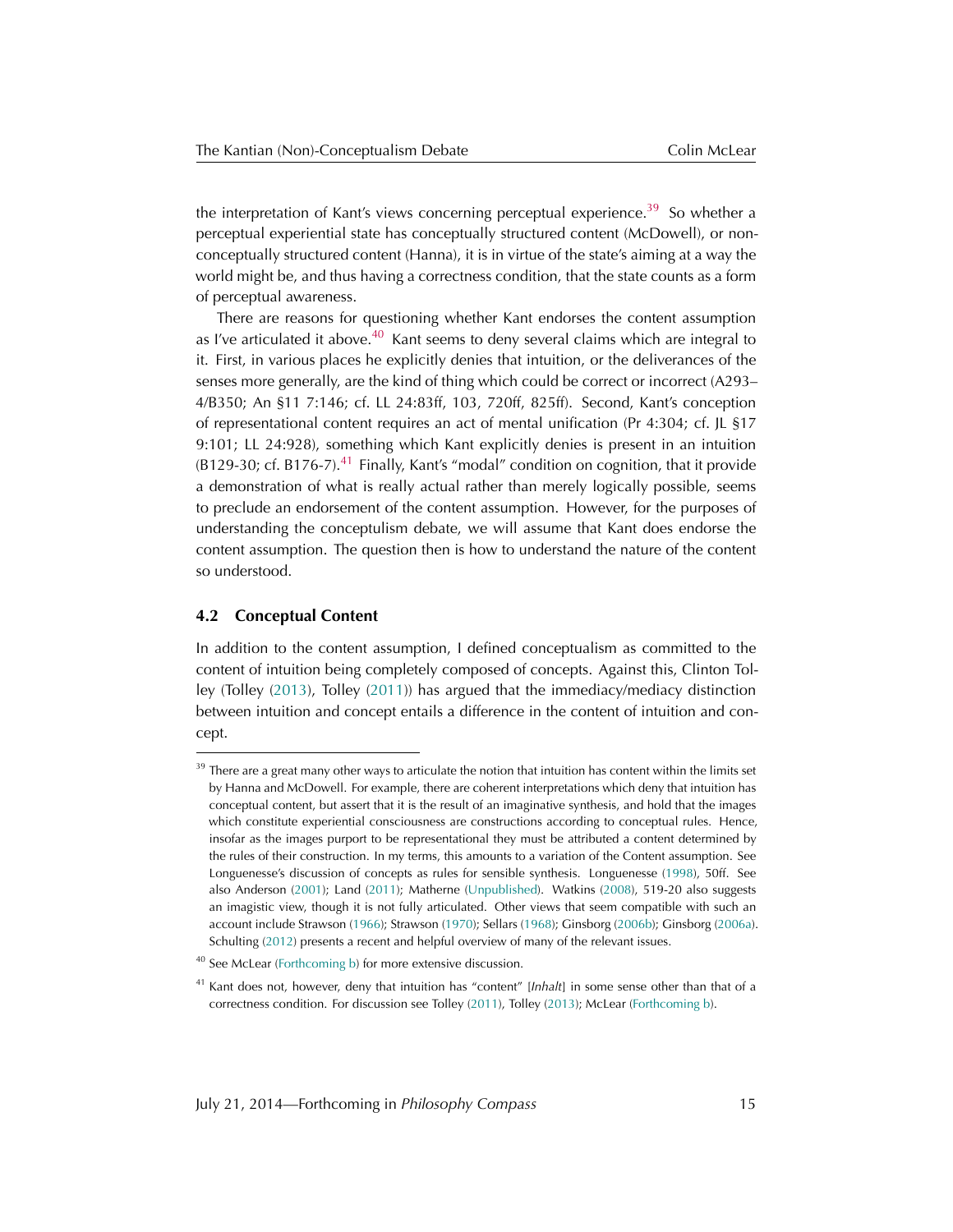<span id="page-14-3"></span>the interpretation of Kant's views concerning perceptual experience.<sup>[39](#page-14-0)</sup> So whether a perceptual experiential state has conceptually structured content (McDowell), or nonconceptually structured content (Hanna), it is in virtue of the state's aiming at a way the world might be, and thus having a correctness condition, that the state counts as a form of perceptual awareness.

There are reasons for questioning whether Kant endorses the content assumption as I've articulated it above.<sup>[40](#page-14-1)</sup> Kant seems to deny several claims which are integral to it. First, in various places he explicitly denies that intuition, or the deliverances of the senses more generally, are the kind of thing which could be correct or incorrect  $(A293-$ 4/B350; An §11 7:146; cf. LL 24:83ff, 103, 720ff, 825ff). Second, Kant's conception of representational content requires an act of mental unification (Pr 4:304; cf. JL §17 9:101; LL 24:928), something which Kant explicitly denies is present in an intuition (B129-30; cf. B176-7).<sup>[41](#page-14-2)</sup> Finally, Kant's "modal" condition on cognition, that it provide a demonstration of what is really actual rather than merely logically possible, seems to preclude an endorsement of the content assumption. However, for the purposes of understanding the conceptulism debate, we will assume that Kant does endorse the content assumption. The question then is how to understand the nature of the content so understood.

#### **4.2 Conceptual Content**

In addition to the content assumption, I defined conceptualism as committed to the content of intuition being completely composed of concepts. Against this, Clinton Tolley (Tolley  $(2013)$  $(2013)$ , Tolley  $(2011)$  $(2011)$ ) has argued that the immediacy/mediacy distinction between intuition and concept entails a difference in the content of intuition and concept.

<span id="page-14-0"></span> $39$  There are a great many other ways to articulate the notion that intuition has content within the limits set by Hanna and McDowell. For example, there are coherent interpretations which deny that intuition has conceptual content, but assert that it is the result of an imaginative synthesis, and hold that the images which constitute experiential consciousness are constructions according to conceptual rules. Hence, insofar as the images purport to be representational they must be attributed a content determined by the rules of their construction. In my terms, this amounts to a variation of the Content assumption. See Longuenesse's discussion of concepts as rules for sensible synthesis. Longuenesse ([1998\)](#page-29-4), 50ff. See also Anderson [\(2001](#page-26-4)); Land [\(2011\)](#page-29-11); Matherne ([Unpublished](#page-30-0)). Watkins ([2008\)](#page-32-7), 519-20 also suggests an imagistic view, though it is not fully articulated. Other views that seem compatible with such an account include Strawson ([1966\)](#page-32-8); Strawson [\(1970\)](#page-32-9); Sellars ([1968\)](#page-31-6); Ginsborg ([2006b](#page-28-4)); Ginsborg [\(2006a](#page-28-6)). Schulting ([2012\)](#page-31-7) presents a recent and helpful overview of many of the relevant issues.

<span id="page-14-1"></span> $40$  See McLear (Forthcoming b) for more extensive discussion.

<span id="page-14-2"></span> $41$  Kant does not, however, deny that intuition has "content" [*Inhalt*] in some sense other than that of a correctness condition. For discussion see Tolley ([2011](#page-32-5)), Tolley ([2013\)](#page-32-3); McLear (Forthcoming b).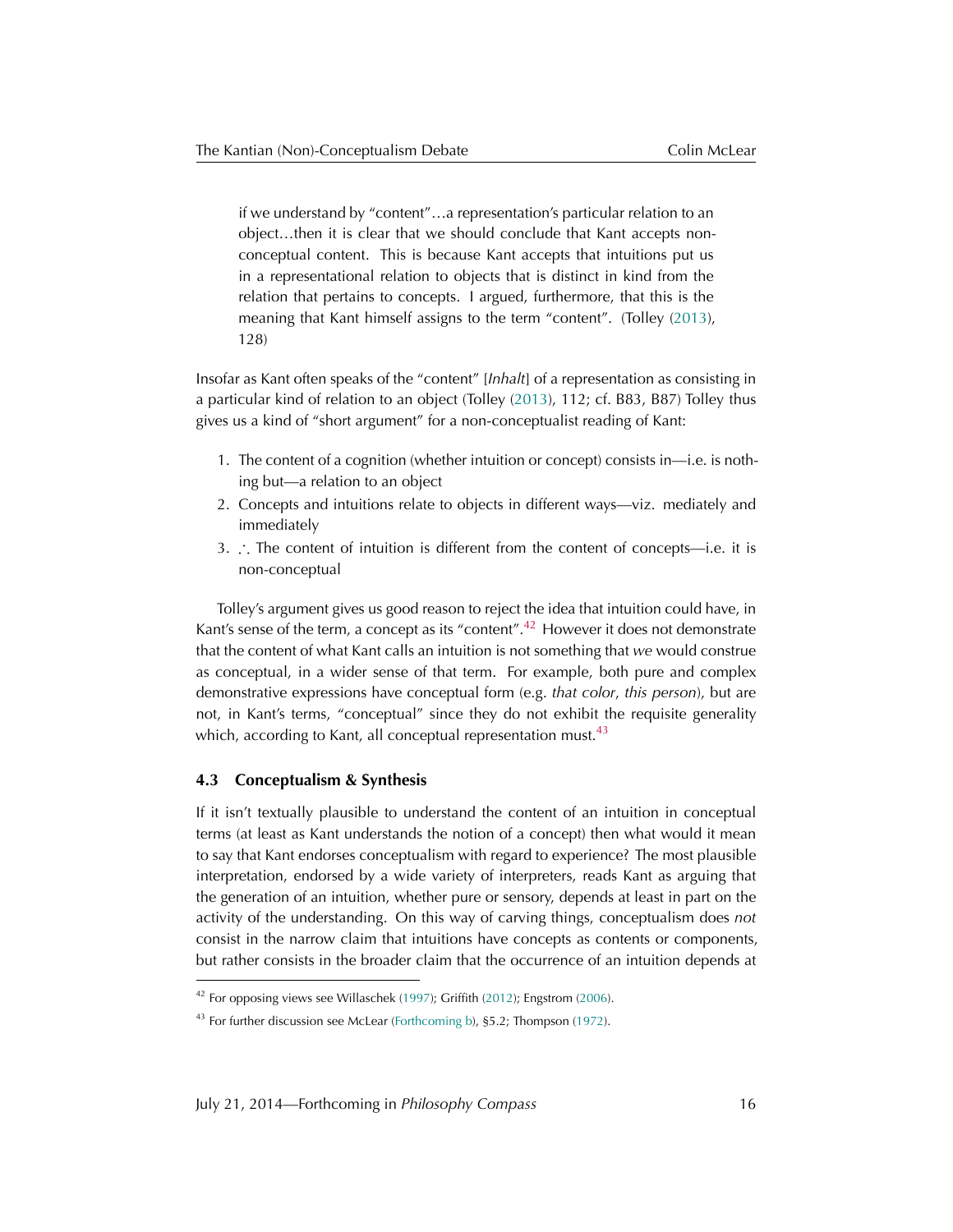<span id="page-15-2"></span>if we understand by "content"...a representation's particular relation to an object...then it is clear that we should conclude that Kant accepts nonconceptual content. This is because Kant accepts that intuitions put us in a representational relation to objects that is distinct in kind from the relation that pertains to concepts. I argued, furthermore, that this is the meaning that Kant himself assigns to the term "content". (Tolley [\(2013\)](#page-32-3), 128)

Insofar as Kant often speaks of the "content" [*Inhalt*] of a representation as consisting in a particular kind of relation to an object (Tolley  $(2013)$  $(2013)$  $(2013)$ , 112; cf. B83, B87) Tolley thus gives us a kind of "short argument" for a non-conceptualist reading of Kant:

- 1. The content of a cognition (whether intuition or concept) consists in—i.e. is nothing but—a relation to an object
- 2. Concepts and intuitions relate to objects in different ways—viz. mediately and immediately
- 3. ∴ The content of intuition is different from the content of concepts—i.e. it is non-conceptual

Tolley's argument gives us good reason to reject the idea that intuition could have, in Kant's sense of the term, a concept as its "content".<sup>[42](#page-15-0)</sup> However it does not demonstrate that the content of what Kant calls an intuition is not something that we would construe as conceptual, in a wider sense of that term. For example, both pure and complex demonstrative expressions have conceptual form (e.g. *that color, this person*), but are not, in Kant's terms, "conceptual" since they do not exhibit the requisite generality which, according to Kant, all conceptual representation must. $43$ 

#### **4.3 Conceptualism & Synthesis**

If it isn't textually plausible to understand the content of an intuition in conceptual terms (at least as Kant understands the notion of a concept) then what would it mean to say that Kant endorses conceptualism with regard to experience? The most plausible interpretation, endorsed by a wide variety of interpreters, reads Kant as arguing that the generation of an intuition, whether pure or sensory, depends at least in part on the activity of the understanding. On this way of carving things, conceptualism does *not* consist in the narrow claim that intuitions have concepts as contents or components, but rather consists in the broader claim that the occurrence of an intuition depends at

<span id="page-15-0"></span> $42$  For opposing views see Willaschek ([1997\)](#page-32-10); Griffith [\(2012\)](#page-28-1); Engstrom ([2006](#page-27-8)).

<span id="page-15-1"></span> $43$  For further discussion see McLear (Forthcoming b), §5.2; Thompson [\(1972](#page-32-11)).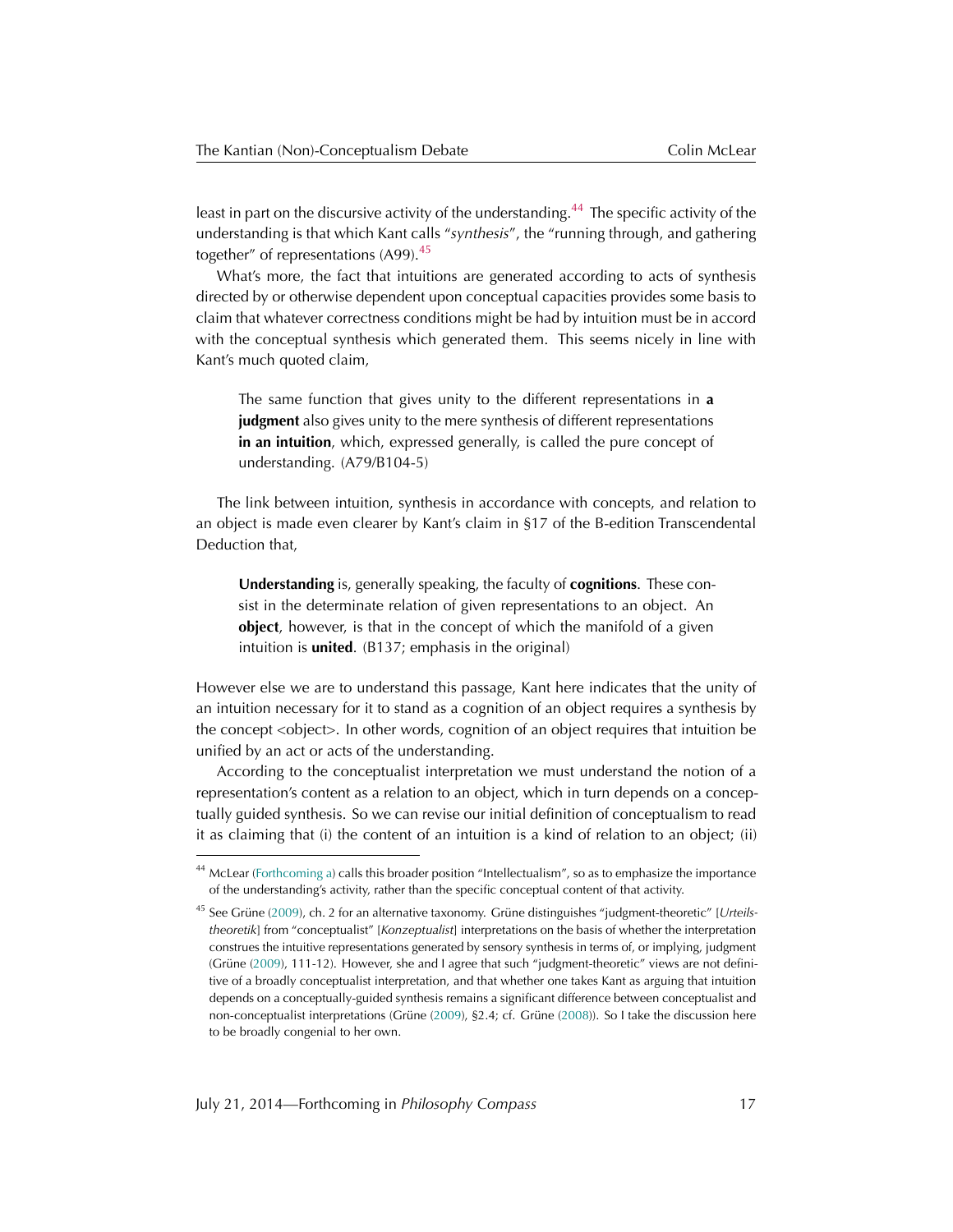<span id="page-16-2"></span>least in part on the discursive activity of the understanding.<sup>[44](#page-16-0)</sup> The specific activity of the understanding is that which Kant calls "synthesis", the "running through, and gathering together" of representations  $(A99)$ .<sup>[45](#page-16-1)</sup>

What's more, the fact that intuitions are generated according to acts of synthesis directed by or otherwise dependent upon conceptual capacities provides some basis to claim that whatever correctness conditions might be had by intuition must be in accord with the conceptual synthesis which generated them. This seems nicely in line with Kant's much quoted claim,

The same function that gives unity to the different representations in a **judgment** also gives unity to the mere synthesis of different representations **in an intuition**, which, expressed generally, is called the pure concept of understanding. (A79/B104-5)

The link between intuition, synthesis in accordance with concepts, and relation to an object is made even clearer by Kant's claim in §17 of the B-edition Transcendental Deduction that.

**Understanding** is, generally speaking, the faculty of **cognitions**. These consist in the determinate relation of given representations to an object. An **object**, however, is that in the concept of which the manifold of a given intuition is **united**. (B137; emphasis in the original)

However else we are to understand this passage, Kant here indicates that the unity of an intuition necessary for it to stand as a cognition of an object requires a synthesis by the concept  $\langle$ object $\rangle$ . In other words, cognition of an object requires that intuition be unified by an act or acts of the understanding.

According to the conceptualist interpretation we must understand the notion of a representation's content as a relation to an object, which in turn depends on a conceptually guided synthesis. So we can revise our initial definition of conceptualism to read it as claiming that (i) the content of an intuition is a kind of relation to an object; (ii)

<span id="page-16-0"></span><sup>&</sup>lt;sup>44</sup> McLear (Forthcoming a) calls this broader position "Intellectualism", so as to emphasize the importance of the understanding's activity, rather than the specific conceptual content of that activity.

<span id="page-16-1"></span><sup>&</sup>lt;sup>45</sup> See Grüne [\(2009](#page-28-3)), ch. 2 for an alternative taxonomy. Grüne distinguishes "judgment-theoretic" [*Urteilstheoretik*] from "conceptualist" [*Konzeptualist*] interpretations on the basis of whether the interpretation construes the intuitive representations generated by sensory synthesis in terms of, or implying, judgment (Grüne ([2009\)](#page-28-3), 111-12). However, she and I agree that such "judgment-theoretic" views are not definitive of a broadly conceptualist interpretation, and that whether one takes Kant as arguing that intuition depends on a conceptually-guided synthesis remains a significant difference between conceptualist and non-conceptualist interpretations (Grüne ([2009](#page-28-3)), §2.4; cf. Grüne ([2008\)](#page-28-10)). So I take the discussion here to be broadly congenial to her own.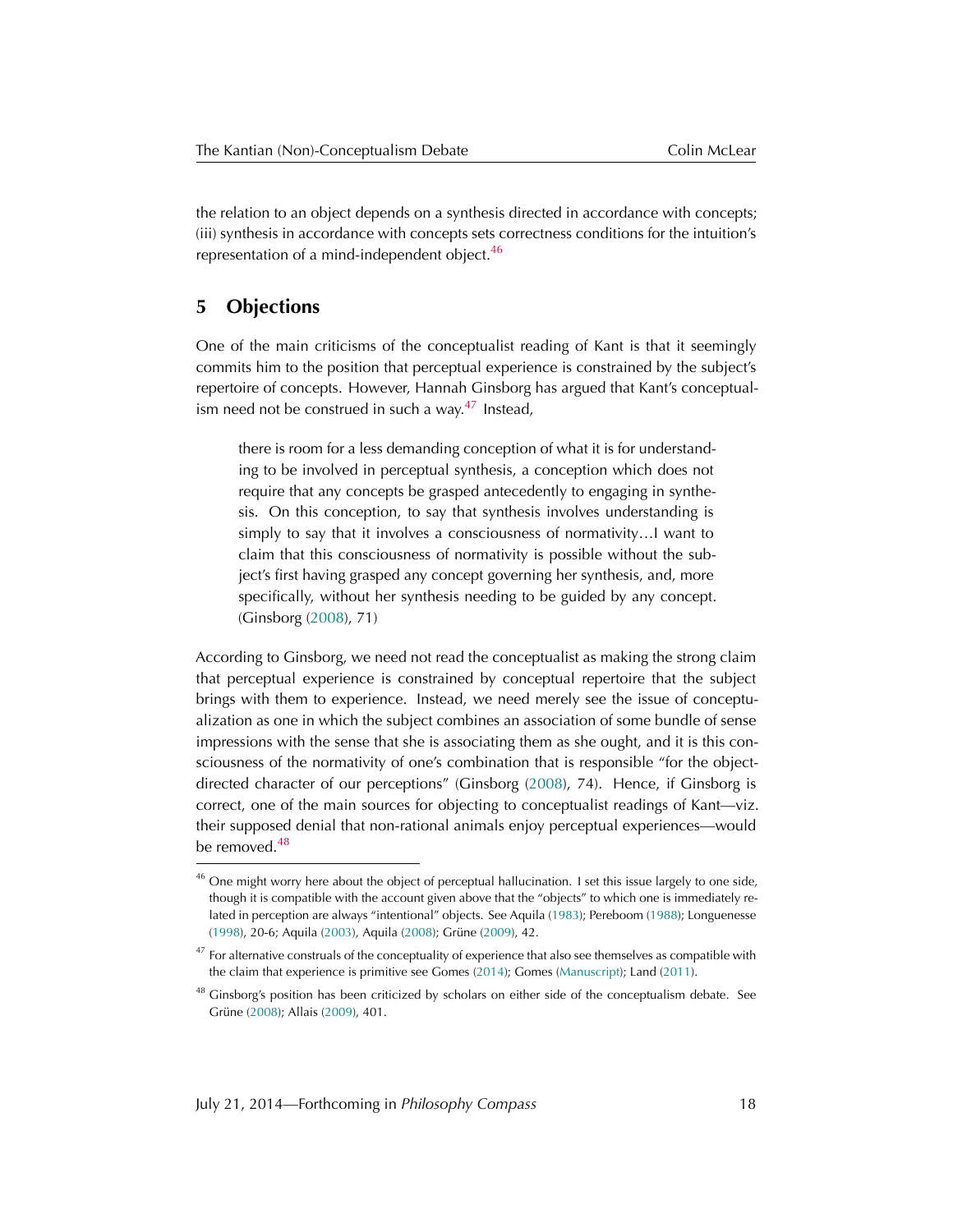<span id="page-17-3"></span>the relation to an object depends on a synthesis directed in accordance with concepts; (iii) synthesis in accordance with concepts sets correctness conditions for the intuition's representation of a mind-independent object. $46$ 

## **5 Objections**

One of the main criticisms of the conceptualist reading of Kant is that it seemingly commits him to the position that perceptual experience is constrained by the subject's repertoire of concepts. However, Hannah Ginsborg has argued that Kant's conceptualism need not be construed in such a way. $47$  Instead,

there is room for a less demanding conception of what it is for understanding to be involved in perceptual synthesis, a conception which does not require that any concepts be grasped antecedently to engaging in synthesis. On this conception, to say that synthesis involves understanding is simply to say that it involves a consciousness of normativity... I want to claim that this consciousness of normativity is possible without the subject's first having grasped any concept governing her synthesis, and, more specifically, without her synthesis needing to be guided by any concept. (Ginsborg ([2008](#page-28-7)), 71)

According to Ginsborg, we need not read the conceptualist as making the strong claim that perceptual experience is constrained by conceptual repertoire that the subject brings with them to experience. Instead, we need merely see the issue of conceptualization as one in which the subject combines an association of some bundle of sense impressions with the sense that she is associating them as she ought, and it is this consciousness of the normativity of one's combination that is responsible "for the objectdirected character of our perceptions" (Ginsborg  $(2008)$  $(2008)$ , 74). Hence, if Ginsborg is correct, one of the main sources for objecting to conceptualist readings of Kant—viz. their supposed denial that non-rational animals enjoy perceptual experiences—would be removed. $48$ 

<span id="page-17-0"></span> $46$  One might worry here about the object of perceptual hallucination. I set this issue largely to one side, though it is compatible with the account given above that the "objects" to which one is immediately re-lated in perception are always "intentional" objects. See Aquila ([1983](#page-26-5)); Pereboom ([1988\)](#page-31-8); Longuenesse ([1998](#page-29-4)), 20-6; Aquila ([2003](#page-26-6)), Aquila [\(2008\)](#page-27-9); Grüne ([2009\)](#page-28-3), 42.

<span id="page-17-1"></span> $47$  For alternative construals of the conceptuality of experience that also see themselves as compatible with the claim that experience is primitive see Gomes [\(2014](#page-28-2)); Gomes ([Manuscript](#page-28-11)); Land [\(2011](#page-29-11)).

<span id="page-17-2"></span> $48$  Ginsborg's position has been criticized by scholars on either side of the conceptualism debate. See Grüne ([2008](#page-28-10)); Allais ([2009\)](#page-26-0), 401.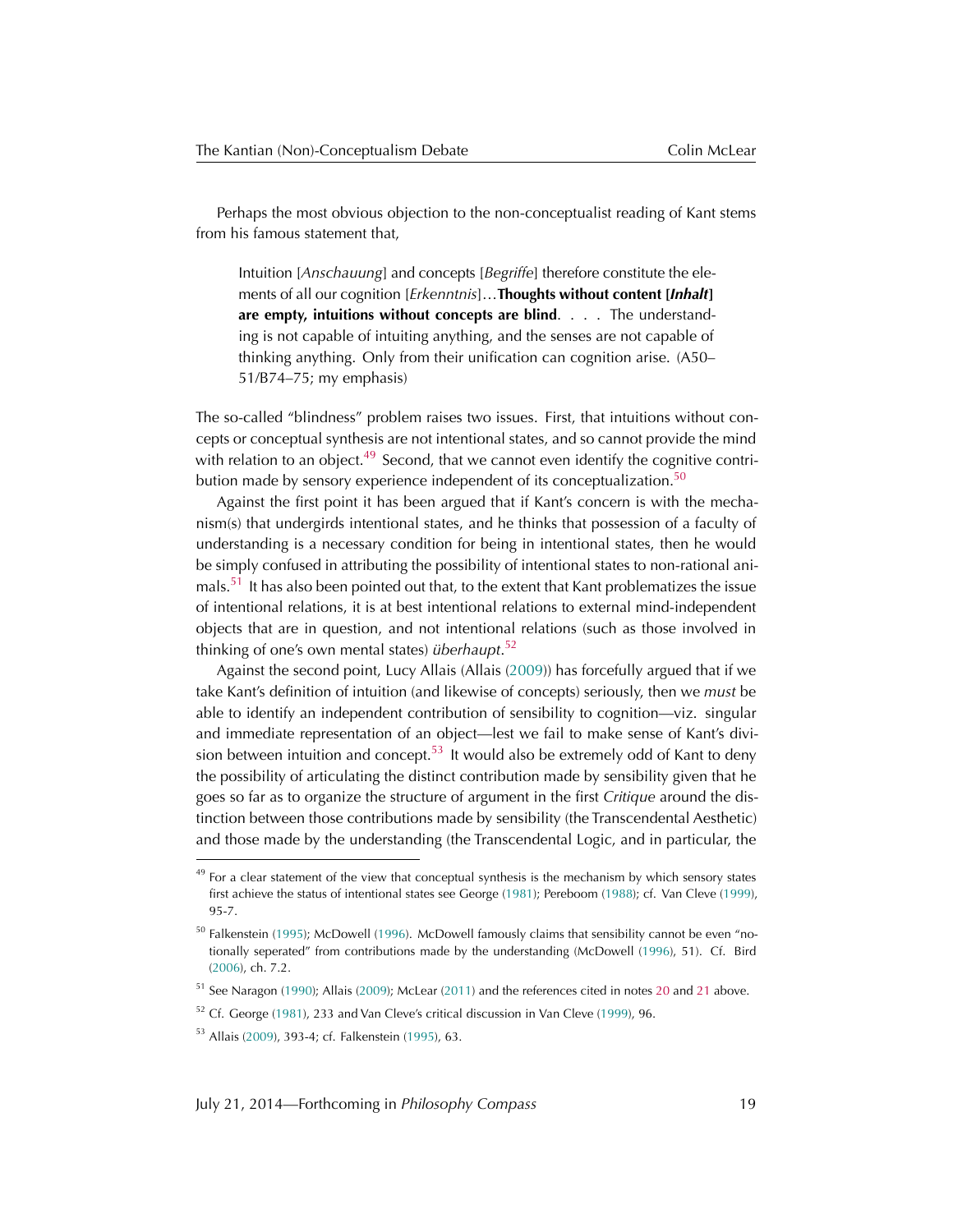<span id="page-18-5"></span>Perhaps the most obvious objection to the non-conceptualist reading of Kant stems from his famous statement that,

Intuition [Anschauung] and concepts [Begriffe] therefore constitute the elements of all our cognition [*Erkenntnis*]... Thoughts without content [*Inhalt*] **are empty, intuitions without concepts are blind.** . . . The understanding is not capable of intuiting anything, and the senses are not capable of thinking anything. Only from their unification can cognition arise. (A50–  $51/B74-75$ ; my emphasis)

The so-called "blindness" problem raises two issues. First, that intuitions without concepts or conceptual synthesis are not intentional states, and so cannot provide the mind with relation to an object.<sup>[49](#page-18-0)</sup> Second, that we cannot even identify the cognitive contri-bution made by sensory experience independent of its conceptualization.<sup>[50](#page-18-1)</sup>

Against the first point it has been argued that if Kant's concern is with the mechanism(s) that undergirds intentional states, and he thinks that possession of a faculty of understanding is a necessary condition for being in intentional states, then he would be simply confused in attributing the possibility of intentional states to non-rational ani-mals.<sup>[51](#page-18-2)</sup> It has also been pointed out that, to the extent that Kant problematizes the issue of intentional relations, it is at best intentional relations to external mind-independent objects that are in question, and not intentional relations (such as those involved in thinking of one's own mental states) *überhaupt*.<sup>[52](#page-18-3)</sup>

Against the second point, Lucy Allais (Allais [\(2009](#page-26-0))) has forcefully argued that if we take Kant's definition of intuition (and likewise of concepts) seriously, then we *must* be able to identify an independent contribution of sensibility to cognition—viz. singular and immediate representation of an object—lest we fail to make sense of Kant's divi-sion between intuition and concept.<sup>[53](#page-18-4)</sup> It would also be extremely odd of Kant to deny the possibility of articulating the distinct contribution made by sensibility given that he goes so far as to organize the structure of argument in the first *Critique* around the distinction between those contributions made by sensibility (the Transcendental Aesthetic) and those made by the understanding (the Transcendental Logic, and in particular, the

<span id="page-18-0"></span> $49$  For a clear statement of the view that conceptual synthesis is the mechanism by which sensory states first achieve the status of intentional states see George ([1981\)](#page-28-12); Pereboom ([1988\)](#page-31-8); cf. Van Cleve ([1999\)](#page-32-1), 95-7.

<span id="page-18-1"></span> $50$  Falkenstein [\(1995](#page-27-10)); McDowell ([1996\)](#page-30-5). McDowell famously claims that sensibility cannot be even "no-tionally seperated" from contributions made by the understanding (McDowell ([1996](#page-30-5)), 51). Cf. Bird ([2006](#page-27-11)), ch. 7.2.

<span id="page-18-2"></span> $51$  See Naragon ([1990\)](#page-30-4); Allais ([2009\)](#page-26-0); McLear ([2011](#page-30-2)) and the references cited in notes [20](#page-7-3) and [21](#page-7-4) above.

<span id="page-18-3"></span> $52$  Cf. George [\(1981\)](#page-28-12), 233 and Van Cleve's critical discussion in Van Cleve ([1999\)](#page-32-1), 96.

<span id="page-18-4"></span><sup>53</sup> Allais [\(2009\)](#page-26-0), 393-4; cf. Falkenstein ([1995](#page-27-10)), 63.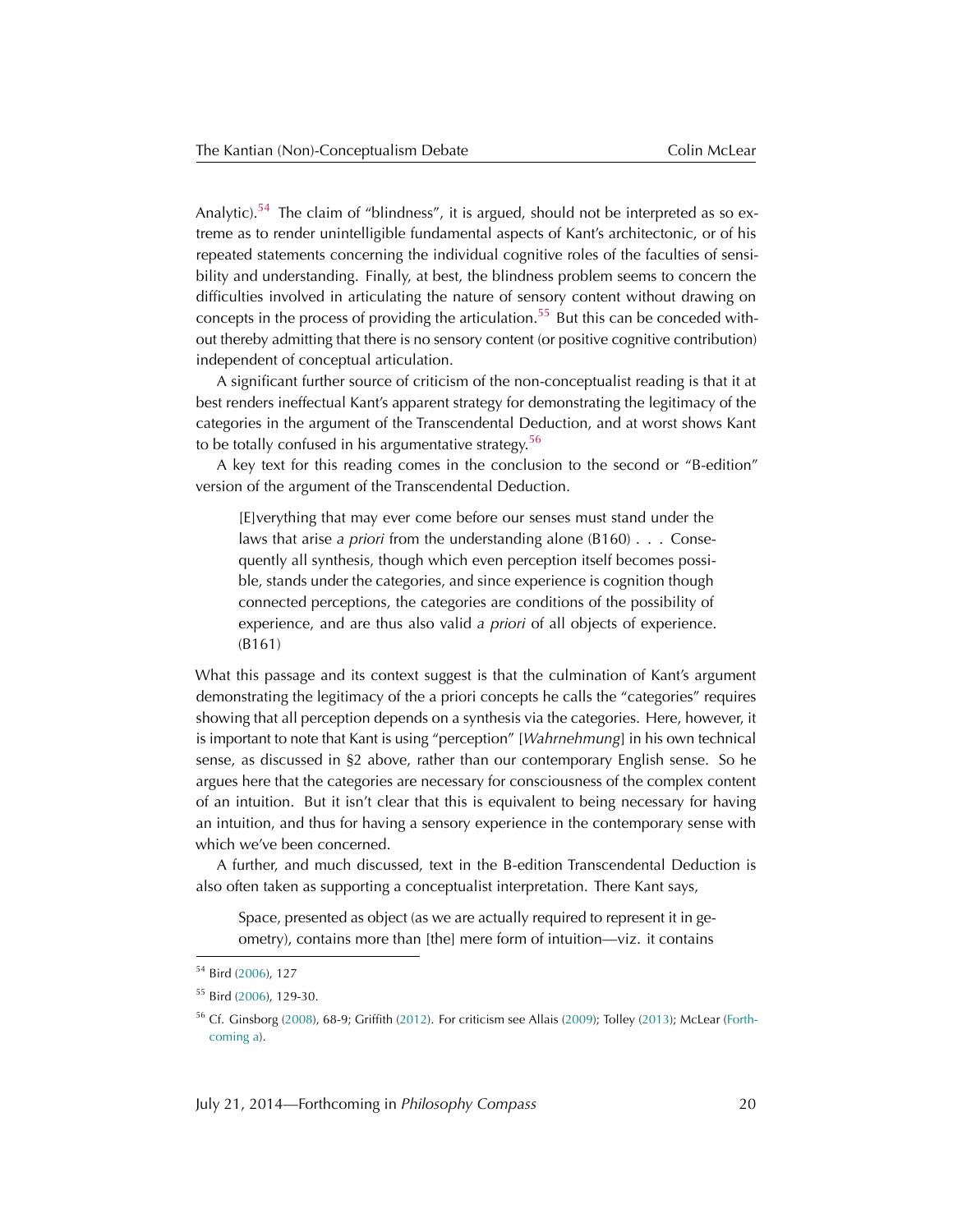<span id="page-19-3"></span>Analytic).<sup>[54](#page-19-0)</sup> The claim of "blindness", it is argued, should not be interpreted as so extreme as to render unintelligible fundamental aspects of Kant's architectonic, or of his repeated statements concerning the individual cognitive roles of the faculties of sensibility and understanding. Finally, at best, the blindness problem seems to concern the difficulties involved in articulating the nature of sensory content without drawing on concepts in the process of providing the articulation.<sup>[55](#page-19-1)</sup> But this can be conceded without thereby admitting that there is no sensory content (or positive cognitive contribution) independent of conceptual articulation.

A significant further source of criticism of the non-conceptualist reading is that it at best renders ineffectual Kant's apparent strategy for demonstrating the legitimacy of the categories in the argument of the Transcendental Deduction, and at worst shows Kant to be totally confused in his argumentative strategy.<sup>[56](#page-19-2)</sup>

A key text for this reading comes in the conclusion to the second or "B-edition" version of the argument of the Transcendental Deduction.

[E]verything that may ever come before our senses must stand under the laws that arise *a priori* from the understanding alone (B160) . . . Consequently all synthesis, though which even perception itself becomes possible, stands under the categories, and since experience is cognition though connected perceptions, the categories are conditions of the possibility of experience, and are thus also valid *a priori* of all objects of experience. (B161)

What this passage and its context suggest is that the culmination of Kant's argument demonstrating the legitimacy of the a priori concepts he calls the "categories" requires showing that all perception depends on a synthesis via the categories. Here, however, it is important to note that Kant is using "perception" [*Wahrnehmung*] in his own technical sense, as discussed in §2 above, rather than our contemporary English sense. So he argues here that the categories are necessary for consciousness of the complex content of an intuition. But it isn't clear that this is equivalent to being necessary for having an intuition, and thus for having a sensory experience in the contemporary sense with which we've been concerned.

A further, and much discussed, text in the B-edition Transcendental Deduction is also often taken as supporting a conceptualist interpretation. There Kant says,

Space, presented as object (as we are actually required to represent it in geometry), contains more than [the] mere form of intuition—viz. it contains

<span id="page-19-0"></span><sup>&</sup>lt;sup>54</sup> Bird [\(2006\)](#page-27-11), 127

<span id="page-19-1"></span><sup>55</sup> Bird [\(2006\)](#page-27-11), 129-30.

<span id="page-19-2"></span> $56$  Cf. Ginsborg [\(2008\)](#page-28-7), 68-9; Griffith ([2012\)](#page-28-1). For criticism see Allais [\(2009](#page-26-0)); Tolley ([2013](#page-32-3)); McLear [\(Forth](#page-30-3)coming a).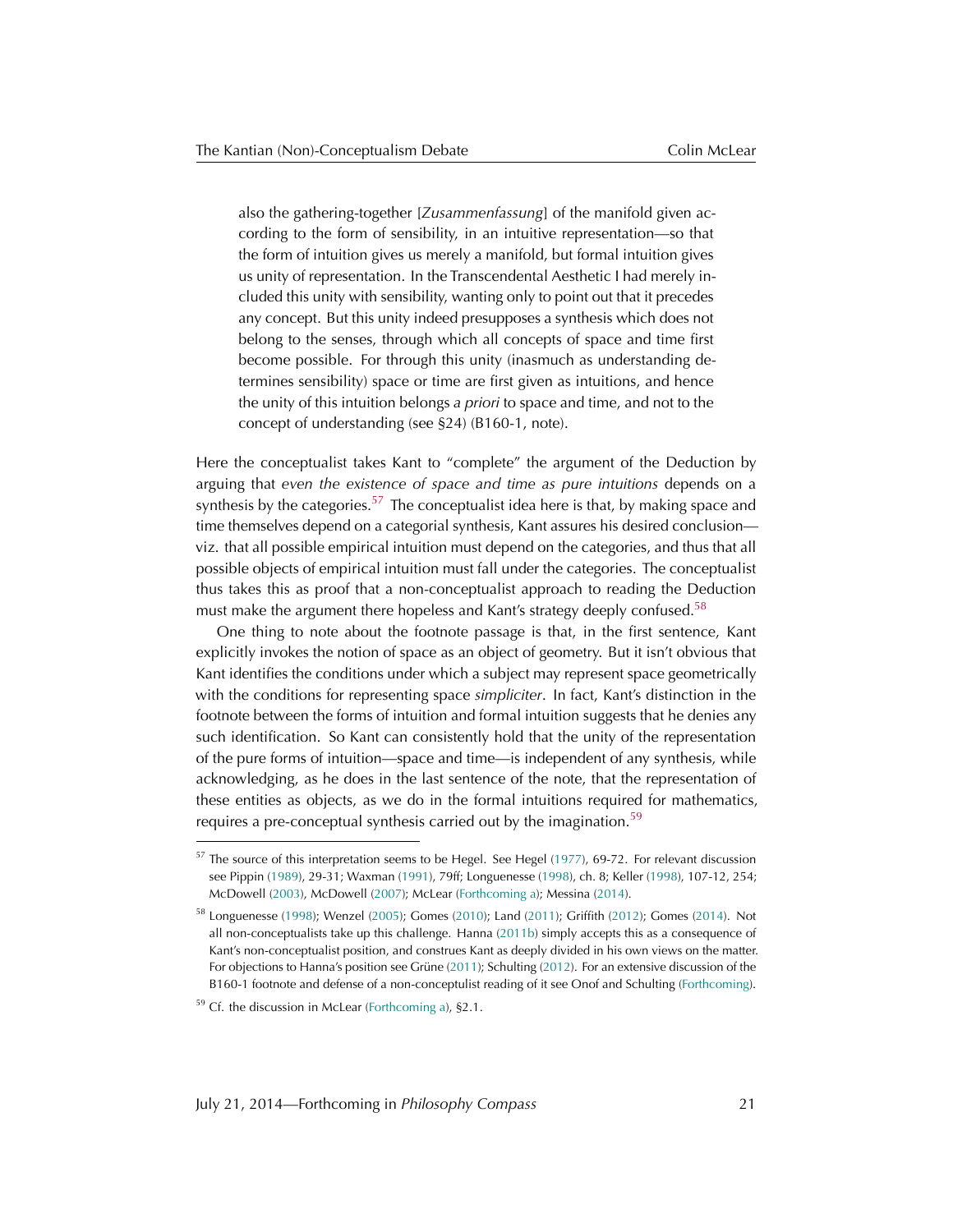<span id="page-20-3"></span>also the gathering-together [Zusammenfassung] of the manifold given according to the form of sensibility, in an intuitive representation—so that the form of intuition gives us merely a manifold, but formal intuition gives us unity of representation. In the Transcendental Aesthetic I had merely included this unity with sensibility, wanting only to point out that it precedes any concept. But this unity indeed presupposes a synthesis which does not belong to the senses, through which all concepts of space and time first become possible. For through this unity (inasmuch as understanding determines sensibility) space or time are first given as intuitions, and hence the unity of this intuition belongs *a priori* to space and time, and not to the concept of understanding (see §24) (B160-1, note).

Here the conceptualist takes Kant to "complete" the argument of the Deduction by arguing that *even the existence of space and time as pure intuitions* depends on a synthesis by the categories.<sup>[57](#page-20-0)</sup> The conceptualist idea here is that, by making space and time themselves depend on a categorial synthesis, Kant assures his desired conclusion viz. that all possible empirical intuition must depend on the categories, and thus that all possible objects of empirical intuition must fall under the categories. The conceptualist thus takes this as proof that a non-conceptualist approach to reading the Deduction must make the argument there hopeless and Kant's strategy deeply confused.<sup>[58](#page-20-1)</sup>

One thing to note about the footnote passage is that, in the first sentence, Kant explicitly invokes the notion of space as an object of geometry. But it isn't obvious that Kant identifies the conditions under which a subject may represent space geometrically with the conditions for representing space *simpliciter*. In fact, Kant's distinction in the footnote between the forms of intuition and formal intuition suggests that he denies any such identification. So Kant can consistently hold that the unity of the representation of the pure forms of intuition—space and time—is independent of any synthesis, while acknowledging, as he does in the last sentence of the note, that the representation of these entities as objects, as we do in the formal intuitions required for mathematics, requires a pre-conceptual synthesis carried out by the imagination.<sup>[59](#page-20-2)</sup>

<span id="page-20-0"></span> $57$  The source of this interpretation seems to be Hegel. See Hegel [\(1977](#page-29-12)), 69-72. For relevant discussion see Pippin [\(1989\)](#page-31-9), 29-31; Waxman [\(1991\)](#page-32-12), 79ff; Longuenesse [\(1998\)](#page-29-4), ch. 8; Keller ([1998](#page-29-13)), 107-12, 254; McDowell [\(2003](#page-30-11)), McDowell ([2007](#page-30-12)); McLear (Forthcoming a); Messina ([2014\)](#page-30-6).

<span id="page-20-1"></span> $58$  Longuenesse [\(1998\)](#page-29-4); Wenzel [\(2005\)](#page-32-13); Gomes ([2010\)](#page-28-13); Land [\(2011](#page-29-11)); Griffith [\(2012](#page-28-1)); Gomes [\(2014](#page-28-2)). Not all non-conceptualists take up this challenge. Hanna [\(2011b\)](#page-29-9) simply accepts this as a consequence of Kant's non-conceptualist position, and construes Kant as deeply divided in his own views on the matter. For objections to Hanna's position see Grüne [\(2011](#page-28-14)); Schulting [\(2012\)](#page-31-7). For an extensive discussion of the B160-1 footnote and defense of a non-conceptulist reading of it see Onof and Schulting [\(Forthcoming\)](#page-30-7).

<span id="page-20-2"></span> $59$  Cf. the discussion in McLear (Forthcoming a), §2.1.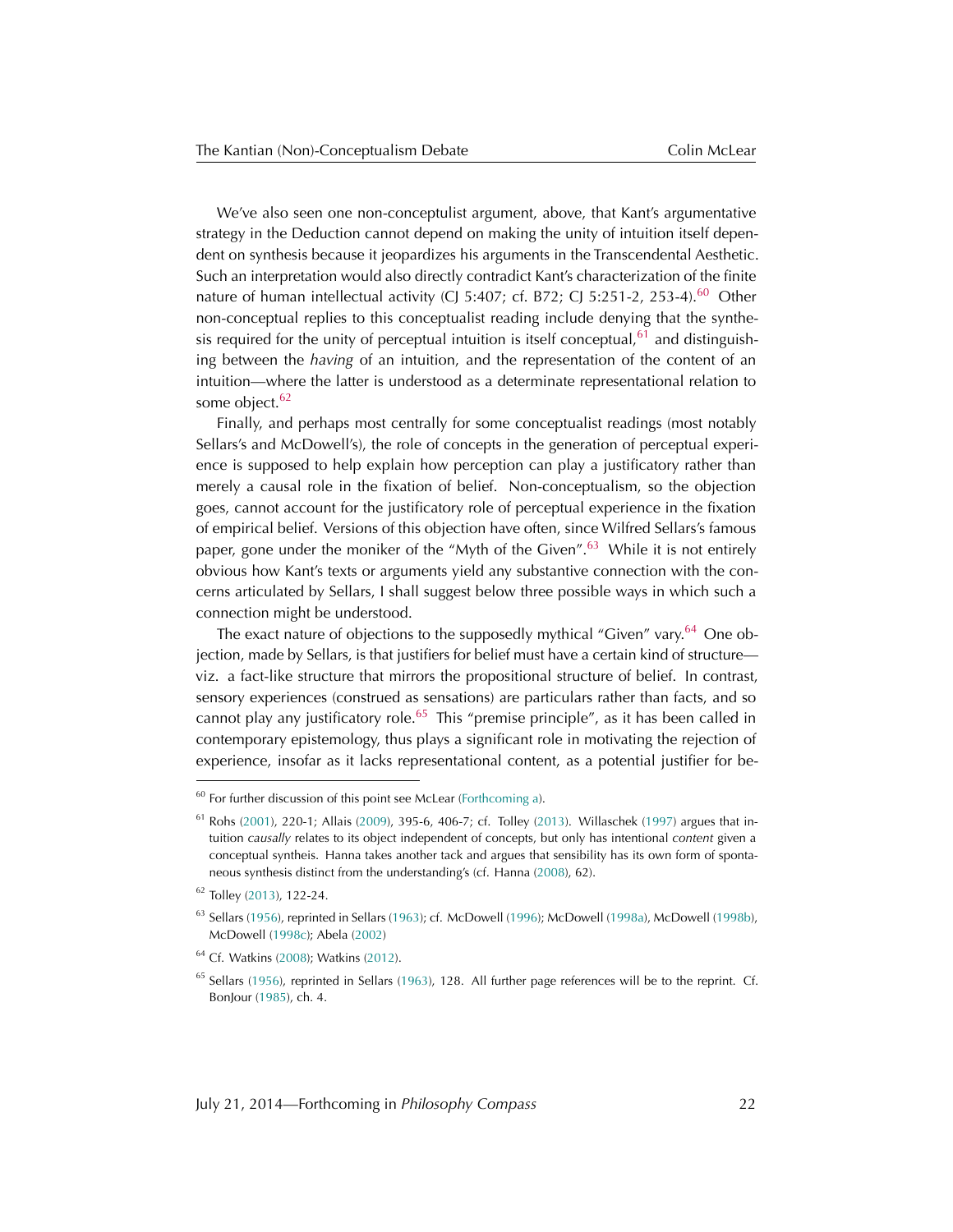<span id="page-21-6"></span>We've also seen one non-conceptulist argument, above, that Kant's argumentative strategy in the Deduction cannot depend on making the unity of intuition itself dependent on synthesis because it jeopardizes his arguments in the Transcendental Aesthetic. Such an interpretation would also directly contradict Kant's characterization of the finite nature of human intellectual activity (CJ 5:407; cf. B72; CJ 5:251-2, 253-4).<sup>[60](#page-21-0)</sup> Other non-conceptual replies to this conceptualist reading include denying that the synthesis required for the unity of perceptual intuition is itself conceptual,  $61$  and distinguishing between the *having* of an intuition, and the representation of the content of an intuition—where the latter is understood as a determinate representational relation to some object. $62$ 

Finally, and perhaps most centrally for some conceptualist readings (most notably Sellars's and McDowell's), the role of concepts in the generation of perceptual experience is supposed to help explain how perception can play a justificatory rather than merely a causal role in the fixation of belief. Non-conceptualism, so the objection goes, cannot account for the justificatory role of perceptual experience in the fixation of empirical belief. Versions of this objection have often, since Wilfred Sellars's famous paper, gone under the moniker of the "Myth of the Given".<sup>[63](#page-21-3)</sup> While it is not entirely obvious how Kant's texts or arguments yield any substantive connection with the concerns articulated by Sellars, I shall suggest below three possible ways in which such a connection might be understood.

The exact nature of objections to the supposedly mythical "Given" vary.<sup>[64](#page-21-4)</sup> One objection, made by Sellars, is that justifiers for belief must have a certain kind of structure viz. a fact-like structure that mirrors the propositional structure of belief. In contrast, sensory experiences (construed as sensations) are particulars rather than facts, and so cannot play any justificatory role.<sup>[65](#page-21-5)</sup> This "premise principle", as it has been called in contemporary epistemology, thus plays a significant role in motivating the rejection of experience, insofar as it lacks representational content, as a potential justifier for be-

<span id="page-21-0"></span> $60$  For further discussion of this point see McLear (Forthcoming a).

<span id="page-21-1"></span> $61$  Rohs [\(2001](#page-31-10)), 220-1; Allais ([2009\)](#page-26-0), 395-6, 406-7; cf. Tolley [\(2013](#page-32-3)). Willaschek ([1997\)](#page-32-10) argues that intuition *causally* relates to its object independent of concepts, but only has intentional *content* given a conceptual syntheis. Hanna takes another tack and argues that sensibility has its own form of sponta-neous synthesis distinct from the understanding's (cf. Hanna [\(2008](#page-29-8)), 62).

<span id="page-21-2"></span> $62$  Tolley [\(2013](#page-32-3)), 122-24.

<span id="page-21-3"></span><sup>&</sup>lt;sup>63</sup> Sellars ([1956](#page-31-11)), reprinted in Sellars [\(1963\)](#page-31-12); cf. McDowell ([1996](#page-30-5)); McDowell [\(1998a\)](#page-30-13), McDowell [\(1998b\)](#page-30-14), McDowell [\(1998c](#page-30-15)); Abela [\(2002](#page-26-7))

<span id="page-21-4"></span><sup>&</sup>lt;sup>64</sup> Cf. Watkins [\(2008](#page-32-7)); Watkins [\(2012\)](#page-32-14).

<span id="page-21-5"></span> $<sup>65</sup>$  Sellars ([1956\)](#page-31-11), reprinted in Sellars ([1963](#page-31-12)), 128. All further page references will be to the reprint. Cf.</sup> BonJour [\(1985](#page-27-12)), ch. 4.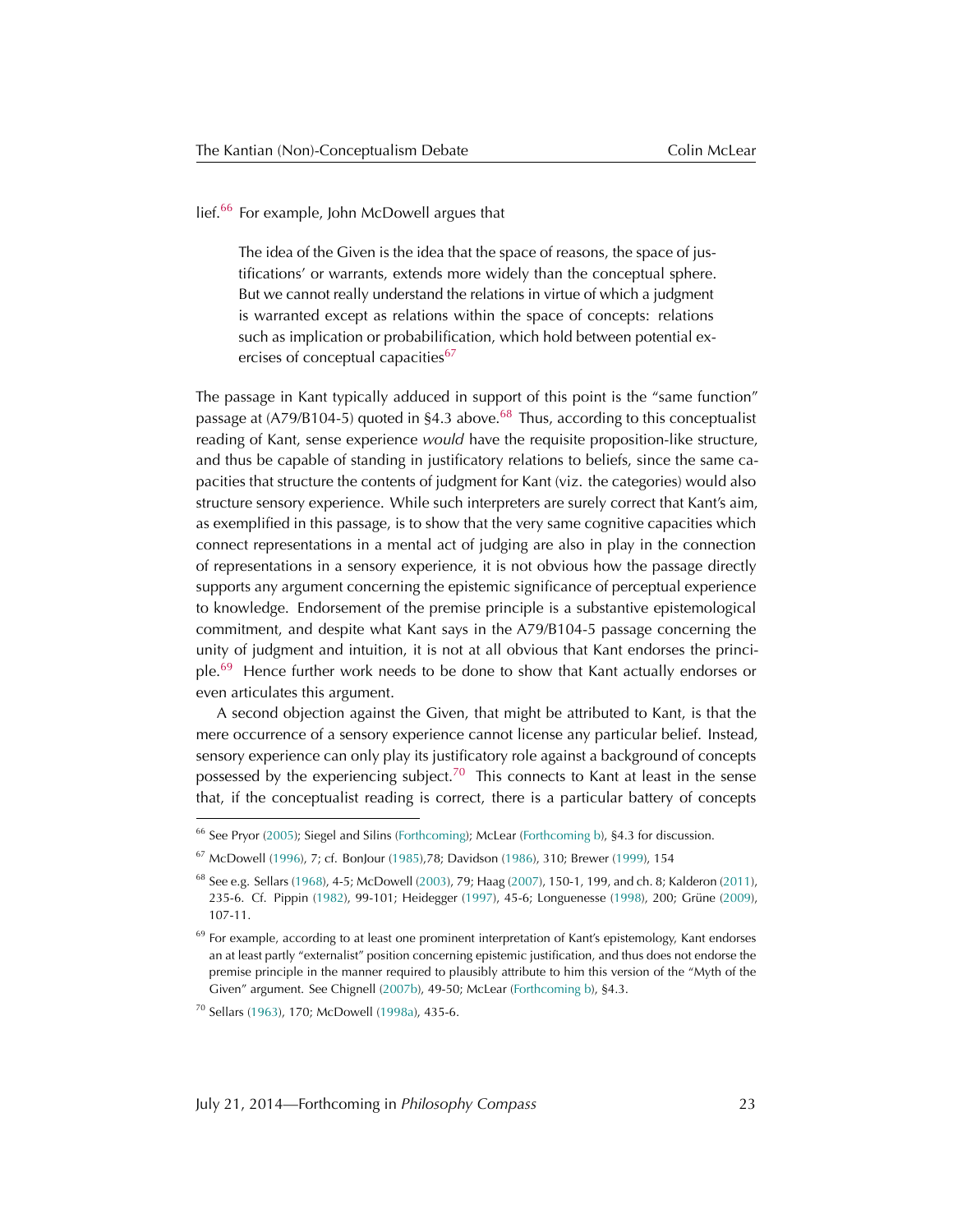#### <span id="page-22-5"></span>lief.<sup>[66](#page-22-0)</sup> For example, John McDowell argues that

The idea of the Given is the idea that the space of reasons, the space of justifications' or warrants, extends more widely than the conceptual sphere. But we cannot really understand the relations in virtue of which a judgment is warranted except as relations within the space of concepts: relations such as implication or probabilification, which hold between potential ex-ercises of conceptual capacities<sup>[67](#page-22-1)</sup>

The passage in Kant typically adduced in support of this point is the "same function" passage at  $(A79/B104-5)$  quoted in §4.3 above.<sup>[68](#page-22-2)</sup> Thus, according to this conceptualist reading of Kant, sense experience *would* have the requisite proposition-like structure, and thus be capable of standing in justificatory relations to beliefs, since the same capacities that structure the contents of judgment for Kant (viz. the categories) would also structure sensory experience. While such interpreters are surely correct that Kant's aim, as exemplified in this passage, is to show that the very same cognitive capacities which connect representations in a mental act of judging are also in play in the connection of representations in a sensory experience, it is not obvious how the passage directly supports any argument concerning the epistemic significance of perceptual experience to knowledge. Endorsement of the premise principle is a substantive epistemological commitment, and despite what Kant says in the A79/B104-5 passage concerning the unity of judgment and intuition, it is not at all obvious that Kant endorses the princi-ple.<sup>[69](#page-22-3)</sup> Hence further work needs to be done to show that Kant actually endorses or even articulates this argument.

A second objection against the Given, that might be attributed to Kant, is that the mere occurrence of a sensory experience cannot license any particular belief. Instead, sensory experience can only play its justificatory role against a background of concepts possessed by the experiencing subject.<sup>[70](#page-22-4)</sup> This connects to Kant at least in the sense that, if the conceptualist reading is correct, there is a particular battery of concepts

<span id="page-22-0"></span><sup>&</sup>lt;sup>66</sup> See Pryor [\(2005](#page-31-13)); Siegel and Silins [\(Forthcoming](#page-31-14)); McLear (Forthcoming b), §4.3 for discussion.

<span id="page-22-1"></span> $^{67}$  McDowell [\(1996](#page-30-5)), 7; cf. BonJour ([1985\)](#page-27-12),78; Davidson ([1986](#page-27-13)), 310; Brewer ([1999\)](#page-27-14), 154

<span id="page-22-2"></span><sup>68</sup> See e.g. Sellars ([1968](#page-31-6)), 4-5; McDowell ([2003](#page-30-11)), 79; Haag ([2007](#page-28-15)), 150-1, 199, and ch. 8; Kalderon ([2011\)](#page-29-14), 235-6. Cf. Pippin [\(1982](#page-31-15)), 99-101; Heidegger [\(1997\)](#page-29-15), 45-6; Longuenesse [\(1998](#page-29-4)), 200; Grüne ([2009\)](#page-28-3), 107-11.

<span id="page-22-3"></span> $69$  For example, according to at least one prominent interpretation of Kant's epistemology, Kant endorses an at least partly "externalist" position concerning epistemic justification, and thus does not endorse the premise principle in the manner required to plausibly attribute to him this version of the "Myth of the Given" argument. See Chignell [\(2007b](#page-27-15)), 49-50; McLear (Forthcoming b), §4.3.

<span id="page-22-4"></span> $70$  Sellars [\(1963\)](#page-31-12), 170; McDowell [\(1998a](#page-30-13)), 435-6.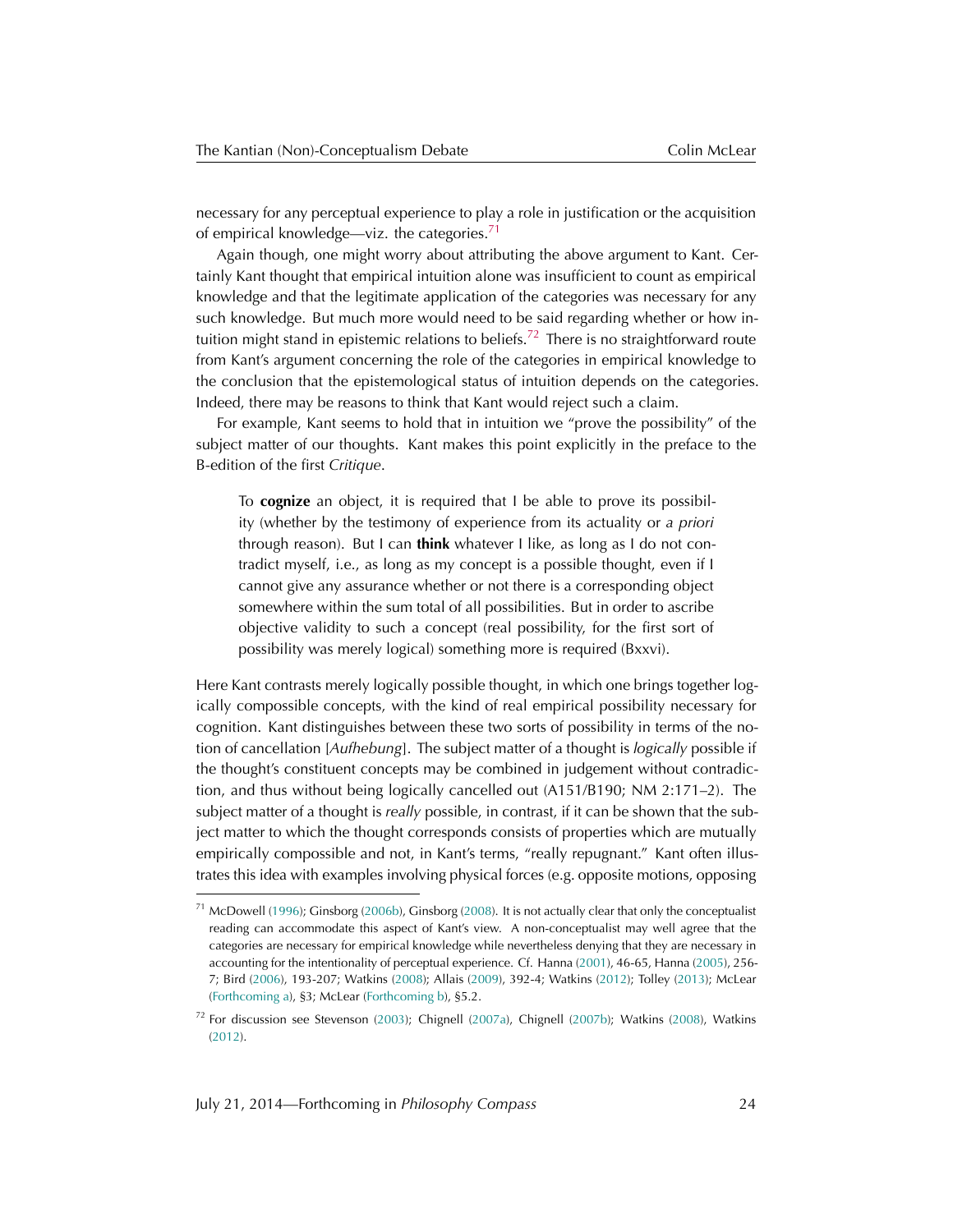<span id="page-23-2"></span>necessary for any perceptual experience to play a role in justification or the acquisition of empirical knowledge—viz. the categories.<sup>[71](#page-23-0)</sup>

Again though, one might worry about attributing the above argument to Kant. Certainly Kant thought that empirical intuition alone was insufficient to count as empirical knowledge and that the legitimate application of the categories was necessary for any such knowledge. But much more would need to be said regarding whether or how in-tuition might stand in epistemic relations to beliefs.<sup>[72](#page-23-1)</sup> There is no straightforward route from Kant's argument concerning the role of the categories in empirical knowledge to the conclusion that the epistemological status of intuition depends on the categories. Indeed, there may be reasons to think that Kant would reject such a claim.

For example, Kant seems to hold that in intuition we "prove the possibility" of the subject matter of our thoughts. Kant makes this point explicitly in the preface to the B-edition of the first *Critique*.

To **cognize** an object, it is required that I be able to prove its possibility (whether by the testimony of experience from its actuality or *a priori* through reason). But I can **think** whatever I like, as long as I do not contradict myself, i.e., as long as my concept is a possible thought, even if I cannot give any assurance whether or not there is a corresponding object somewhere within the sum total of all possibilities. But in order to ascribe objective validity to such a concept (real possibility, for the first sort of possibility was merely logical) something more is required (Bxxvi).

Here Kant contrasts merely logically possible thought, in which one brings together logically compossible concepts, with the kind of real empirical possibility necessary for cognition. Kant distinguishes between these two sorts of possibility in terms of the notion of cancellation [*Aufhebung*]. The subject matter of a thought is *logically* possible if the thought's constituent concepts may be combined in judgement without contradiction, and thus without being logically cancelled out  $(A151/B190; N<sub>M</sub> 2:171-2)$ . The subject matter of a thought is *really* possible, in contrast, if it can be shown that the subject matter to which the thought corresponds consists of properties which are mutually empirically compossible and not, in Kant's terms, "really repugnant." Kant often illustrates this idea with examples involving physical forces  $(e.g.,$  opposite motions, opposing

<span id="page-23-0"></span> $71$  McDowell ([1996\)](#page-30-5); Ginsborg [\(2006b\)](#page-28-4), Ginsborg [\(2008](#page-28-7)). It is not actually clear that only the conceptualist reading can accommodate this aspect of Kant's view. A non-conceptualist may well agree that the categories are necessary for empirical knowledge while nevertheless denying that they are necessary in accounting for the intentionality of perceptual experience. Cf. Hanna [\(2001](#page-28-16)), 46-65, Hanna [\(2005](#page-28-5)), 256-7; Bird ([2006](#page-27-11)), 193-207; Watkins [\(2008\)](#page-32-7); Allais ([2009\)](#page-26-0), 392-4; Watkins [\(2012](#page-32-14)); Tolley [\(2013](#page-32-3)); McLear (Forthcoming a), §3; McLear (Forthcoming b), §5.2.

<span id="page-23-1"></span> $72$ For discussion see Stevenson ([2003](#page-32-15)); Chignell ([2007a](#page-27-16)), Chignell [\(2007b](#page-27-15)); Watkins [\(2008](#page-32-7)), Watkins ([2012](#page-32-14)).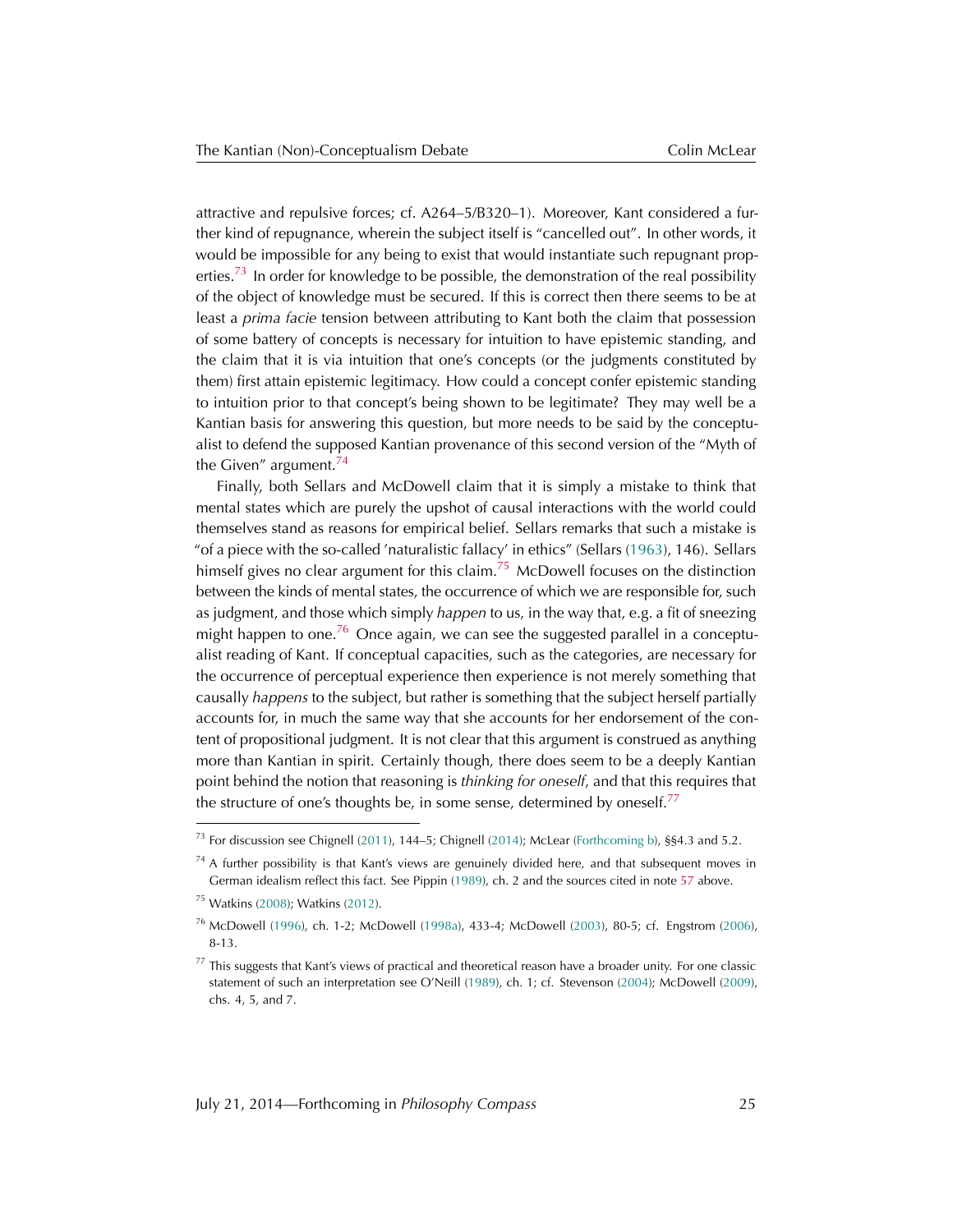<span id="page-24-5"></span>attractive and repulsive forces; cf.  $A264–5/B320–1$ ). Moreover, Kant considered a further kind of repugnance, wherein the subject itself is "cancelled out". In other words, it would be impossible for any being to exist that would instantiate such repugnant prop-erties.<sup>[73](#page-24-0)</sup> In order for knowledge to be possible, the demonstration of the real possibility of the object of knowledge must be secured. If this is correct then there seems to be at least a *prima facie* tension between attributing to Kant both the claim that possession of some battery of concepts is necessary for intuition to have epistemic standing, and the claim that it is via intuition that one's concepts (or the judgments constituted by them) first attain epistemic legitimacy. How could a concept confer epistemic standing to intuition prior to that concept's being shown to be legitimate? They may well be a Kantian basis for answering this question, but more needs to be said by the conceptualist to defend the supposed Kantian provenance of this second version of the "Myth of the Given" argument.<sup>[74](#page-24-1)</sup>

Finally, both Sellars and McDowell claim that it is simply a mistake to think that mental states which are purely the upshot of causal interactions with the world could themselves stand as reasons for empirical belief. Sellars remarks that such a mistake is "of a piece with the so-called 'naturalistic fallacy' in ethics" (Sellars ([1963](#page-31-12)), 146). Sellars himself gives no clear argument for this claim.<sup>[75](#page-24-2)</sup> McDowell focuses on the distinction between the kinds of mental states, the occurrence of which we are responsible for, such as judgment, and those which simply *happen* to us, in the way that, e.g. a fit of sneezing might happen to one.<sup>[76](#page-24-3)</sup> Once again, we can see the suggested parallel in a conceptualist reading of Kant. If conceptual capacities, such as the categories, are necessary for the occurrence of perceptual experience then experience is not merely something that causally *happens* to the subject, but rather is something that the subject herself partially accounts for, in much the same way that she accounts for her endorsement of the content of propositional judgment. It is not clear that this argument is construed as anything more than Kantian in spirit. Certainly though, there does seem to be a deeply Kantian point behind the notion that reasoning is *thinking for oneself*, and that this requires that the structure of one's thoughts be, in some sense, determined by oneself.<sup>[77](#page-24-4)</sup>

<span id="page-24-0"></span> $^{73}$  For discussion see Chignell ([2011\)](#page-27-17), 144–5; Chignell ([2014\)](#page-27-18); McLear (Forthcoming b), §§4.3 and 5.2.

<span id="page-24-1"></span> $74$  A further possibility is that Kant's views are genuinely divided here, and that subsequent moves in German idealism reflect this fact. See Pippin [\(1989\)](#page-31-9), ch. 2 and the sources cited in note [57](#page-20-0) above.

<span id="page-24-2"></span><sup>&</sup>lt;sup>75</sup> Watkins ([2008](#page-32-7)); Watkins [\(2012](#page-32-14)).

<span id="page-24-3"></span><sup>&</sup>lt;sup>76</sup> McDowell ([1996\)](#page-30-5), ch. 1-2; McDowell ([1998a](#page-30-13)), 433-4; McDowell ([2003\)](#page-30-11), 80-5; cf. Engstrom ([2006\)](#page-27-8), 8-13.

<span id="page-24-4"></span> $77$  This suggests that Kant's views of practical and theoretical reason have a broader unity. For one classic statement of such an interpretation see O'Neill ([1989\)](#page-30-16), ch. 1; cf. Stevenson [\(2004\)](#page-32-16); McDowell ([2009\)](#page-30-17), chs. 4, 5, and 7.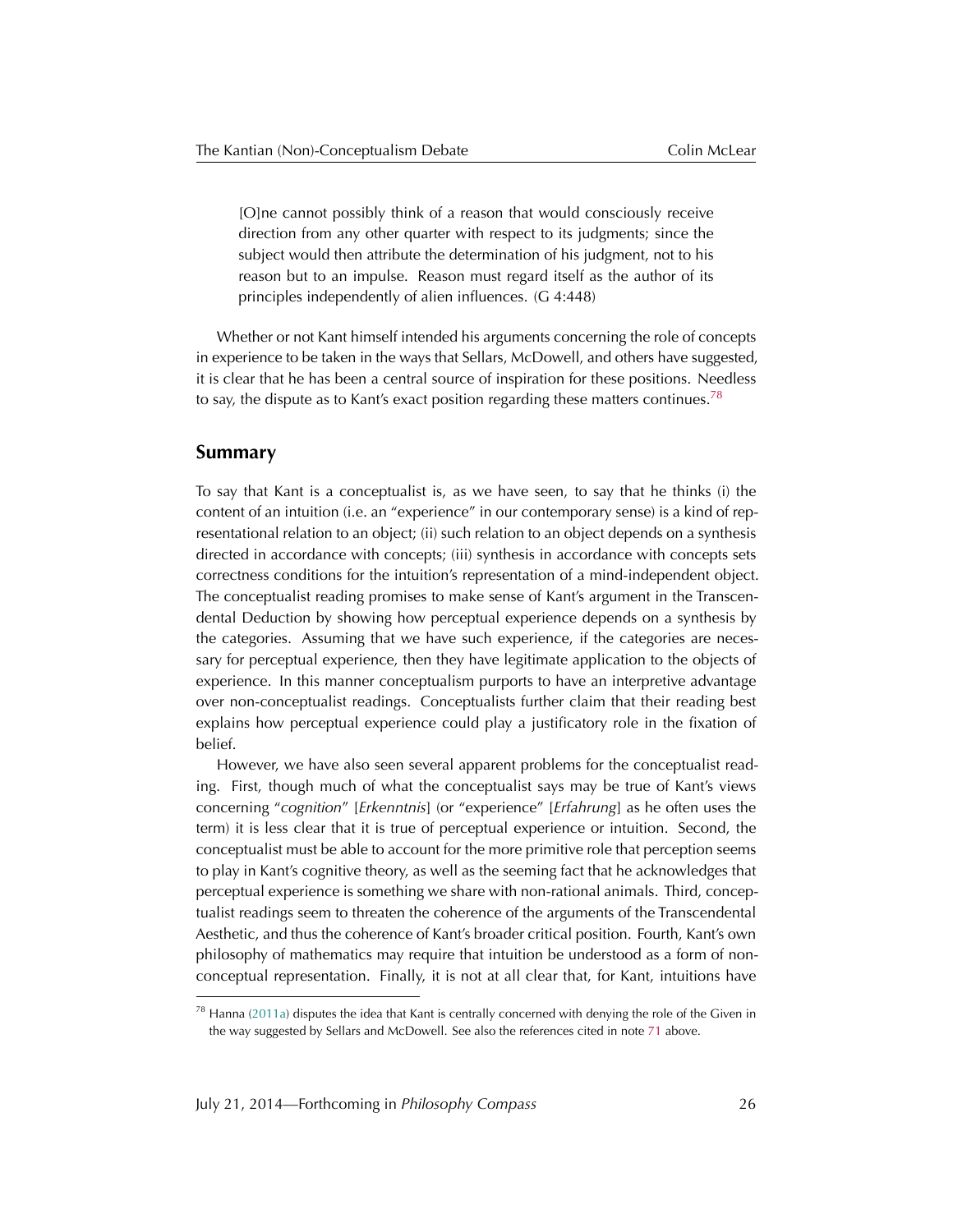<span id="page-25-1"></span>[O]ne cannot possibly think of a reason that would consciously receive direction from any other quarter with respect to its judgments; since the subject would then attribute the determination of his judgment, not to his reason but to an impulse. Reason must regard itself as the author of its principles independently of alien influences.  $(G.4:448)$ 

Whether or not Kant himself intended his arguments concerning the role of concepts in experience to be taken in the ways that Sellars, McDowell, and others have suggested, it is clear that he has been a central source of inspiration for these positions. Needless to say, the dispute as to Kant's exact position regarding these matters continues.<sup>[78](#page-25-0)</sup>

#### **Summary**

To say that Kant is a conceptualist is, as we have seen, to say that he thinks (i) the content of an intuition (i.e. an "experience" in our contemporary sense) is a kind of representational relation to an object; (ii) such relation to an object depends on a synthesis directed in accordance with concepts; (iii) synthesis in accordance with concepts sets correctness conditions for the intuition's representation of a mind-independent object. The conceptualist reading promises to make sense of Kant's argument in the Transcendental Deduction by showing how perceptual experience depends on a synthesis by the categories. Assuming that we have such experience, if the categories are necessary for perceptual experience, then they have legitimate application to the objects of experience. In this manner conceptualism purports to have an interpretive advantage over non-conceptualist readings. Conceptualists further claim that their reading best explains how perceptual experience could play a justificatory role in the fixation of belief.

However, we have also seen several apparent problems for the conceptualist reading. First, though much of what the conceptualist says may be true of Kant's views concerning "cognition" [*Erkenntnis*] (or "experience" [*Erfahrung*] as he often uses the term) it is less clear that it is true of perceptual experience or intuition. Second, the conceptualist must be able to account for the more primitive role that perception seems to play in Kant's cognitive theory, as well as the seeming fact that he acknowledges that perceptual experience is something we share with non-rational animals. Third, conceptualist readings seem to threaten the coherence of the arguments of the Transcendental Aesthetic, and thus the coherence of Kant's broader critical position. Fourth, Kant's own philosophy of mathematics may require that intuition be understood as a form of nonconceptual representation. Finally, it is not at all clear that, for Kant, intuitions have

<span id="page-25-0"></span> $78$  Hanna [\(2011a\)](#page-29-3) disputes the idea that Kant is centrally concerned with denying the role of the Given in the way suggested by Sellars and McDowell. See also the references cited in note [71](#page-23-0) above.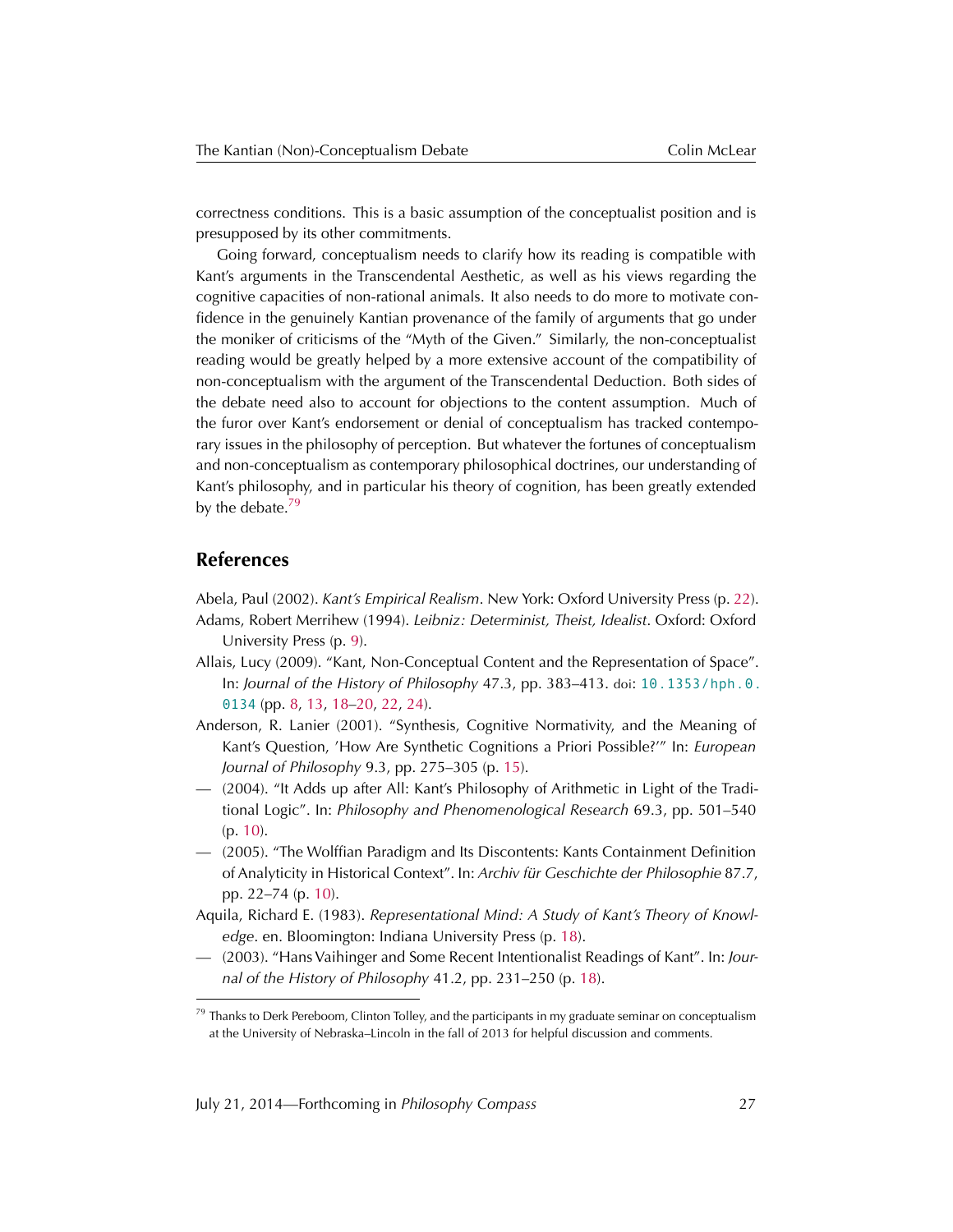correctness conditions. This is a basic assumption of the conceptualist position and is presupposed by its other commitments.

Going forward, conceptualism needs to clarify how its reading is compatible with Kant's arguments in the Transcendental Aesthetic, as well as his views regarding the cognitive capacities of non-rational animals. It also needs to do more to motivate confidence in the genuinely Kantian provenance of the family of arguments that go under the moniker of criticisms of the "Myth of the Given." Similarly, the non-conceptualist reading would be greatly helped by a more extensive account of the compatibility of non-conceptualism with the argument of the Transcendental Deduction. Both sides of the debate need also to account for objections to the content assumption. Much of the furor over Kant's endorsement or denial of conceptualism has tracked contemporary issues in the philosophy of perception. But whatever the fortunes of conceptualism and non-conceptualism as contemporary philosophical doctrines, our understanding of Kant's philosophy, and in particular his theory of cognition, has been greatly extended by the debate. $79$ 

## **References**

<span id="page-26-7"></span><span id="page-26-1"></span>Abela, Paul (2002). *Kant's Empirical Realism*. New York: Oxford University Press (p. [22](#page-21-6)). Adams, Robert Merrihew (1994). *Leibniz: Determinist, Theist, Idealist*. Oxford: Oxford University Press (p. [9\)](#page-8-3).

- <span id="page-26-0"></span>Allais, Lucy (2009). "Kant, Non-Conceptual Content and the Representation of Space". In: *Journal of the History of Philosophy* 47.3, pp. 383-413. doi: [10.1353/hph.0.](http://dx.doi.org/10.1353/hph.0.0134) [0134](http://dx.doi.org/10.1353/hph.0.0134) (pp. [8,](#page-7-5) [13,](#page-12-4) [18](#page-17-3)[–20,](#page-19-3) [22](#page-21-6), [24](#page-23-2)).
- <span id="page-26-4"></span>Anderson, R. Lanier (2001). "Synthesis, Cognitive Normativity, and the Meaning of Kant's Question, 'How Are Synthetic Cognitions a Priori Possible?'" In: *European Journal of Philosophy* 9.3, pp. 275–305 (p. [15\)](#page-14-3).
- <span id="page-26-3"></span>(2004). "It Adds up after All: Kant's Philosophy of Arithmetic in Light of the Traditional Logic". In: *Philosophy and Phenomenological Research* 69.3, pp. 501–540 (p. [10](#page-9-3)).
- <span id="page-26-2"></span>(2005). "The Wolffian Paradigm and Its Discontents: Kants Containment Definition of Analyticity in Historical Context". In: Archiv für Geschichte der Philosophie 87.7, pp. 22–74 (p. [10\)](#page-9-3).
- <span id="page-26-5"></span>Aquila, Richard E. (1983). *Representational Mind: A Study of Kant's Theory of Knowledge*. en. Bloomington: Indiana University Press (p. [18](#page-17-3)).
- <span id="page-26-6"></span> $-$  (2003). "Hans Vaihinger and Some Recent Intentionalist Readings of Kant". In: *Journal* of the History of Philosophy 41.2, pp. 231–250 (p. [18\)](#page-17-3).

<span id="page-26-8"></span> $79$  Thanks to Derk Pereboom, Clinton Tolley, and the participants in my graduate seminar on conceptualism at the University of Nebraska-Lincoln in the fall of 2013 for helpful discussion and comments.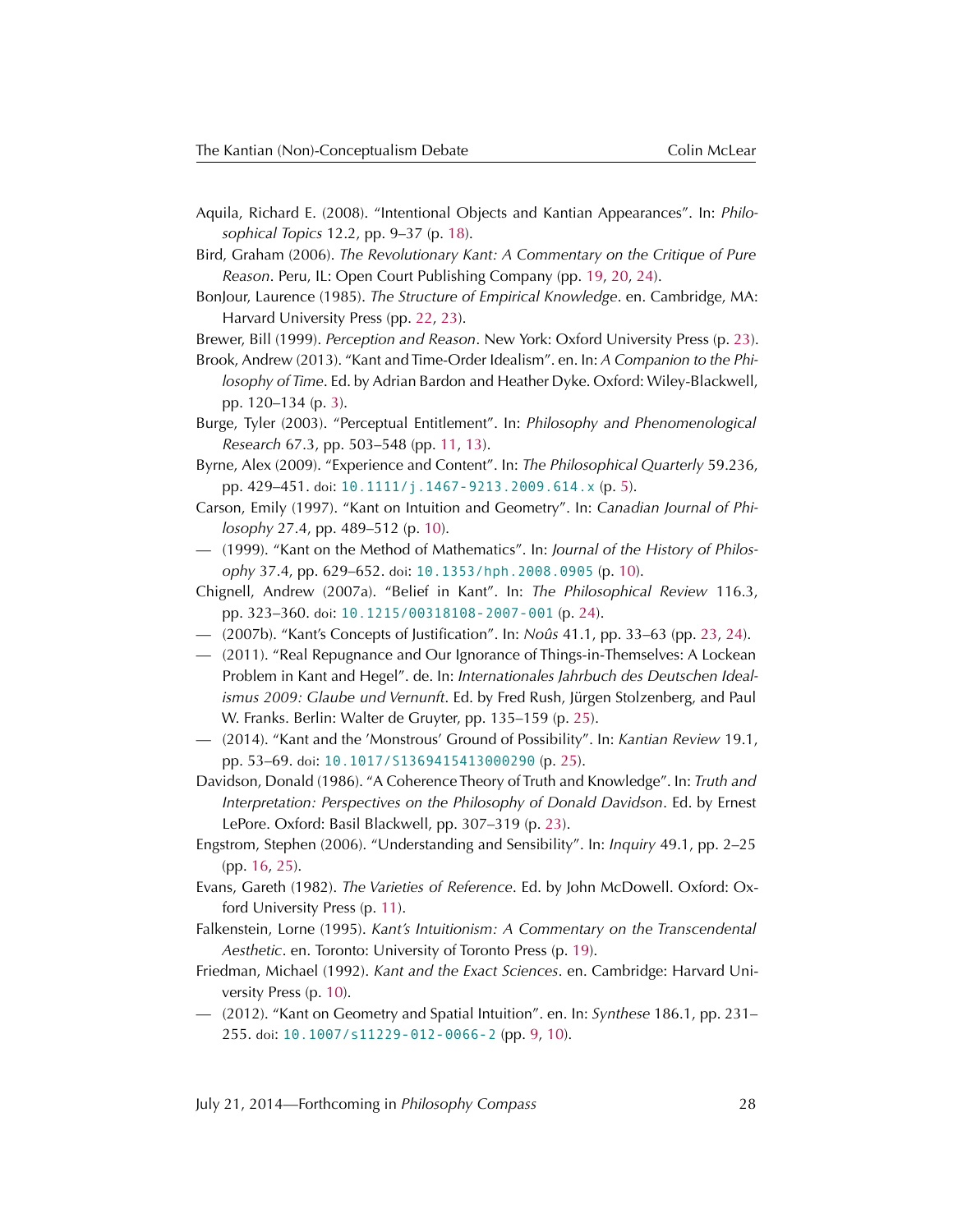- <span id="page-27-9"></span>Aquila, Richard E. (2008). "Intentional Objects and Kantian Appearances". In: *Philosophical Topics* 12.2, pp. 9–37 (p. [18\)](#page-17-3).
- <span id="page-27-11"></span>Bird, Graham (2006). *The Revolutionary Kant: A Commentary on the Critique of Pure Reason*. Peru, IL: Open Court Publishing Company (pp. [19,](#page-18-5) [20,](#page-19-3) [24](#page-23-2)).
- <span id="page-27-12"></span>BonJour, Laurence (1985). *The Structure of Empirical Knowledge*. en. Cambridge, MA: Harvard University Press (pp. [22](#page-21-6), [23](#page-22-5)).

<span id="page-27-14"></span>Brewer, Bill (1999). *Perception and Reason*. New York: Oxford University Press (p. [23](#page-22-5)).

- <span id="page-27-0"></span>Brook, Andrew (2013). "Kant and Time-Order Idealism". en. In: *A Companion to the Philosophy of Time*. Ed. by Adrian Bardon and Heather Dyke. Oxford: Wiley-Blackwell, pp. 120–134 (p. [3](#page-2-1)).
- <span id="page-27-7"></span>Burge, Tyler (2003). "Perceptual Entitlement". In: *Philosophy and Phenomenological Research* 67.3, pp. 503–548 (pp. [11,](#page-10-1) [13](#page-12-4)).
- <span id="page-27-1"></span>Byrne, Alex (2009). "Experience and Content". In: *The Philosophical Quarterly* 59.236, pp. 429–451. doi: [10.1111/j.1467-9213.2009.614.x](http://dx.doi.org/10.1111/j.1467-9213.2009.614.x) (p. [5](#page-4-5)).
- <span id="page-27-4"></span>Carson, Emily (1997). "Kant on Intuition and Geometry". In: *Canadian Journal of Philosophy* 27.4, pp. 489–512 (p. [10\)](#page-9-3).
- <span id="page-27-5"></span>— (1999). "Kant on the Method of Mathematics". In: *Journal of the History of Philosophy* 37.4, pp. 629–652. doi: [10.1353/hph.2008.0905](http://dx.doi.org/10.1353/hph.2008.0905) (p. [10\)](#page-9-3).
- <span id="page-27-16"></span>Chignell, Andrew (2007a). "Belief in Kant". In: *The Philosophical Review* 116.3, pp. 323–360. doi: [10.1215/00318108-2007-001](http://dx.doi.org/10.1215/00318108-2007-001) (p. [24](#page-23-2)).
- <span id="page-27-15"></span>— (2007b). "Kant's Concepts of Justification". In: *Noûs* 41.1, pp. 33–63 (pp. [23](#page-22-5), [24](#page-23-2)).
- <span id="page-27-17"></span>— (2011). "Real Repugnance and Our Ignorance of Things-in-Themselves: A Lockean Problem in Kant and Hegel". de. In: *Internationales Jahrbuch des Deutschen Idealismus* 2009: Glaube und Vernunft. Ed. by Fred Rush, Jürgen Stolzenberg, and Paul W. Franks. Berlin: Walter de Gruyter, pp. 135–159 (p. [25\)](#page-24-5).
- <span id="page-27-18"></span>— (2014). "Kant and the 'Monstrous' Ground of Possibility". In: *Kantian Review* 19.1, pp. 53–69. doi: [10.1017/S1369415413000290](http://dx.doi.org/10.1017/S1369415413000290) (p. [25](#page-24-5)).
- <span id="page-27-13"></span>Davidson, Donald (1986). "A Coherence Theory of Truth and Knowledge". In: *Truth and Interpretation: Perspectives on the Philosophy of Donald Davidson. Ed. by Ernest* LePore. Oxford: Basil Blackwell, pp. 307–319 (p. [23](#page-22-5)).
- <span id="page-27-8"></span>Engstrom, Stephen (2006). "Understanding and Sensibility". In: *Inquiry* 49.1, pp. 2–25 (pp. [16](#page-15-2), [25\)](#page-24-5).
- <span id="page-27-6"></span>Evans, Gareth (1982). *The Varieties of Reference*. Ed. by John McDowell. Oxford: Ox-ford University Press (p. [11\)](#page-10-1).
- <span id="page-27-10"></span>Falkenstein, Lorne (1995). *Kant's Intuitionism: A Commentary on the Transcendental Aesthetic*. en. Toronto: University of Toronto Press (p. [19\)](#page-18-5).
- <span id="page-27-3"></span>Friedman, Michael (1992). *Kant and the Exact Sciences*. en. Cambridge: Harvard Uni-versity Press (p. [10](#page-9-3)).
- <span id="page-27-2"></span> $-$  (2012). "Kant on Geometry and Spatial Intuition". en. In: *Synthese* 186.1, pp. 231– 255. doi: [10.1007/s11229-012-0066-2](http://dx.doi.org/10.1007/s11229-012-0066-2) (pp. [9](#page-8-3), [10](#page-9-3)).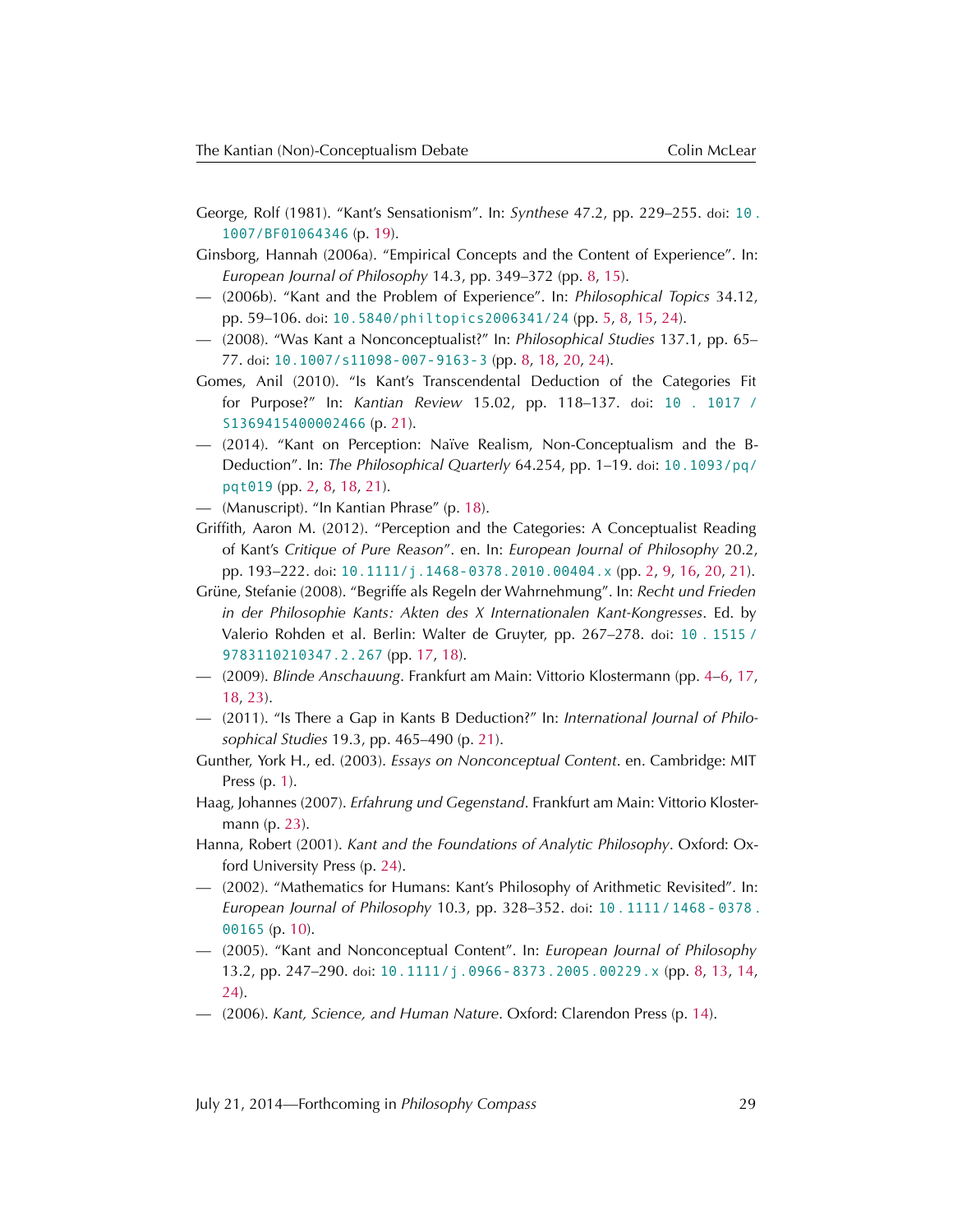- <span id="page-28-12"></span>George, Rolf (1981). "Kant's Sensationism". In: Synthese 47.2, pp. 229–255. doi: [10.](http://dx.doi.org/10.1007/BF01064346) [1007/BF01064346](http://dx.doi.org/10.1007/BF01064346) (p. [19](#page-18-5)).
- <span id="page-28-6"></span>Ginsborg, Hannah (2006a). "Empirical Concepts and the Content of Experience". In: *European Journal of Philosophy* 14.3, pp. 349–372 (pp. [8,](#page-7-5) [15](#page-14-3)).
- <span id="page-28-4"></span>— (2006b). "Kant and the Problem of Experience". In: *Philosophical Topics* 34.12, pp. 59–106. doi: [10.5840/philtopics2006341/24](http://dx.doi.org/10.5840/philtopics2006341/24) (pp. [5,](#page-4-5) [8,](#page-7-5) [15,](#page-14-3) [24](#page-23-2)).
- <span id="page-28-7"></span>— (2008). "Was Kant a Nonconceptualist?" In: *Philosophical Studies* 137.1, pp. 65– 77. doi: [10.1007/s11098-007-9163-3](http://dx.doi.org/10.1007/s11098-007-9163-3) (pp. [8](#page-7-5), [18,](#page-17-3) [20,](#page-19-3) [24](#page-23-2)).
- <span id="page-28-13"></span>Gomes, Anil (2010). "Is Kant's Transcendental Deduction of the Categories Fit for Purpose?" In: *Kantian Review* 15.02, pp. 118–137. doi: [10 . 1017 /](http://dx.doi.org/10.1017/S1369415400002466) [S1369415400002466](http://dx.doi.org/10.1017/S1369415400002466) (p. [21](#page-20-3)).
- <span id="page-28-2"></span> $-$  (2014). "Kant on Perception: Naïve Realism, Non-Conceptualism and the B-Deduction". In: *The Philosophical Quarterly* 64.254, pp. 1–19. doi: [10.1093/pq/](http://dx.doi.org/10.1093/pq/pqt019) [pqt019](http://dx.doi.org/10.1093/pq/pqt019) (pp. [2,](#page-1-3) [8](#page-7-5), [18,](#page-17-3) [21\)](#page-20-3).
- <span id="page-28-11"></span>(Manuscript). "In Kantian Phrase" (p. [18](#page-17-3)).
- <span id="page-28-1"></span>Griffith, Aaron M. (2012). "Perception and the Categories: A Conceptualist Reading of Kant's *Critique of Pure Reason*". en. In: *European Journal of Philosophy* 20.2, pp. 193–222. doi: [10.1111/j.1468-0378.2010.00404.x](http://dx.doi.org/10.1111/j.1468-0378.2010.00404.x) (pp. [2](#page-1-3), [9](#page-8-3), [16,](#page-15-2) [20,](#page-19-3) [21](#page-20-3)).
- <span id="page-28-10"></span>Grüne, Stefanie (2008). "Begriffe als Regeln der Wahrnehmung". In: *Recht und Frieden in* der Philosophie Kants: Akten des X Internationalen Kant-Kongresses. Ed. by Valerio Rohden et al. Berlin: Walter de Gruyter, pp. 267-278. doi: 10. 1515 / [9783110210347.2.267](http://dx.doi.org/10.1515/9783110210347.2.267) (pp. [17,](#page-16-2) [18\)](#page-17-3).
- <span id="page-28-3"></span>— (2009). *Blinde Anschauung*. Frankfurt am Main: Vittorio Klostermann (pp. [4](#page-3-4)–[6](#page-5-1), [17,](#page-16-2) [18,](#page-17-3) [23\)](#page-22-5).
- <span id="page-28-14"></span> $-$  (2011). "Is There a Gap in Kants B Deduction?" In: *International Journal of Philosophical Studies* 19.3, pp. 465–490 (p. [21](#page-20-3)).
- <span id="page-28-0"></span>Gunther, York H., ed. (2003). *Essays on Nonconceptual Content*. en. Cambridge: MIT Press  $(p, 1)$  $(p, 1)$ .
- <span id="page-28-15"></span>Haag, Johannes (2007). *Erfahrung und Gegenstand*. Frankfurt am Main: Vittorio Kloster-mann (p. [23\)](#page-22-5).
- <span id="page-28-16"></span>Hanna, Robert (2001). *Kant and the Foundations of Analytic Philosophy*. Oxford: Ox-ford University Press (p. [24\)](#page-23-2).
- <span id="page-28-8"></span>— (2002). "Mathematics for Humans: Kant's Philosophy of Arithmetic Revisited". In: *European Journal of Philosophy* 10.3, pp. 328–352. doi: [10.1111/1468- 0378.](http://dx.doi.org/10.1111/1468-0378.00165) [00165](http://dx.doi.org/10.1111/1468-0378.00165) (p. [10](#page-9-3)).
- <span id="page-28-5"></span>— (2005). "Kant and Nonconceptual Content". In: *European Journal of Philosophy* 13.2, pp. 247–290. doi: [10.1111/j.0966-8373.2005.00229.x](http://dx.doi.org/10.1111/j.0966-8373.2005.00229.x) (pp. [8,](#page-7-5) [13](#page-12-4), [14,](#page-13-4) [24\)](#page-23-2).
- <span id="page-28-9"></span>— (2006). *Kant, Science, and Human Nature*. Oxford: Clarendon Press (p. [14\)](#page-13-4).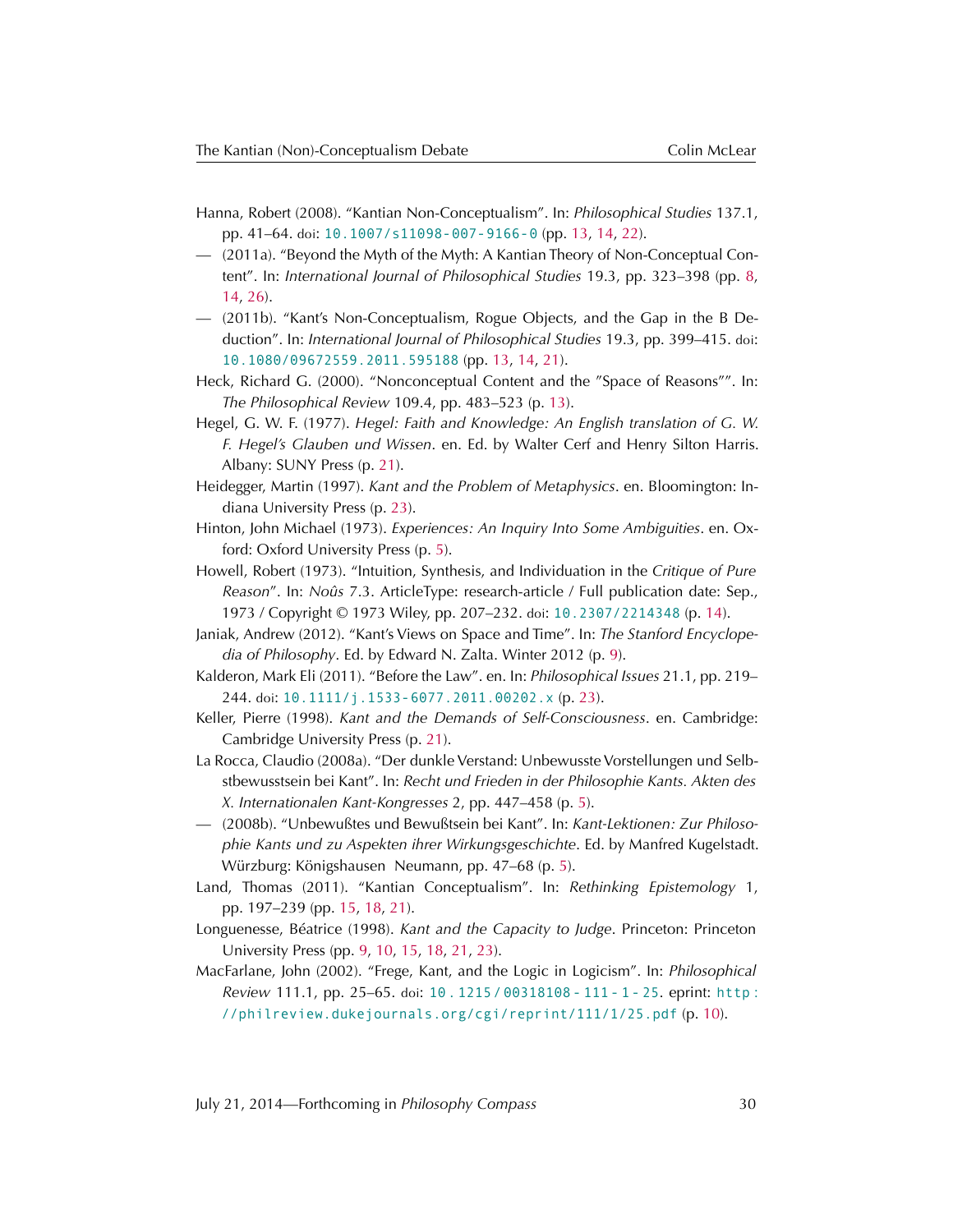- <span id="page-29-8"></span>Hanna, Robert (2008). "Kantian Non-Conceptualism". In: *Philosophical Studies* 137.1, pp. 41–64. doi: [10.1007/s11098-007-9166-0](http://dx.doi.org/10.1007/s11098-007-9166-0) (pp. [13](#page-12-4), [14](#page-13-4), [22\)](#page-21-6).
- <span id="page-29-3"></span>— (2011a). "Beyond the Myth of the Myth: A Kantian Theory of Non-Conceptual Content". In: *International Journal of Philosophical Studies* 19.3, pp. 323–398 (pp. [8,](#page-7-5) [14,](#page-13-4) [26\)](#page-25-1).
- <span id="page-29-9"></span>— (2011b). "Kant's Non-Conceptualism, Rogue Objects, and the Gap in the B Deduction". In: *International Journal of Philosophical Studies* 19.3, pp. 399–415. doi: [10.1080/09672559.2011.595188](http://dx.doi.org/10.1080/09672559.2011.595188) (pp. [13](#page-12-4), [14,](#page-13-4) [21\)](#page-20-3).
- <span id="page-29-7"></span>Heck, Richard G. (2000). "Nonconceptual Content and the "Space of Reasons"". In: *The Philosophical Review 109.4, pp. 483-523 (p. [13\)](#page-12-4).*
- <span id="page-29-12"></span>Hegel, G. W. F. (1977). *Hegel: Faith and Knowledge: An English translation of G. W. F. Hegel's Glauben und Wissen*. en. Ed. by Walter Cerf and Henry Silton Harris. Albany: SUNY Press (p. [21](#page-20-3)).
- <span id="page-29-15"></span>Heidegger, Martin (1997). *Kant and the Problem of Metaphysics*. en. Bloomington: In-diana University Press (p. [23](#page-22-5)).
- <span id="page-29-0"></span>Hinton, John Michael (1973). *Experiences: An Inquiry Into Some Ambiguities*. en. Ox-ford: Oxford University Press (p. [5](#page-4-5)).
- <span id="page-29-10"></span>Howell, Robert (1973). "Intuition, Synthesis, and Individuation in the *Critique of Pure Reason"*. In: *Noûs* 7.3. ArticleType: research-article / Full publication date: Sep., 1973 / Copyright © 1973 Wiley, pp. 207–232. doi: [10.2307/2214348](http://dx.doi.org/10.2307/2214348) (p. [14](#page-13-4)).
- <span id="page-29-5"></span>Janiak, Andrew (2012). "Kant's Views on Space and Time". In: *The Stanford Encyclope-*dia of Philosophy. Ed. by Edward N. Zalta. Winter 2012 (p. [9](#page-8-3)).
- <span id="page-29-14"></span>Kalderon, Mark Eli (2011). "Before the Law". en. In: *Philosophical Issues* 21.1, pp. 219– 244. doi: [10.1111/j.1533-6077.2011.00202.x](http://dx.doi.org/10.1111/j.1533-6077.2011.00202.x) (p. [23](#page-22-5)).
- <span id="page-29-13"></span>Keller, Pierre (1998). *Kant and the Demands of Self-Consciousness*. en. Cambridge: Cambridge University Press (p. [21\)](#page-20-3).
- <span id="page-29-1"></span>La Rocca, Claudio (2008a). "Der dunkle Verstand: Unbewusste Vorstellungen und Selbstbewusstsein bei Kant". In: *Recht und Frieden in der Philosophie Kants. Akten des X. Internationalen Kant-Kongresses* 2, pp. 447–458 (p. [5\)](#page-4-5).
- <span id="page-29-2"></span> $-$  (2008b). "Unbewußtes und Bewußtsein bei Kant". In: *Kant-Lektionen: Zur Philoso*phie Kants und zu Aspekten ihrer Wirkungsgeschichte. Ed. by Manfred Kugelstadt. Würzburg: Königshausen Neumann, pp. 47–68 (p. [5\)](#page-4-5).
- <span id="page-29-11"></span>Land, Thomas (2011). "Kantian Conceptualism". In: *Rethinking Epistemology 1*, pp. 197–239 (pp. [15,](#page-14-3) [18](#page-17-3), [21](#page-20-3)).
- <span id="page-29-4"></span>Longuenesse, Béatrice (1998). *Kant and the Capacity to Judge*. Princeton: Princeton University Press (pp. [9](#page-8-3), [10](#page-9-3), [15,](#page-14-3) [18,](#page-17-3) [21](#page-20-3), [23](#page-22-5)).
- <span id="page-29-6"></span>MacFarlane, John (2002). "Frege, Kant, and the Logic in Logicism". In: *Philosophical Review* 111.1, pp. 25–65. doi: [10 . 1215 / 00318108 - 111 - 1 - 25](http://dx.doi.org/10.1215/00318108-111-1-25). eprint: [http :](http://philreview.dukejournals.org/cgi/reprint/111/1/25.pdf) [//philreview.dukejournals.org/cgi/reprint/111/1/25.pdf](http://philreview.dukejournals.org/cgi/reprint/111/1/25.pdf) (p. [10\)](#page-9-3).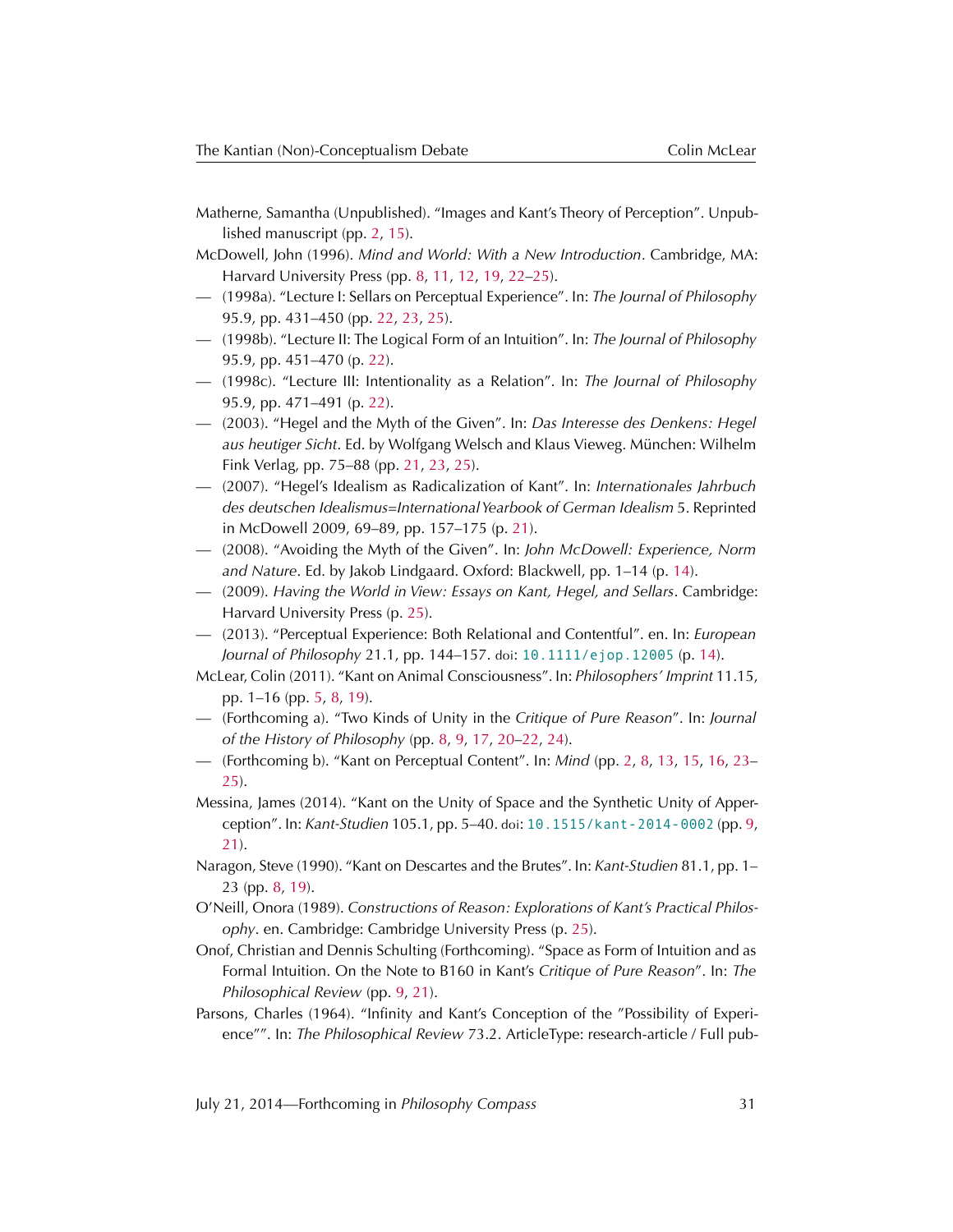- <span id="page-30-0"></span>Matherne, Samantha (Unpublished). "Images and Kant's Theory of Perception". Unpublished manuscript (pp.  $2, 15$  $2, 15$  $2, 15$ ).
- <span id="page-30-5"></span>McDowell, John (1996). *Mind and World: With a New Introduction*. Cambridge, MA: Harvard University Press (pp. [8,](#page-7-5) [11,](#page-10-1) [12](#page-11-2), [19](#page-18-5), [22–](#page-21-6)[25](#page-24-5)).
- <span id="page-30-13"></span> $-$  (1998a). "Lecture I: Sellars on Perceptual Experience". In: *The Journal of Philosophy* 95.9, pp. 431–450 (pp. [22](#page-21-6), [23,](#page-22-5) [25\)](#page-24-5).
- <span id="page-30-14"></span>— (1998b). "Lecture II: The Logical Form of an Intuition". In: *The Journal of Philosophy* 95.9, pp. 451–470 (p. [22\)](#page-21-6).
- <span id="page-30-15"></span>— (1998c). "Lecture III: Intentionality as a Relation". In: *The Journal of Philosophy* 95.9, pp. 471–491 (p. [22\)](#page-21-6).
- <span id="page-30-11"></span>— (2003). "Hegel and the Myth of the Given". In: *Das Interesse des Denkens: Hegel aus heutiger Sicht*. Ed. by Wolfgang Welsch and Klaus Vieweg. München: Wilhelm Fink Verlag, pp. 75–88 (pp. [21](#page-20-3), [23,](#page-22-5) [25\)](#page-24-5).
- <span id="page-30-12"></span>— (2007). "Hegel's Idealism as Radicalization of Kant". In: *Internationales Jahrbuch des deutschen Idealismus=International Yearbook of German Idealism* 5. Reprinted in McDowell 2009, 69–89, pp. 157–175 (p. [21](#page-20-3)).
- <span id="page-30-9"></span>— (2008). "Avoiding the Myth of the Given". In: *John McDowell: Experience, Norm* and Nature. Ed. by Jakob Lindgaard. Oxford: Blackwell, pp. 1–[14](#page-13-4) (p. 14).
- <span id="page-30-17"></span> $-$  (2009). *Having the World in View: Essays on Kant, Hegel, and Sellars*. Cambridge: Harvard University Press (p. [25\)](#page-24-5).
- <span id="page-30-10"></span>— (2013). "Perceptual Experience: Both Relational and Contentful". en. In: *European Journal of Philosophy* 21.1, pp. 144–157. doi: [10.1111/ejop.12005](http://dx.doi.org/10.1111/ejop.12005) (p. [14](#page-13-4)).
- <span id="page-30-2"></span>McLear, Colin (2011). "Kant on Animal Consciousness". In: *Philosophers' Imprint* 11.15, pp. 1–16 (pp. [5](#page-4-5), [8](#page-7-5), [19](#page-18-5)).
- <span id="page-30-3"></span>— (Forthcoming a). "Two Kinds of Unity in the *Critique of Pure Reason*". In: *Journal of the History of Philosophy* (pp. [8](#page-7-5), [9](#page-8-3), [17](#page-16-2), [20–](#page-19-3)[22](#page-21-6), [24\)](#page-23-2).
- <span id="page-30-1"></span>— (Forthcoming b). "Kant on Perceptual Content". In: *Mind* (pp. [2](#page-1-3), [8](#page-7-5), [13](#page-12-4), [15,](#page-14-3) [16,](#page-15-2) [23](#page-22-5)– [25\)](#page-24-5).
- <span id="page-30-6"></span>Messina, James (2014). "Kant on the Unity of Space and the Synthetic Unity of Apperception". In: *Kant-Studien* 105.1, pp. 5–40. doi: [10.1515/kant-2014-0002](http://dx.doi.org/10.1515/kant-2014-0002) (pp. [9,](#page-8-3) [21\)](#page-20-3).
- <span id="page-30-4"></span>Naragon, Steve (1990). "Kant on Descartes and the Brutes". In: *Kant-Studien* 81.1, pp. 1– 23 (pp. [8,](#page-7-5) [19](#page-18-5)).
- <span id="page-30-16"></span>O'Neill, Onora (1989). Constructions of Reason: Explorations of Kant's Practical Philos*ophy*. en. Cambridge: Cambridge University Press (p. [25](#page-24-5)).
- <span id="page-30-7"></span>Onof, Christian and Dennis Schulting (Forthcoming). "Space as Form of Intuition and as Formal Intuition. On the Note to B160 in Kant's *Critique of Pure Reason"*. In: *The Philosophical Review* (pp. [9,](#page-8-3) [21](#page-20-3)).
- <span id="page-30-8"></span>Parsons, Charles (1964). "Infinity and Kant's Conception of the "Possibility of Experience"". In: *The Philosophical Review 73.2*. ArticleType: research-article / Full pub-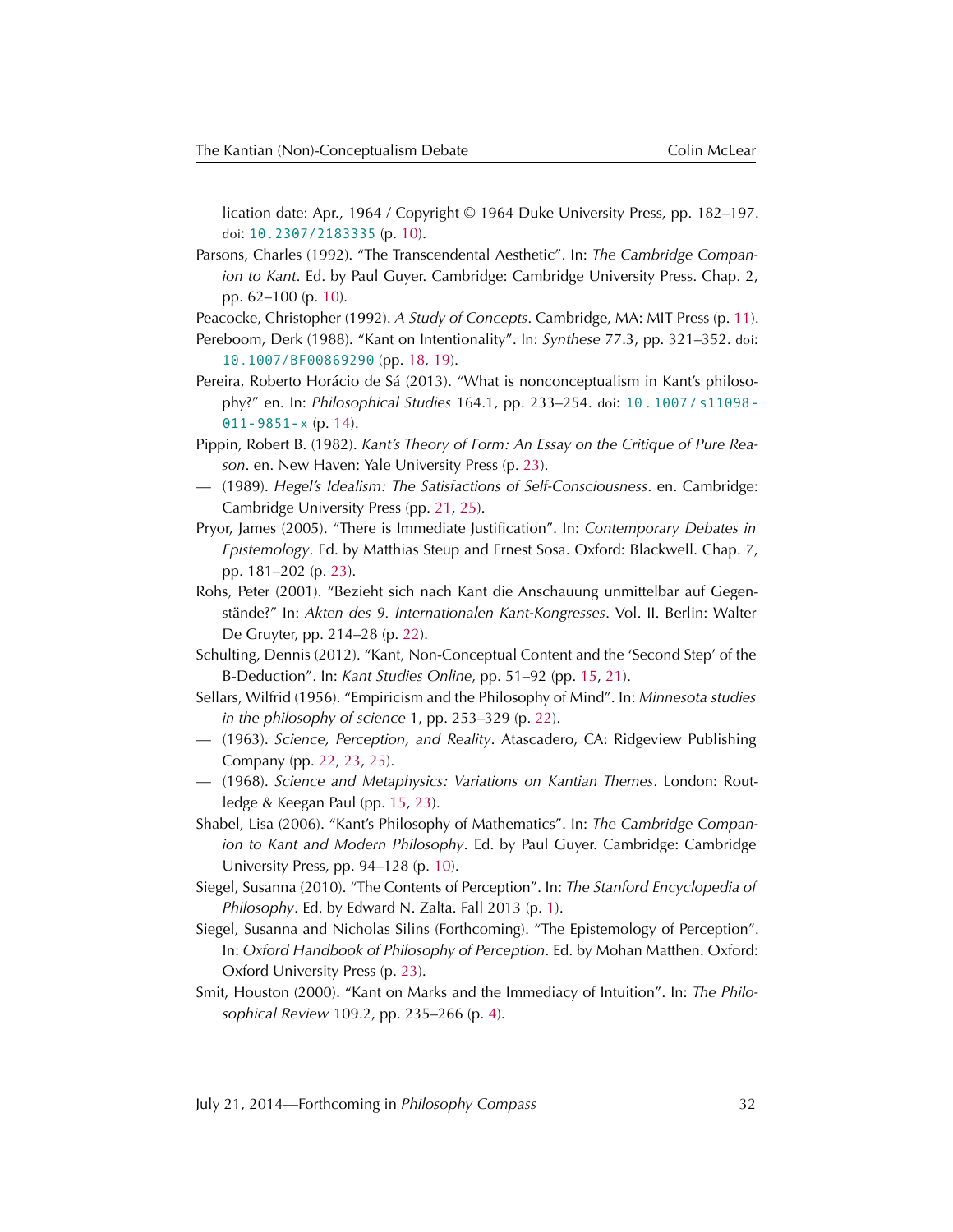lication date: Apr., 1964 / Copyright © 1964 Duke University Press, pp. 182–197. doi: [10.2307/2183335](http://dx.doi.org/10.2307/2183335) (p. [10\)](#page-9-3).

<span id="page-31-2"></span>Parsons, Charles (1992). "The Transcendental Aesthetic". In: The Cambridge Companion to Kant. Ed. by Paul Guyer. Cambridge: Cambridge University Press. Chap. 2, pp. 62–100 (p. [10](#page-9-3)).

<span id="page-31-4"></span>Peacocke, Christopher (1992). *A Study of Concepts*. Cambridge, MA: MIT Press (p. [11](#page-10-1)).

- <span id="page-31-8"></span>Pereboom, Derk (1988). "Kant on Intentionality". In: Synthese 77.3, pp. 321-352. doi: [10.1007/BF00869290](http://dx.doi.org/10.1007/BF00869290) (pp. [18](#page-17-3), [19](#page-18-5)).
- <span id="page-31-5"></span>Pereira, Roberto Horácio de Sá (2013). "What is nonconceptualism in Kant's philosophy?" en. In: *Philosophical Studies* 164.1, pp. 233–254. doi: [10.1007/s11098-](http://dx.doi.org/10.1007/s11098-011-9851-x) [011-9851-x](http://dx.doi.org/10.1007/s11098-011-9851-x) (p. [14](#page-13-4)).
- <span id="page-31-15"></span>Pippin, Robert B. (1982). *Kant's Theory of Form: An Essay on the Critique of Pure Rea-*son. en. New Haven: Yale University Press (p. [23](#page-22-5)).
- <span id="page-31-9"></span>— (1989). *Hegel's Idealism: The Satisfactions of Self-Consciousness*. en. Cambridge: Cambridge University Press (pp. [21](#page-20-3), [25](#page-24-5)).
- <span id="page-31-13"></span>Pryor, James (2005). "There is Immediate Justification". In: *Contemporary Debates in Epistemology*. Ed. by Matthias Steup and Ernest Sosa. Oxford: Blackwell. Chap. 7, pp. 181–202 (p. [23\)](#page-22-5).
- <span id="page-31-10"></span>Rohs, Peter (2001). "Bezieht sich nach Kant die Anschauung unmittelbar auf Gegenstände?" In: *Akten des 9. Internationalen Kant-Kongresses*. Vol. II. Berlin: Walter De Gruyter, pp. 214–28 (p. [22\)](#page-21-6).
- <span id="page-31-7"></span>Schulting, Dennis (2012). "Kant, Non-Conceptual Content and the 'Second Step' of the B-Deduction". In: *Kant Studies Online*, pp. 51–92 (pp. [15,](#page-14-3) [21](#page-20-3)).
- <span id="page-31-11"></span>Sellars, Wilfrid (1956). "Empiricism and the Philosophy of Mind". In: *Minnesota studies in* the philosophy of science 1, pp. 253–329 (p. [22\)](#page-21-6).
- <span id="page-31-12"></span>— (1963). *Science, Perception, and Reality*. Atascadero, CA: Ridgeview Publishing Company (pp. [22,](#page-21-6) [23](#page-22-5), [25](#page-24-5)).
- <span id="page-31-6"></span>— (1968). *Science and Metaphysics: Variations on Kantian Themes*. London: Rout-ledge & Keegan Paul (pp. [15](#page-14-3), [23\)](#page-22-5).
- <span id="page-31-3"></span>Shabel, Lisa (2006). "Kant's Philosophy of Mathematics". In: *The Cambridge Compan*ion to Kant and Modern Philosophy. Ed. by Paul Guyer. Cambridge: Cambridge University Press, pp. 94–128 (p. [10\)](#page-9-3).
- <span id="page-31-0"></span>Siegel, Susanna (2010). "The Contents of Perception". In: *The Stanford Encyclopedia of Philosophy*. Ed. by Edward N. Zalta. Fall 2013 (p. [1\)](#page-0-1).
- <span id="page-31-14"></span>Siegel, Susanna and Nicholas Silins (Forthcoming). "The Epistemology of Perception". In: Oxford Handbook of Philosophy of Perception. Ed. by Mohan Matthen. Oxford: Oxford University Press (p. [23\)](#page-22-5).
- <span id="page-31-1"></span>Smit, Houston (2000). "Kant on Marks and the Immediacy of Intuition". In: The Philo*sophical Review* 109.2, pp. 235–266 (p. [4](#page-3-4)).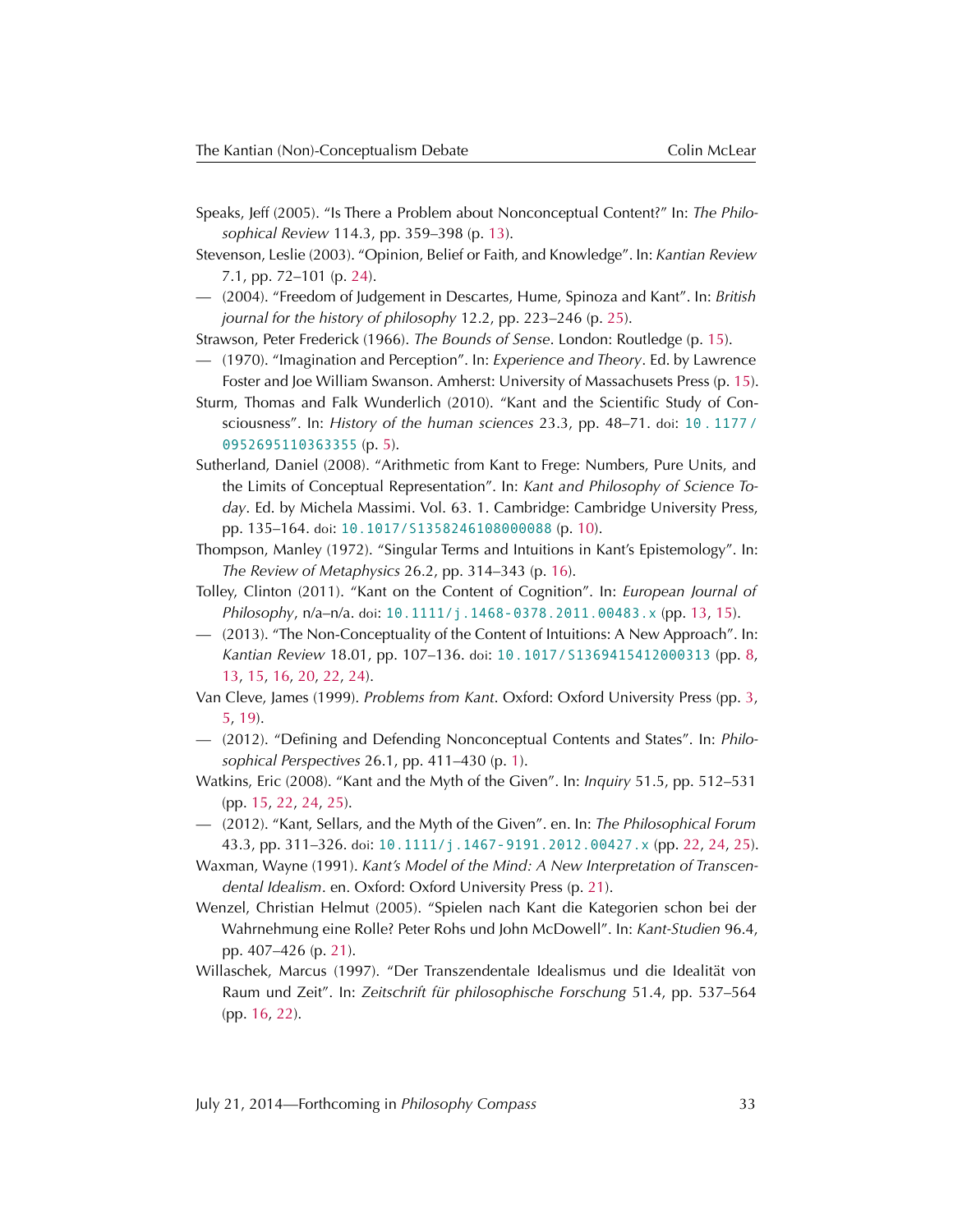- <span id="page-32-6"></span>Speaks, Jeff (2005). "Is There a Problem about Nonconceptual Content?" In: *The Philosophical Review* 114.3, pp. 359–398 (p. [13\)](#page-12-4).
- <span id="page-32-15"></span>Stevenson, Leslie (2003). "Opinion, Belief or Faith, and Knowledge". In: *Kantian Review* 7.1, pp. 72–101 (p. [24\)](#page-23-2).
- <span id="page-32-16"></span>— (2004). "Freedom of Judgement in Descartes, Hume, Spinoza and Kant". In: *British journal for the history of philosophy* 12.2, pp. 223–246 (p. [25](#page-24-5)).

<span id="page-32-8"></span>Strawson, Peter Frederick (1966). *The Bounds of Sense*. London: Routledge (p. [15\)](#page-14-3).

- <span id="page-32-9"></span>— (1970). "Imagination and Perception". In: *Experience and Theory*. Ed. by Lawrence Foster and Joe William Swanson. Amherst: University of Massachusets Press (p. [15](#page-14-3)).
- <span id="page-32-2"></span>Sturm, Thomas and Falk Wunderlich (2010). "Kant and the Scientific Study of Consciousness". In: *History of the human sciences* 23.3, pp. 48–71. doi: 10. 1177 / [0952695110363355](http://dx.doi.org/10.1177/0952695110363355) (p. [5](#page-4-5)).
- <span id="page-32-4"></span>Sutherland, Daniel (2008). "Arithmetic from Kant to Frege: Numbers, Pure Units, and the Limits of Conceptual Representation". In: *Kant and Philosophy of Science To*day. Ed. by Michela Massimi. Vol. 63. 1. Cambridge: Cambridge University Press, pp. 135–164. doi: [10.1017/S1358246108000088](http://dx.doi.org/10.1017/S1358246108000088) (p. [10](#page-9-3)).
- <span id="page-32-11"></span>Thompson, Manley (1972). "Singular Terms and Intuitions in Kant's Epistemology". In: *The Review of Metaphysics* 26.2, pp. 314–343 (p. [16\)](#page-15-2).
- <span id="page-32-5"></span>Tolley, Clinton (2011). "Kant on the Content of Cognition". In: *European Journal of Philosophy*, n/a–n/a. doi: [10.1111/j.1468-0378.2011.00483.x](http://dx.doi.org/10.1111/j.1468-0378.2011.00483.x) (pp. [13,](#page-12-4) [15\)](#page-14-3).
- <span id="page-32-3"></span>— (2013). "The Non-Conceptuality of the Content of Intuitions: A New Approach". In: *Kantian Review* 18.01, pp. 107–136. doi: [10.1017/S1369415412000313](http://dx.doi.org/10.1017/S1369415412000313) (pp. [8,](#page-7-5) [13,](#page-12-4) [15,](#page-14-3) [16](#page-15-2), [20](#page-19-3), [22,](#page-21-6) [24\)](#page-23-2).
- <span id="page-32-1"></span>Van Cleve, James (1999). *Problems from Kant*. Oxford: Oxford University Press (pp. [3,](#page-2-1) [5](#page-4-5), [19\)](#page-18-5).
- <span id="page-32-0"></span> $-$  (2012). "Defining and Defending Nonconceptual Contents and States". In: *Philosophical Perspectives* 26.1, pp. 411–430 (p. [1](#page-0-1)).
- <span id="page-32-7"></span>Watkins, Eric (2008). "Kant and the Myth of the Given". In: *Inquiry* 51.5, pp. 512–531 (pp. [15](#page-14-3), [22,](#page-21-6) [24,](#page-23-2) [25](#page-24-5)).
- <span id="page-32-14"></span>— (2012). "Kant, Sellars, and the Myth of the Given". en. In: *The Philosophical Forum* 43.3, pp. 311–326. doi: [10.1111/j.1467-9191.2012.00427.x](http://dx.doi.org/10.1111/j.1467-9191.2012.00427.x) (pp. [22](#page-21-6), [24](#page-23-2), [25](#page-24-5)).
- <span id="page-32-12"></span>Waxman, Wayne (1991). *Kant's Model of the Mind: A New Interpretation of Transcendental Idealism.* en. Oxford: Oxford University Press (p. [21\)](#page-20-3).
- <span id="page-32-13"></span>Wenzel, Christian Helmut (2005). "Spielen nach Kant die Kategorien schon bei der Wahrnehmung eine Rolle? Peter Rohs und John McDowell". In: *Kant-Studien* 96.4, pp. 407–426 (p. [21\)](#page-20-3).
- <span id="page-32-10"></span>Willaschek, Marcus (1997). "Der Transzendentale Idealismus und die Idealität von Raum und Zeit". In: Zeitschrift für philosophische Forschung 51.4, pp. 537–564 (pp. [16](#page-15-2), [22\)](#page-21-6).